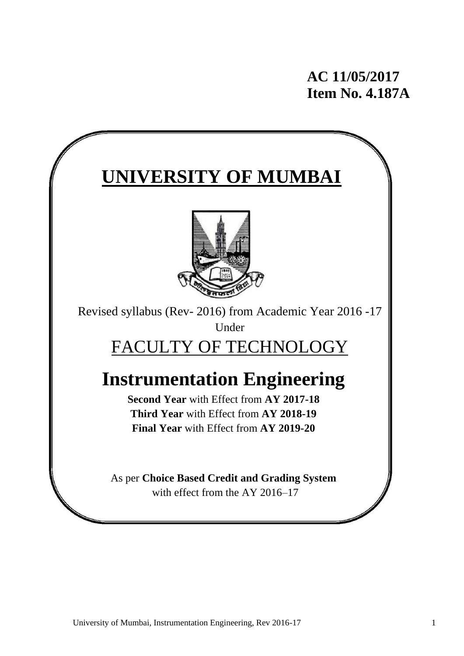# **AC 11/05/2017 Item No. 4.187A**

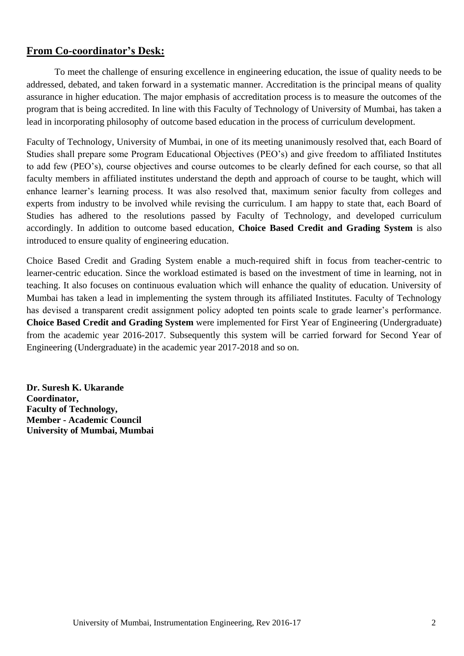## **From Co-coordinator's Desk:**

To meet the challenge of ensuring excellence in engineering education, the issue of quality needs to be addressed, debated, and taken forward in a systematic manner. Accreditation is the principal means of quality assurance in higher education. The major emphasis of accreditation process is to measure the outcomes of the program that is being accredited. In line with this Faculty of Technology of University of Mumbai, has taken a lead in incorporating philosophy of outcome based education in the process of curriculum development.

Faculty of Technology, University of Mumbai, in one of its meeting unanimously resolved that, each Board of Studies shall prepare some Program Educational Objectives (PEO's) and give freedom to affiliated Institutes to add few (PEO's), course objectives and course outcomes to be clearly defined for each course, so that all faculty members in affiliated institutes understand the depth and approach of course to be taught, which will enhance learner's learning process. It was also resolved that, maximum senior faculty from colleges and experts from industry to be involved while revising the curriculum. I am happy to state that, each Board of Studies has adhered to the resolutions passed by Faculty of Technology, and developed curriculum accordingly. In addition to outcome based education, **Choice Based Credit and Grading System** is also introduced to ensure quality of engineering education.

Choice Based Credit and Grading System enable a much-required shift in focus from teacher-centric to learner-centric education. Since the workload estimated is based on the investment of time in learning, not in teaching. It also focuses on continuous evaluation which will enhance the quality of education. University of Mumbai has taken a lead in implementing the system through its affiliated Institutes. Faculty of Technology has devised a transparent credit assignment policy adopted ten points scale to grade learner's performance. **Choice Based Credit and Grading System** were implemented for First Year of Engineering (Undergraduate) from the academic year 2016-2017. Subsequently this system will be carried forward for Second Year of Engineering (Undergraduate) in the academic year 2017-2018 and so on.

**Dr. Suresh K. Ukarande Coordinator, Faculty of Technology, Member - Academic Council University of Mumbai, Mumbai**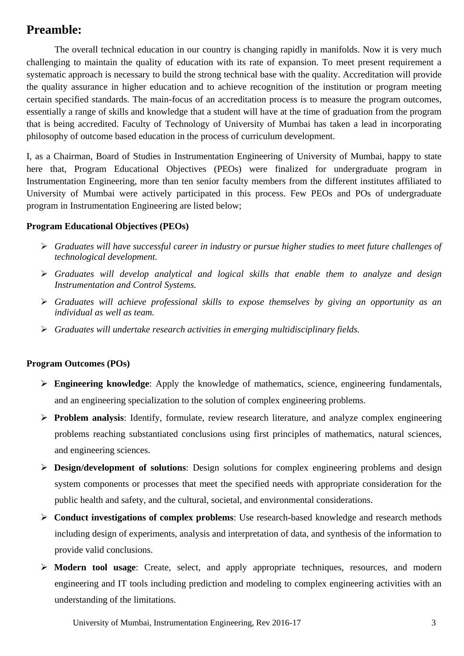## **Preamble:**

The overall technical education in our country is changing rapidly in manifolds. Now it is very much challenging to maintain the quality of education with its rate of expansion. To meet present requirement a systematic approach is necessary to build the strong technical base with the quality. Accreditation will provide the quality assurance in higher education and to achieve recognition of the institution or program meeting certain specified standards. The main-focus of an accreditation process is to measure the program outcomes, essentially a range of skills and knowledge that a student will have at the time of graduation from the program that is being accredited. Faculty of Technology of University of Mumbai has taken a lead in incorporating philosophy of outcome based education in the process of curriculum development.

I, as a Chairman, Board of Studies in Instrumentation Engineering of University of Mumbai, happy to state here that, Program Educational Objectives (PEOs) were finalized for undergraduate program in Instrumentation Engineering, more than ten senior faculty members from the different institutes affiliated to University of Mumbai were actively participated in this process. Few PEOs and POs of undergraduate program in Instrumentation Engineering are listed below;

### **Program Educational Objectives (PEOs)**

- *Graduates will have successful career in industry or pursue higher studies to meet future challenges of technological development.*
- *Graduates will develop analytical and logical skills that enable them to analyze and design Instrumentation and Control Systems.*
- *Graduates will achieve professional skills to expose themselves by giving an opportunity as an individual as well as team.*
- *Graduates will undertake research activities in emerging multidisciplinary fields.*

#### **Program Outcomes (POs)**

- **Engineering knowledge**: Apply the knowledge of mathematics, science, engineering fundamentals, and an engineering specialization to the solution of complex engineering problems.
- **Problem analysis**: Identify, formulate, review research literature, and analyze complex engineering problems reaching substantiated conclusions using first principles of mathematics, natural sciences, and engineering sciences.
- **Design/development of solutions**: Design solutions for complex engineering problems and design system components or processes that meet the specified needs with appropriate consideration for the public health and safety, and the cultural, societal, and environmental considerations.
- **Conduct investigations of complex problems**: Use research-based knowledge and research methods including design of experiments, analysis and interpretation of data, and synthesis of the information to provide valid conclusions.
- **Modern tool usage**: Create, select, and apply appropriate techniques, resources, and modern engineering and IT tools including prediction and modeling to complex engineering activities with an understanding of the limitations.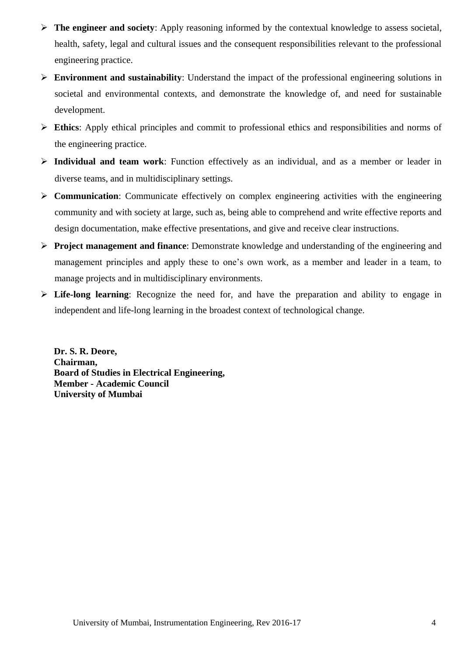- **The engineer and society**: Apply reasoning informed by the contextual knowledge to assess societal, health, safety, legal and cultural issues and the consequent responsibilities relevant to the professional engineering practice.
- **Environment and sustainability**: Understand the impact of the professional engineering solutions in societal and environmental contexts, and demonstrate the knowledge of, and need for sustainable development.
- **Ethics**: Apply ethical principles and commit to professional ethics and responsibilities and norms of the engineering practice.
- **Individual and team work**: Function effectively as an individual, and as a member or leader in diverse teams, and in multidisciplinary settings.
- **Example 2** Communication: Communicate effectively on complex engineering activities with the engineering community and with society at large, such as, being able to comprehend and write effective reports and design documentation, make effective presentations, and give and receive clear instructions.
- **Project management and finance**: Demonstrate knowledge and understanding of the engineering and management principles and apply these to one's own work, as a member and leader in a team, to manage projects and in multidisciplinary environments.
- **Life-long learning**: Recognize the need for, and have the preparation and ability to engage in independent and life-long learning in the broadest context of technological change.

**Dr. S. R. Deore, Chairman, Board of Studies in Electrical Engineering, Member - Academic Council University of Mumbai**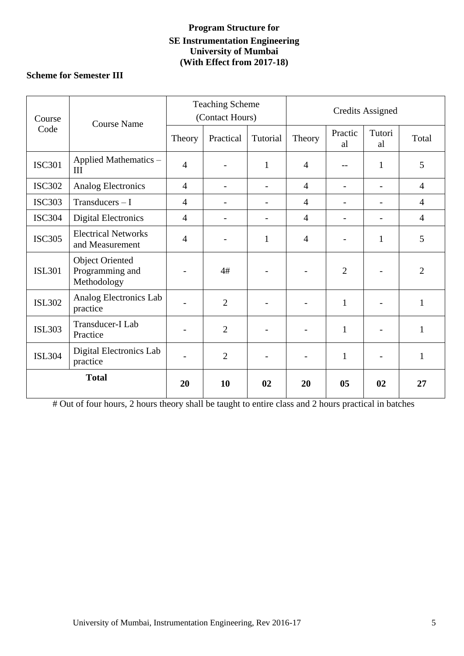## **Program Structure for SE Instrumentation Engineering University of Mumbai (With Effect from 2017-18)**

## **Scheme for Semester III**

| Course        | <b>Course Name</b>                                       | <b>Teaching Scheme</b><br>(Contact Hours) |                          |                          | <b>Credits Assigned</b> |                          |                          |                |
|---------------|----------------------------------------------------------|-------------------------------------------|--------------------------|--------------------------|-------------------------|--------------------------|--------------------------|----------------|
| Code          |                                                          | Theory                                    | Practical                | Tutorial                 | Theory                  | Practic<br>al            | Tutori<br>al             | Total          |
| <b>ISC301</b> | Applied Mathematics -<br>III                             | $\overline{4}$                            | $\overline{\phantom{0}}$ | $\mathbf{1}$             | $\overline{4}$          | $-$                      | 1                        | 5              |
| <b>ISC302</b> | <b>Analog Electronics</b>                                | $\overline{4}$                            | $\overline{\phantom{0}}$ | $\overline{\phantom{0}}$ | $\overline{4}$          | $\overline{\phantom{a}}$ | $\overline{\phantom{a}}$ | $\overline{4}$ |
| <b>ISC303</b> | $Transducers - I$                                        | $\overline{4}$                            |                          | $\overline{\phantom{a}}$ | $\overline{4}$          | $\overline{\phantom{a}}$ | $\overline{\phantom{a}}$ | $\overline{4}$ |
| <b>ISC304</b> | <b>Digital Electronics</b>                               | $\overline{4}$                            | $\overline{\phantom{a}}$ | $\overline{\phantom{0}}$ | $\overline{4}$          | $\overline{\phantom{a}}$ | $\overline{\phantom{a}}$ | $\overline{4}$ |
| <b>ISC305</b> | <b>Electrical Networks</b><br>and Measurement            | $\overline{4}$                            |                          | $\mathbf{1}$             | $\overline{4}$          |                          | $\mathbf{1}$             | 5              |
| <b>ISL301</b> | <b>Object Oriented</b><br>Programming and<br>Methodology |                                           | 4#                       |                          |                         | $\overline{2}$           |                          | $\overline{2}$ |
| <b>ISL302</b> | Analog Electronics Lab<br>practice                       | $\overline{\phantom{0}}$                  | $\overline{2}$           |                          |                         | $\mathbf{1}$             | $\overline{\phantom{a}}$ | $\mathbf{1}$   |
| <b>ISL303</b> | Transducer-I Lab<br>Practice                             |                                           | $\overline{2}$           |                          |                         | $\mathbf{1}$             |                          | $\mathbf{1}$   |
| <b>ISL304</b> | Digital Electronics Lab<br>practice                      |                                           | $\overline{2}$           |                          |                         | $\mathbf{1}$             | $\overline{\phantom{a}}$ | $\mathbf{1}$   |
| <b>Total</b>  |                                                          | 20                                        | 10                       | 02                       | 20                      | 0 <sub>5</sub>           | 02                       | 27             |

# Out of four hours, 2 hours theory shall be taught to entire class and 2 hours practical in batches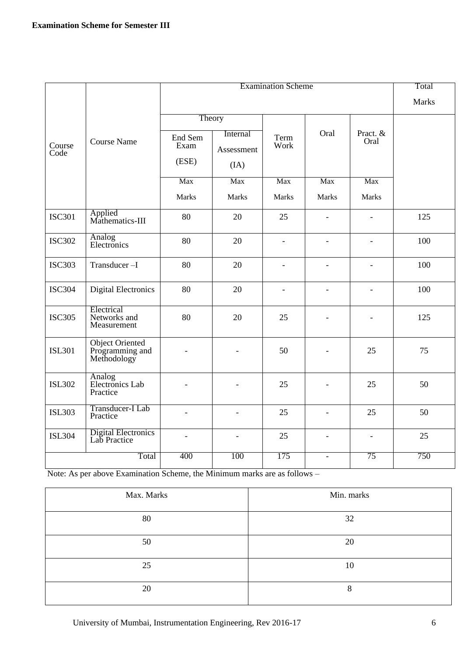|                |                                                          |                          |                                | <b>Examination Scheme</b> |                          |                          | Total        |
|----------------|----------------------------------------------------------|--------------------------|--------------------------------|---------------------------|--------------------------|--------------------------|--------------|
|                |                                                          |                          |                                |                           |                          |                          | <b>Marks</b> |
|                |                                                          |                          | Theory                         |                           |                          |                          |              |
| Course<br>Code | <b>Course Name</b>                                       | End Sem<br>Exam<br>(ESE) | Internal<br>Assessment<br>(IA) | Term<br>Work              | Oral                     | Pract. &<br>Oral         |              |
|                |                                                          | Max                      | Max                            | Max                       | Max                      | Max                      |              |
|                |                                                          | <b>Marks</b>             | <b>Marks</b>                   | <b>Marks</b>              | <b>Marks</b>             | <b>Marks</b>             |              |
| <b>ISC301</b>  | Applied<br>Mathematics-III                               | 80                       | 20                             | 25                        | $\overline{\phantom{a}}$ | $\overline{\phantom{a}}$ | 125          |
| <b>ISC302</b>  | Analog<br>Electronics                                    | 80                       | 20                             | $\blacksquare$            | $\overline{a}$           | $\overline{a}$           | 100          |
| <b>ISC303</b>  | Transducer-I                                             | 80                       | 20                             | $\overline{a}$            | $\overline{\phantom{0}}$ | $\overline{\phantom{0}}$ | 100          |
| <b>ISC304</b>  | <b>Digital Electronics</b>                               | 80                       | 20                             | $\overline{a}$            | $\overline{a}$           | $\equiv$                 | 100          |
| <b>ISC305</b>  | Electrical<br>Networks and<br>Measurement                | 80                       | 20                             | 25                        |                          |                          | 125          |
| <b>ISL301</b>  | <b>Object Oriented</b><br>Programming and<br>Methodology |                          |                                | 50                        |                          | 25                       | 75           |
| <b>ISL302</b>  | Analog<br>Electronics Lab<br>Practice                    |                          |                                | 25                        |                          | 25                       | 50           |
| <b>ISL303</b>  | Transducer-I Lab<br>Practice                             |                          | $\overline{a}$                 | 25                        | $\equiv$                 | 25                       | 50           |
| <b>ISL304</b>  | <b>Digital Electronics</b><br>Lab Practice               | $\overline{\phantom{a}}$ | $\overline{\phantom{a}}$       | 25                        | $\overline{\phantom{a}}$ | $\overline{\phantom{a}}$ | 25           |
|                | Total                                                    | 400                      | 100                            | 175                       | $\blacksquare$           | 75                       | 750          |

Note: As per above Examination Scheme, the Minimum marks are as follows –

| Max. Marks | Min. marks |
|------------|------------|
| 80         | 32         |
| 50         | 20         |
| 25         | 10         |
| 20         | O<br>δ     |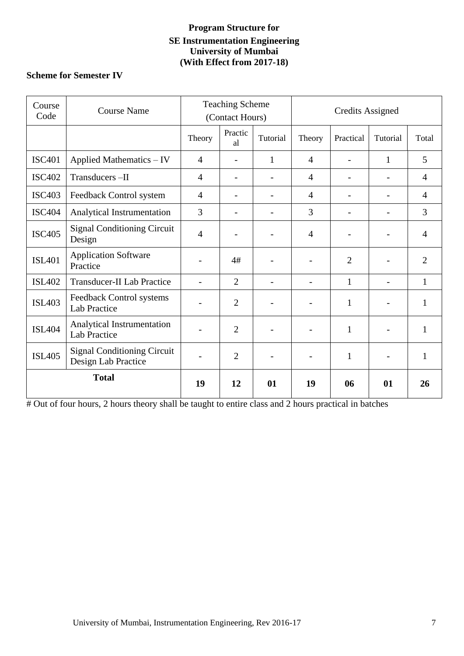## **Program Structure for SE Instrumentation Engineering University of Mumbai (With Effect from 2017-18)**

## **Scheme for Semester IV**

| Course<br>Code | <b>Course Name</b>                                        | <b>Teaching Scheme</b><br>(Contact Hours) |                          | <b>Credits Assigned</b>  |                          |                |                          |                |
|----------------|-----------------------------------------------------------|-------------------------------------------|--------------------------|--------------------------|--------------------------|----------------|--------------------------|----------------|
|                |                                                           | Theory                                    | Practic<br>al            | Tutorial                 | Theory                   | Practical      | Tutorial                 | Total          |
| <b>ISC401</b>  | Applied Mathematics - IV                                  | $\overline{4}$                            |                          | $\mathbf{1}$             | $\overline{4}$           |                | 1                        | 5              |
| <b>ISC402</b>  | Transducers-II                                            | $\overline{4}$                            |                          |                          | $\overline{4}$           |                |                          | $\overline{4}$ |
| <b>ISC403</b>  | Feedback Control system                                   | $\overline{4}$                            |                          |                          | $\overline{4}$           |                |                          | $\overline{4}$ |
| <b>ISC404</b>  | Analytical Instrumentation                                | 3                                         | $\overline{\phantom{0}}$ | $\overline{\phantom{0}}$ | 3                        |                | $\overline{a}$           | 3              |
| <b>ISC405</b>  | <b>Signal Conditioning Circuit</b><br>Design              | $\overline{4}$                            |                          |                          | $\overline{4}$           |                |                          | $\overline{4}$ |
| <b>ISL401</b>  | <b>Application Software</b><br>Practice                   |                                           | 4#                       |                          |                          | $\overline{2}$ |                          | $\overline{2}$ |
| <b>ISL402</b>  | <b>Transducer-II Lab Practice</b>                         |                                           | $\overline{2}$           |                          | $\overline{a}$           | $\mathbf{1}$   | $\overline{\phantom{0}}$ | $\mathbf{1}$   |
| <b>ISL403</b>  | Feedback Control systems<br><b>Lab Practice</b>           | $\qquad \qquad -$                         | $\overline{2}$           |                          |                          | 1              |                          | $\mathbf{1}$   |
| <b>ISL404</b>  | Analytical Instrumentation<br>Lab Practice                |                                           | $\overline{2}$           |                          |                          | $\mathbf{1}$   |                          | $\mathbf{1}$   |
| <b>ISL405</b>  | <b>Signal Conditioning Circuit</b><br>Design Lab Practice | $\overline{\phantom{0}}$                  | $\overline{2}$           |                          | $\overline{\phantom{0}}$ | $\mathbf{1}$   | $\overline{\phantom{0}}$ | $\mathbf{1}$   |
| <b>Total</b>   |                                                           | 19                                        | 12                       | 01                       | 19                       | 06             | 01                       | 26             |

# Out of four hours, 2 hours theory shall be taught to entire class and 2 hours practical in batches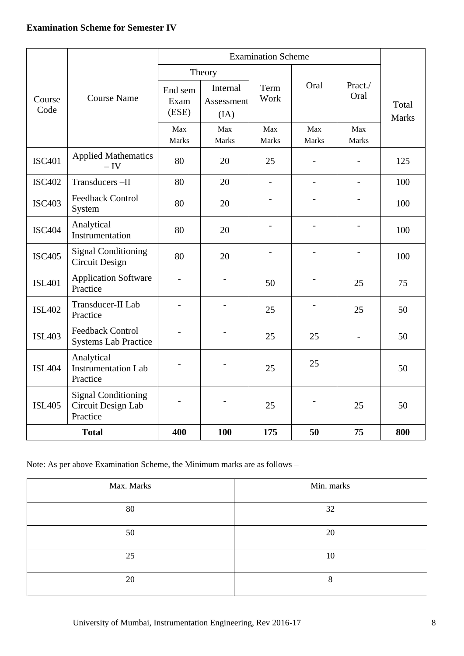|                |                                                              |                          | Theory                         |                |                     |                          |                       |
|----------------|--------------------------------------------------------------|--------------------------|--------------------------------|----------------|---------------------|--------------------------|-----------------------|
| Course<br>Code | <b>Course Name</b>                                           | End sem<br>Exam<br>(ESE) | Internal<br>Assessment<br>(IA) | Term<br>Work   | Oral                | Pract./<br>Oral          | Total<br><b>Marks</b> |
|                |                                                              | Max<br><b>Marks</b>      | Max<br>Marks                   | Max<br>Marks   | Max<br><b>Marks</b> | Max<br><b>Marks</b>      |                       |
| <b>ISC401</b>  | <b>Applied Mathematics</b><br>$-IV$                          | 80                       | 20                             | 25             |                     |                          | 125                   |
| <b>ISC402</b>  | Transducers-II                                               | 80                       | 20                             | $\overline{a}$ |                     | $\overline{a}$           | 100                   |
| <b>ISC403</b>  | <b>Feedback Control</b><br>System                            | 80                       | 20                             |                |                     |                          | 100                   |
| <b>ISC404</b>  | Analytical<br>Instrumentation                                | 80                       | 20                             |                |                     |                          | 100                   |
| <b>ISC405</b>  | <b>Signal Conditioning</b><br><b>Circuit Design</b>          | 80                       | 20                             |                |                     |                          | 100                   |
| <b>ISL401</b>  | <b>Application Software</b><br>Practice                      | $\blacksquare$           | $\overline{a}$                 | 50             |                     | 25                       | 75                    |
| <b>ISL402</b>  | Transducer-II Lab<br>Practice                                |                          |                                | 25             |                     | 25                       | 50                    |
| <b>ISL403</b>  | <b>Feedback Control</b><br><b>Systems Lab Practice</b>       |                          |                                | 25             | 25                  | $\overline{\phantom{0}}$ | 50                    |
| <b>ISL404</b>  | Analytical<br><b>Instrumentation Lab</b><br>Practice         |                          |                                | 25             | 25                  |                          | 50                    |
| <b>ISL405</b>  | <b>Signal Conditioning</b><br>Circuit Design Lab<br>Practice |                          |                                | 25             |                     | 25                       | 50                    |
| <b>Total</b>   |                                                              | 400                      | 100                            | 175            | 50                  | 75                       | 800                   |

Note: As per above Examination Scheme, the Minimum marks are as follows –

| Max. Marks | Min. marks |
|------------|------------|
| 80         | 32         |
| 50         | 20         |
| 25         | 10         |
| 20         | 8          |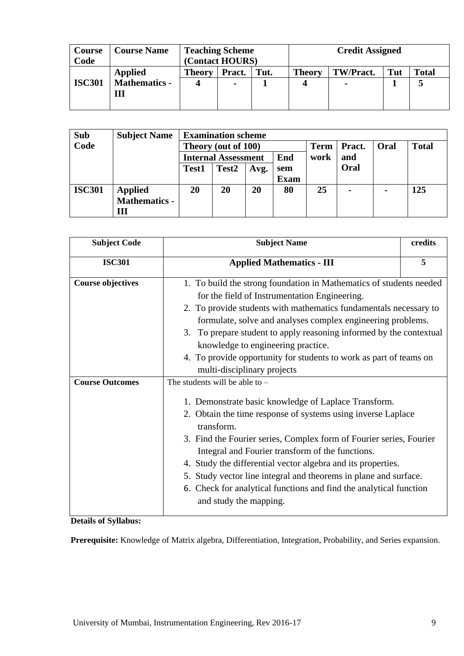| Course<br>Code | <b>Course Name</b>                          | <b>Teaching Scheme</b><br>(Contact HOURS) |                          |      | <b>Credit Assigned</b> |                |     |              |  |  |
|----------------|---------------------------------------------|-------------------------------------------|--------------------------|------|------------------------|----------------|-----|--------------|--|--|
| <b>ISC301</b>  | <b>Applied</b><br><b>Mathematics -</b><br>Ш | <b>Theory</b>                             | Pract.<br>$\blacksquare$ | Tut. | <b>Theory</b><br>4     | TW/Pract.<br>۰ | Tut | <b>Total</b> |  |  |

| <b>Sub</b>    | <b>Subject Name</b> |                            | <b>Examination scheme</b> |      |             |             |        |                |              |
|---------------|---------------------|----------------------------|---------------------------|------|-------------|-------------|--------|----------------|--------------|
| Code          |                     | Theory (out of 100)        |                           |      |             | <b>Term</b> | Pract. | Oral           | <b>Total</b> |
|               |                     | <b>Internal Assessment</b> |                           |      | End         | work        | and    |                |              |
|               |                     | <b>Test1</b>               | Test <sub>2</sub>         | Avg. | sem         |             | Oral   |                |              |
|               |                     |                            |                           |      | <b>Exam</b> |             |        |                |              |
| <b>ISC301</b> | <b>Applied</b>      | 20                         | 20                        | 20   | 80          | 25          |        | $\blacksquare$ | 125          |
|               | Mathematics -       |                            |                           |      |             |             |        |                |              |
|               | Ш                   |                            |                           |      |             |             |        |                |              |

| <b>Subject Code</b>      | <b>Subject Name</b>                                                                                                                                                                                                                                                                                                                                                                                                                                                                                                                   | credits |
|--------------------------|---------------------------------------------------------------------------------------------------------------------------------------------------------------------------------------------------------------------------------------------------------------------------------------------------------------------------------------------------------------------------------------------------------------------------------------------------------------------------------------------------------------------------------------|---------|
| <b>ISC301</b>            | <b>Applied Mathematics - III</b>                                                                                                                                                                                                                                                                                                                                                                                                                                                                                                      | 5       |
| <b>Course objectives</b> | 1. To build the strong foundation in Mathematics of students needed<br>for the field of Instrumentation Engineering.<br>2. To provide students with mathematics fundamentals necessary to<br>formulate, solve and analyses complex engineering problems.<br>3. To prepare student to apply reasoning informed by the contextual<br>knowledge to engineering practice.<br>4. To provide opportunity for students to work as part of teams on<br>multi-disciplinary projects                                                            |         |
| <b>Course Outcomes</b>   | The students will be able to $-$<br>1. Demonstrate basic knowledge of Laplace Transform.<br>2. Obtain the time response of systems using inverse Laplace<br>transform.<br>3. Find the Fourier series, Complex form of Fourier series, Fourier<br>Integral and Fourier transform of the functions.<br>4. Study the differential vector algebra and its properties.<br>5. Study vector line integral and theorems in plane and surface.<br>6. Check for analytical functions and find the analytical function<br>and study the mapping. |         |

**Details of Syllabus:**

**Prerequisite:** Knowledge of Matrix algebra, Differentiation, Integration, Probability, and Series expansion.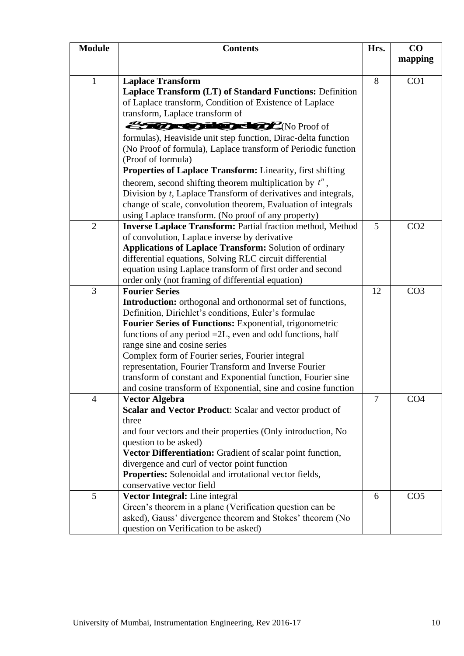|                | <b>Contents</b>                                                                                                                                                                                                                            | Hrs.           | CO<br>mapping   |
|----------------|--------------------------------------------------------------------------------------------------------------------------------------------------------------------------------------------------------------------------------------------|----------------|-----------------|
| $\mathbf{1}$   | <b>Laplace Transform</b><br>Laplace Transform (LT) of Standard Functions: Definition<br>of Laplace transform, Condition of Existence of Laplace                                                                                            | 8              | CO <sub>1</sub> |
|                | transform, Laplace transform of<br>formulas), Heaviside unit step function, Dirac-delta function<br>(No Proof of formula), Laplace transform of Periodic function                                                                          |                |                 |
| <b>Module</b>  | (Proof of formula)<br>Properties of Laplace Transform: Linearity, first shifting<br>theorem, second shifting theorem multiplication by $t^n$ ,<br>Division by t, Laplace Transform of derivatives and integrals,                           |                |                 |
| $\overline{2}$ | change of scale, convolution theorem, Evaluation of integrals<br>using Laplace transform. (No proof of any property)<br><b>Inverse Laplace Transform: Partial fraction method, Method</b><br>of convolution, Laplace inverse by derivative | $\mathfrak{S}$ | CO <sub>2</sub> |
|                | <b>Applications of Laplace Transform: Solution of ordinary</b><br>differential equations, Solving RLC circuit differential<br>equation using Laplace transform of first order and second                                                   |                |                 |
|                | order only (not framing of differential equation)<br><b>Fourier Series</b><br><b>Introduction:</b> orthogonal and orthonormal set of functions,<br>Definition, Dirichlet's conditions, Euler's formulae                                    | 12             | CO <sub>3</sub> |
| 3              | Fourier Series of Functions: Exponential, trigonometric<br>functions of any period $=2L$ , even and odd functions, half<br>range sine and cosine series<br>Complex form of Fourier series, Fourier integral                                |                |                 |
|                | representation, Fourier Transform and Inverse Fourier<br>transform of constant and Exponential function, Fourier sine<br>and cosine transform of Exponential, sine and cosine function<br><b>Vector Algebra</b>                            | $\overline{7}$ | CO <sub>4</sub> |
| $\overline{4}$ | Scalar and Vector Product: Scalar and vector product of<br>three<br>and four vectors and their properties (Only introduction, No                                                                                                           |                |                 |
|                | question to be asked)<br>Vector Differentiation: Gradient of scalar point function,<br>divergence and curl of vector point function<br>Properties: Solenoidal and irrotational vector fields,<br>conservative vector field                 |                |                 |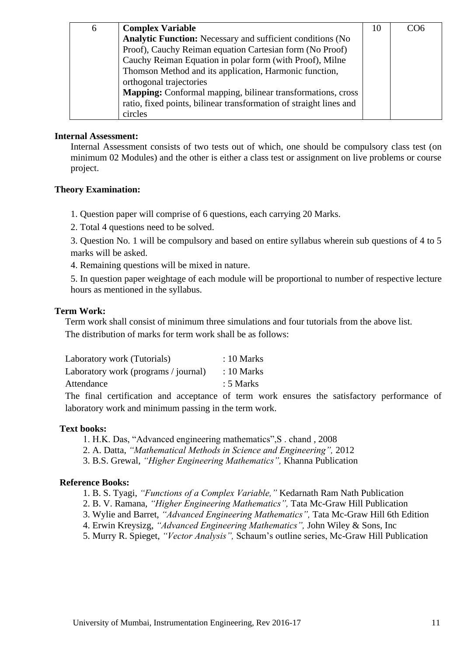| 6 | <b>Complex Variable</b>                                            | 10 | CO <sub>6</sub> |
|---|--------------------------------------------------------------------|----|-----------------|
|   | <b>Analytic Function:</b> Necessary and sufficient conditions (No  |    |                 |
|   | Proof), Cauchy Reiman equation Cartesian form (No Proof)           |    |                 |
|   | Cauchy Reiman Equation in polar form (with Proof), Milne           |    |                 |
|   | Thomson Method and its application, Harmonic function,             |    |                 |
|   | orthogonal trajectories                                            |    |                 |
|   | <b>Mapping:</b> Conformal mapping, bilinear transformations, cross |    |                 |
|   | ratio, fixed points, bilinear transformation of straight lines and |    |                 |
|   | circles                                                            |    |                 |

#### **Internal Assessment:**

Internal Assessment consists of two tests out of which, one should be compulsory class test (on minimum 02 Modules) and the other is either a class test or assignment on live problems or course project.

## **Theory Examination:**

1. Question paper will comprise of 6 questions, each carrying 20 Marks.

2. Total 4 questions need to be solved.

3. Question No. 1 will be compulsory and based on entire syllabus wherein sub questions of 4 to 5 marks will be asked.

4. Remaining questions will be mixed in nature.

5. In question paper weightage of each module will be proportional to number of respective lecture hours as mentioned in the syllabus.

### **Term Work:**

Term work shall consist of minimum three simulations and four tutorials from the above list. The distribution of marks for term work shall be as follows:

| Laboratory work (Tutorials)          | $: 10$ Marks |  |
|--------------------------------------|--------------|--|
| Laboratory work (programs / journal) | $: 10$ Marks |  |
| Attendance                           | $: 5$ Marks  |  |
|                                      |              |  |

The final certification and acceptance of term work ensures the satisfactory performance of laboratory work and minimum passing in the term work.

## **Text books:**

1. H.K. Das, "Advanced engineering mathematics", S. chand, 2008

2. A. Datta, *"Mathematical Methods in Science and Engineering",* 2012

3. B.S. Grewal, *"Higher Engineering Mathematics",* Khanna Publication

## **Reference Books:**

- 1. B. S. Tyagi, *"Functions of a Complex Variable,"* Kedarnath Ram Nath Publication
- 2. B. V. Ramana, *"Higher Engineering Mathematics",* Tata Mc-Graw Hill Publication
- 3. Wylie and Barret, *"Advanced Engineering Mathematics",* Tata Mc-Graw Hill 6th Edition
- 4. Erwin Kreysizg, *"Advanced Engineering Mathematics",* John Wiley & Sons, Inc
- 5. Murry R. Spieget, *"Vector Analysis",* Schaum's outline series, Mc-Graw Hill Publication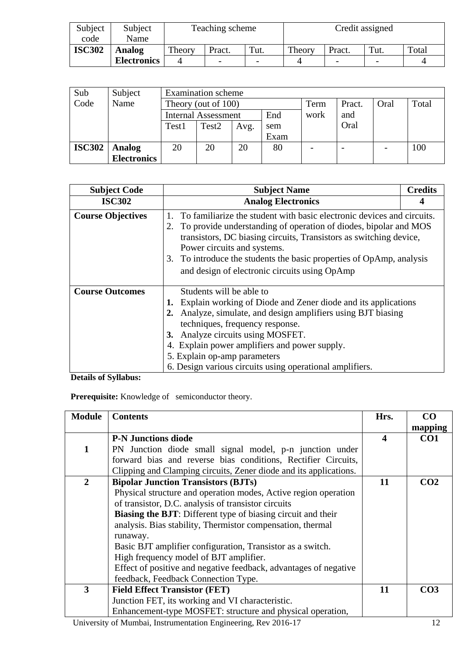| Subject<br>code | Subject<br>Name    | Teaching scheme |                          |      | Credit assigned |        |      |       |
|-----------------|--------------------|-----------------|--------------------------|------|-----------------|--------|------|-------|
| <b>ISC302</b>   | Analog             | Theory          | Pract.                   | Tut. | Theory          | Pract. | Tut. | Total |
|                 | <b>Electronics</b> |                 | $\overline{\phantom{0}}$ |      |                 |        |      |       |

| Sub           | Subject            | <b>Examination</b> scheme  |                     |      |      |      |        |      |       |
|---------------|--------------------|----------------------------|---------------------|------|------|------|--------|------|-------|
| Code          | Name               |                            | Theory (out of 100) |      |      |      | Pract. | Oral | Total |
|               |                    | <b>Internal Assessment</b> |                     |      | End  | work | and    |      |       |
|               |                    | Test1                      | Test <sub>2</sub>   | Avg. | sem  |      | Oral   |      |       |
|               |                    |                            |                     |      | Exam |      |        |      |       |
| <b>ISC302</b> | <b>Analog</b>      | 20                         | 20                  | 20   | 80   |      | -      |      | 100   |
|               | <b>Electronics</b> |                            |                     |      |      |      |        |      |       |

| <b>Subject Code</b>      | <b>Subject Name</b>                                                                                                                                                                                                                                                                                                                                                             | <b>Credits</b> |
|--------------------------|---------------------------------------------------------------------------------------------------------------------------------------------------------------------------------------------------------------------------------------------------------------------------------------------------------------------------------------------------------------------------------|----------------|
| <b>ISC302</b>            | <b>Analog Electronics</b>                                                                                                                                                                                                                                                                                                                                                       |                |
| <b>Course Objectives</b> | To familiarize the student with basic electronic devices and circuits.<br>To provide understanding of operation of diodes, bipolar and MOS<br>2.<br>transistors, DC biasing circuits, Transistors as switching device,<br>Power circuits and systems.<br>3. To introduce the students the basic properties of OpAmp, analysis<br>and design of electronic circuits using OpAmp  |                |
| <b>Course Outcomes</b>   | Students will be able to<br>Explain working of Diode and Zener diode and its applications<br>2. Analyze, simulate, and design amplifiers using BJT biasing<br>techniques, frequency response.<br>3. Analyze circuits using MOSFET.<br>4. Explain power amplifiers and power supply.<br>5. Explain op-amp parameters<br>6. Design various circuits using operational amplifiers. |                |

**Details of Syllabus:**

Prerequisite: Knowledge of semiconductor theory.

| <b>Module</b>  | <b>Contents</b>                                                                                                                                                                                                                                                                                                                        | Hrs.             | CO              |
|----------------|----------------------------------------------------------------------------------------------------------------------------------------------------------------------------------------------------------------------------------------------------------------------------------------------------------------------------------------|------------------|-----------------|
|                |                                                                                                                                                                                                                                                                                                                                        |                  | mapping         |
|                | <b>P-N Junctions diode</b>                                                                                                                                                                                                                                                                                                             | $\boldsymbol{4}$ | CO <sub>1</sub> |
| $\mathbf{1}$   | PN Junction diode small signal model, p-n junction under                                                                                                                                                                                                                                                                               |                  |                 |
|                | forward bias and reverse bias conditions, Rectifier Circuits,                                                                                                                                                                                                                                                                          |                  |                 |
|                | Clipping and Clamping circuits, Zener diode and its applications.                                                                                                                                                                                                                                                                      |                  |                 |
| $\overline{2}$ | <b>Bipolar Junction Transistors (BJTs)</b>                                                                                                                                                                                                                                                                                             | 11               | CO <sub>2</sub> |
|                | Physical structure and operation modes, Active region operation                                                                                                                                                                                                                                                                        |                  |                 |
|                | of transistor, D.C. analysis of transistor circuits                                                                                                                                                                                                                                                                                    |                  |                 |
|                | <b>Biasing the BJT:</b> Different type of biasing circuit and their                                                                                                                                                                                                                                                                    |                  |                 |
|                | analysis. Bias stability, Thermistor compensation, thermal                                                                                                                                                                                                                                                                             |                  |                 |
|                | runaway.                                                                                                                                                                                                                                                                                                                               |                  |                 |
|                | Basic BJT amplifier configuration, Transistor as a switch.                                                                                                                                                                                                                                                                             |                  |                 |
|                | High frequency model of BJT amplifier.                                                                                                                                                                                                                                                                                                 |                  |                 |
|                | Effect of positive and negative feedback, advantages of negative                                                                                                                                                                                                                                                                       |                  |                 |
|                | feedback, Feedback Connection Type.                                                                                                                                                                                                                                                                                                    |                  |                 |
| 3              | <b>Field Effect Transistor (FET)</b>                                                                                                                                                                                                                                                                                                   | 11               | CO <sub>3</sub> |
|                | Junction FET, its working and VI characteristic.                                                                                                                                                                                                                                                                                       |                  |                 |
|                | Enhancement-type MOSFET: structure and physical operation,                                                                                                                                                                                                                                                                             |                  |                 |
| <b>TT .</b>    | $\mathbf{C} \mathbf{M}$ $\mathbf{1} \cdot \mathbf{I}$ $\mathbf{M}$ $\mathbf{N}$ $\mathbf{N}$ $\mathbf{N}$ $\mathbf{N}$ $\mathbf{N}$ $\mathbf{N}$ $\mathbf{N}$ $\mathbf{N}$ $\mathbf{N}$ $\mathbf{N}$ $\mathbf{N}$ $\mathbf{N}$ $\mathbf{N}$ $\mathbf{N}$ $\mathbf{N}$ $\mathbf{N}$ $\mathbf{N}$ $\mathbf{N}$ $\mathbf{N}$ $\mathbf{N}$ |                  | 1 <sub>0</sub>  |

University of Mumbai, Instrumentation Engineering, Rev 2016-17 12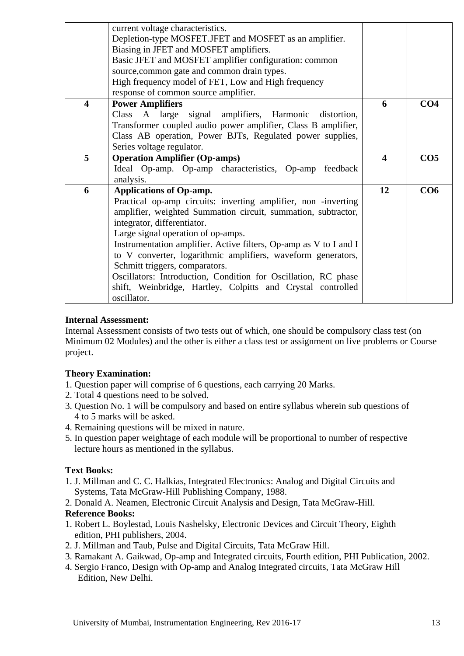|   | current voltage characteristics.                                  |                         |                 |
|---|-------------------------------------------------------------------|-------------------------|-----------------|
|   | Depletion-type MOSFET.JFET and MOSFET as an amplifier.            |                         |                 |
|   | Biasing in JFET and MOSFET amplifiers.                            |                         |                 |
|   | Basic JFET and MOSFET amplifier configuration: common             |                         |                 |
|   | source, common gate and common drain types.                       |                         |                 |
|   | High frequency model of FET, Low and High frequency               |                         |                 |
|   | response of common source amplifier.                              |                         |                 |
| 4 | <b>Power Amplifiers</b>                                           | 6                       | CO <sub>4</sub> |
|   | Class A large signal amplifiers, Harmonic distortion,             |                         |                 |
|   | Transformer coupled audio power amplifier, Class B amplifier,     |                         |                 |
|   | Class AB operation, Power BJTs, Regulated power supplies,         |                         |                 |
|   | Series voltage regulator.                                         |                         |                 |
| 5 | <b>Operation Amplifier (Op-amps)</b>                              | $\overline{\mathbf{4}}$ | CO <sub>5</sub> |
|   | Ideal Op-amp. Op-amp characteristics, Op-amp feedback             |                         |                 |
|   | analysis.                                                         |                         |                 |
| 6 | <b>Applications of Op-amp.</b>                                    | 12                      | CO6             |
|   | Practical op-amp circuits: inverting amplifier, non -inverting    |                         |                 |
|   | amplifier, weighted Summation circuit, summation, subtractor,     |                         |                 |
|   | integrator, differentiator.                                       |                         |                 |
|   | Large signal operation of op-amps.                                |                         |                 |
|   | Instrumentation amplifier. Active filters, Op-amp as V to I and I |                         |                 |
|   | to V converter, logarithmic amplifiers, waveform generators,      |                         |                 |
|   | Schmitt triggers, comparators.                                    |                         |                 |
|   | Oscillators: Introduction, Condition for Oscillation, RC phase    |                         |                 |
|   | shift, Weinbridge, Hartley, Colpitts and Crystal controlled       |                         |                 |
|   | oscillator.                                                       |                         |                 |

## **Internal Assessment:**

Internal Assessment consists of two tests out of which, one should be compulsory class test (on Minimum 02 Modules) and the other is either a class test or assignment on live problems or Course project.

## **Theory Examination:**

- 1. Question paper will comprise of 6 questions, each carrying 20 Marks.
- 2. Total 4 questions need to be solved.
- 3. Question No. 1 will be compulsory and based on entire syllabus wherein sub questions of 4 to 5 marks will be asked.
- 4. Remaining questions will be mixed in nature.
- 5. In question paper weightage of each module will be proportional to number of respective lecture hours as mentioned in the syllabus.

## **Text Books:**

- 1. J. Millman and C. C. Halkias, Integrated Electronics: Analog and Digital Circuits and Systems, Tata McGraw-Hill Publishing Company, 1988.
- 2. Donald A. Neamen, Electronic Circuit Analysis and Design, Tata McGraw-Hill.

## **Reference Books:**

- 1. Robert L. Boylestad, Louis Nashelsky, Electronic Devices and Circuit Theory, Eighth edition, PHI publishers, 2004.
- 2. J. Millman and Taub, Pulse and Digital Circuits, Tata McGraw Hill.
- 3. Ramakant A. Gaikwad, Op-amp and Integrated circuits, Fourth edition, PHI Publication, 2002.
- 4. Sergio Franco, Design with Op-amp and Analog Integrated circuits, Tata McGraw Hill Edition, New Delhi.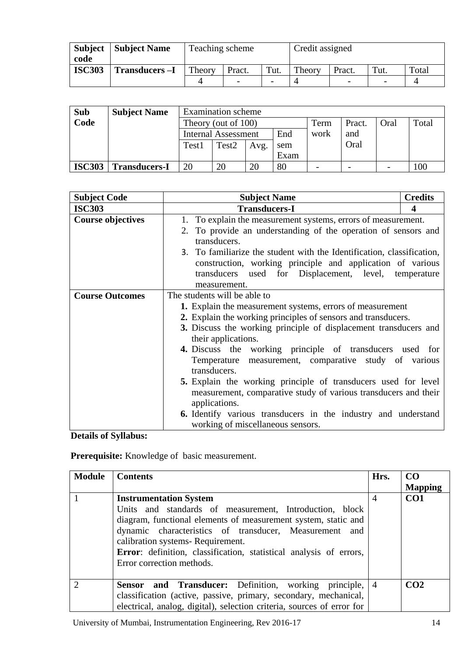| <b>Subject</b><br>code | <b>Subject Name</b>   | Teaching scheme |                          |                          | Credit assigned |        |      |       |
|------------------------|-----------------------|-----------------|--------------------------|--------------------------|-----------------|--------|------|-------|
| <b>ISC303</b>          | <b>Transducers -I</b> | Theory          | Theory<br>Tut.<br>Pract. |                          |                 | Pract. | Tut. | Total |
|                        |                       |                 |                          | $\overline{\phantom{0}}$ |                 |        |      |       |

| <b>Sub</b>    | <b>Subject Name</b>  |                            | <b>Examination</b> scheme |      |      |                          |        |                          |       |  |
|---------------|----------------------|----------------------------|---------------------------|------|------|--------------------------|--------|--------------------------|-------|--|
| Code          |                      | Theory (out of 100)        |                           |      |      | Term                     | Pract. | Oral                     | Total |  |
|               |                      | <b>Internal Assessment</b> |                           |      | End  | work                     | and    |                          |       |  |
|               |                      | Test1                      | Test <sub>2</sub>         | Avg. | sem  |                          | Oral   |                          |       |  |
|               |                      |                            |                           |      | Exam |                          |        |                          |       |  |
| <b>ISC303</b> | <b>Transducers-I</b> | 20                         | 20                        | 20   | 80   | $\overline{\phantom{0}}$ |        | $\overline{\phantom{0}}$ | 100   |  |

| <b>Subject Code</b>      | <b>Subject Name</b>                                                    | <b>Credits</b> |  |  |  |  |  |
|--------------------------|------------------------------------------------------------------------|----------------|--|--|--|--|--|
| <b>ISC303</b>            | <b>Transducers-I</b>                                                   | 4              |  |  |  |  |  |
| <b>Course objectives</b> | 1. To explain the measurement systems, errors of measurement.          |                |  |  |  |  |  |
|                          | 2. To provide an understanding of the operation of sensors and         |                |  |  |  |  |  |
|                          | transducers.                                                           |                |  |  |  |  |  |
|                          | 3. To familiarize the student with the Identification, classification, |                |  |  |  |  |  |
|                          | construction, working principle and application of various             |                |  |  |  |  |  |
|                          | transducers used for Displacement, level, temperature                  |                |  |  |  |  |  |
|                          | measurement.                                                           |                |  |  |  |  |  |
| <b>Course Outcomes</b>   | The students will be able to                                           |                |  |  |  |  |  |
|                          | 1. Explain the measurement systems, errors of measurement              |                |  |  |  |  |  |
|                          | 2. Explain the working principles of sensors and transducers.          |                |  |  |  |  |  |
|                          | 3. Discuss the working principle of displacement transducers and       |                |  |  |  |  |  |
|                          | their applications.                                                    |                |  |  |  |  |  |
|                          | <b>4.</b> Discuss the working principle of transducers used for        |                |  |  |  |  |  |
|                          | Temperature measurement, comparative study of various                  |                |  |  |  |  |  |
|                          | transducers.                                                           |                |  |  |  |  |  |
|                          | 5. Explain the working principle of transducers used for level         |                |  |  |  |  |  |
|                          | measurement, comparative study of various transducers and their        |                |  |  |  |  |  |
|                          | applications.                                                          |                |  |  |  |  |  |
|                          | <b>6.</b> Identify various transducers in the industry and understand  |                |  |  |  |  |  |
|                          | working of miscellaneous sensors.                                      |                |  |  |  |  |  |

**Details of Syllabus:**

**Prerequisite:** Knowledge of basic measurement.

| <b>Module</b> | Contents                                                                                                                                                                                                                                                                                                                                                    | Hrs.           | CO <sub>1</sub> |
|---------------|-------------------------------------------------------------------------------------------------------------------------------------------------------------------------------------------------------------------------------------------------------------------------------------------------------------------------------------------------------------|----------------|-----------------|
|               |                                                                                                                                                                                                                                                                                                                                                             |                | <b>Mapping</b>  |
|               | <b>Instrumentation System</b><br>Units and standards of measurement, Introduction, block<br>diagram, functional elements of measurement system, static and<br>dynamic characteristics of transducer, Measurement and<br>calibration systems-Requirement.<br>Error: definition, classification, statistical analysis of errors,<br>Error correction methods. | $\overline{4}$ | CO <sub>1</sub> |
| റ             | <b>Sensor and Transducer:</b> Definition, working principle, 4<br>classification (active, passive, primary, secondary, mechanical,<br>electrical, analog, digital), selection criteria, sources of error for                                                                                                                                                |                | CO <sub>2</sub> |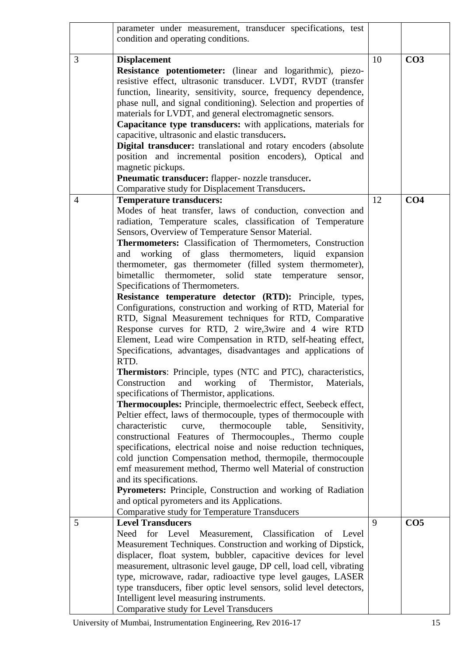|                | parameter under measurement, transducer specifications, test           |    |                 |
|----------------|------------------------------------------------------------------------|----|-----------------|
|                | condition and operating conditions.                                    |    |                 |
|                |                                                                        |    |                 |
| 3              | <b>Displacement</b>                                                    | 10 | CO <sub>3</sub> |
|                | Resistance potentiometer: (linear and logarithmic), piezo-             |    |                 |
|                | resistive effect, ultrasonic transducer. LVDT, RVDT (transfer          |    |                 |
|                | function, linearity, sensitivity, source, frequency dependence,        |    |                 |
|                | phase null, and signal conditioning). Selection and properties of      |    |                 |
|                | materials for LVDT, and general electromagnetic sensors.               |    |                 |
|                | Capacitance type transducers: with applications, materials for         |    |                 |
|                | capacitive, ultrasonic and elastic transducers.                        |    |                 |
|                | Digital transducer: translational and rotary encoders (absolute        |    |                 |
|                | position and incremental position encoders), Optical and               |    |                 |
|                | magnetic pickups.                                                      |    |                 |
|                | Pneumatic transducer: flapper- nozzle transducer.                      |    |                 |
|                | Comparative study for Displacement Transducers.                        |    |                 |
| $\overline{4}$ | <b>Temperature transducers:</b>                                        | 12 | CO <sub>4</sub> |
|                | Modes of heat transfer, laws of conduction, convection and             |    |                 |
|                | radiation, Temperature scales, classification of Temperature           |    |                 |
|                |                                                                        |    |                 |
|                | Sensors, Overview of Temperature Sensor Material.                      |    |                 |
|                | Thermometers: Classification of Thermometers, Construction             |    |                 |
|                | and working of glass thermometers, liquid expansion                    |    |                 |
|                | thermometer, gas thermometer (filled system thermometer),              |    |                 |
|                | bimetallic<br>thermometer,<br>solid<br>state<br>temperature<br>sensor, |    |                 |
|                | Specifications of Thermometers.                                        |    |                 |
|                | Resistance temperature detector (RTD): Principle, types,               |    |                 |
|                | Configurations, construction and working of RTD, Material for          |    |                 |
|                | RTD, Signal Measurement techniques for RTD, Comparative                |    |                 |
|                | Response curves for RTD, 2 wire, 3wire and 4 wire RTD                  |    |                 |
|                | Element, Lead wire Compensation in RTD, self-heating effect,           |    |                 |
|                | Specifications, advantages, disadvantages and applications of          |    |                 |
|                | RTD.                                                                   |    |                 |
|                | Thermistors: Principle, types (NTC and PTC), characteristics,          |    |                 |
|                | Construction<br>working<br>Thermistor,<br>and<br>of<br>Materials,      |    |                 |
|                | specifications of Thermistor, applications.                            |    |                 |
|                | Thermocouples: Principle, thermoelectric effect, Seebeck effect,       |    |                 |
|                | Peltier effect, laws of thermocouple, types of thermocouple with       |    |                 |
|                | characteristic<br>curve,<br>thermocouple<br>table,<br>Sensitivity,     |    |                 |
|                | constructional Features of Thermocouples., Thermo couple               |    |                 |
|                | specifications, electrical noise and noise reduction techniques,       |    |                 |
|                | cold junction Compensation method, thermopile, thermocouple            |    |                 |
|                | emf measurement method, Thermo well Material of construction           |    |                 |
|                | and its specifications.                                                |    |                 |
|                | Pyrometers: Principle, Construction and working of Radiation           |    |                 |
|                | and optical pyrometers and its Applications.                           |    |                 |
|                | Comparative study for Temperature Transducers                          |    |                 |
| 5              | <b>Level Transducers</b>                                               | 9  | CO <sub>5</sub> |
|                | for Level<br>Classification<br>Need<br>Measurement,<br>Level<br>of     |    |                 |
|                | Measurement Techniques. Construction and working of Dipstick,          |    |                 |
|                | displacer, float system, bubbler, capacitive devices for level         |    |                 |
|                | measurement, ultrasonic level gauge, DP cell, load cell, vibrating     |    |                 |
|                | type, microwave, radar, radioactive type level gauges, LASER           |    |                 |
|                | type transducers, fiber optic level sensors, solid level detectors,    |    |                 |
|                | Intelligent level measuring instruments.                               |    |                 |
|                | Comparative study for Level Transducers                                |    |                 |

University of Mumbai, Instrumentation Engineering, Rev 2016-17 15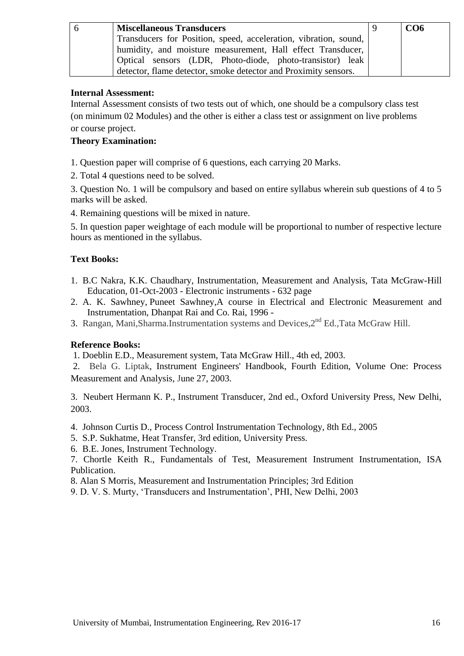| <b>Miscellaneous Transducers</b>                                 | CO6 |
|------------------------------------------------------------------|-----|
| Transducers for Position, speed, acceleration, vibration, sound, |     |
| humidity, and moisture measurement, Hall effect Transducer,      |     |
| Optical sensors (LDR, Photo-diode, photo-transistor) leak        |     |
| detector, flame detector, smoke detector and Proximity sensors.  |     |

## **Internal Assessment:**

Internal Assessment consists of two tests out of which, one should be a compulsory class test (on minimum 02 Modules) and the other is either a class test or assignment on live problems or course project.

## **Theory Examination:**

- 1. Question paper will comprise of 6 questions, each carrying 20 Marks.
- 2. Total 4 questions need to be solved.

3. Question No. 1 will be compulsory and based on entire syllabus wherein sub questions of 4 to 5 marks will be asked.

4. Remaining questions will be mixed in nature.

5. In question paper weightage of each module will be proportional to number of respective lecture hours as mentioned in the syllabus.

## **Text Books:**

- 1. B.C Nakra, K.K. Chaudhary, Instrumentation, Measurement and Analysis, Tata McGraw-Hill Education, 01-Oct-2003 - [Electronic instruments](https://www.google.co.in/search?tbo=p&tbm=bks&q=subject:) - 632 page
- 2. [A. K. Sawhney,](https://www.google.co.in/search?tbo=p&tbm=bks&q=inauthor:) [Puneet Sawhney,](https://www.google.co.in/search?tbo=p&tbm=bks&q=inauthor:)A course in Electrical and Electronic Measurement and Instrumentation, Dhanpat Rai and Co. Rai, 1996 -
- 3. Rangan, Mani, Sharma.Instrumentation systems and Devices, 2<sup>nd</sup> Ed., Tata McGraw Hill.

## **Reference Books:**

1. Doeblin E.D., Measurement system, Tata McGraw Hill., 4th ed, 2003.

2. Bela G. Liptak, Instrument Engineers' Handbook, Fourth Edition, Volume One: Process Measurement and Analysis, June 27, 2003.

3. Neubert Hermann K. P., Instrument Transducer, 2nd ed., Oxford University Press, New Delhi, 2003.

- 4. Johnson Curtis D., Process Control Instrumentation Technology, 8th Ed., 2005
- 5. S.P. Sukhatme, Heat Transfer, 3rd edition, University Press.
- 6. B.E. Jones, Instrument Technology.

7. Chortle Keith R., Fundamentals of Test, Measurement Instrument Instrumentation, ISA Publication.

- 8. Alan S Morris, Measurement and Instrumentation Principles; 3rd Edition
- 9. D. V. S. Murty, ‗Transducers and Instrumentation', PHI, New Delhi, 2003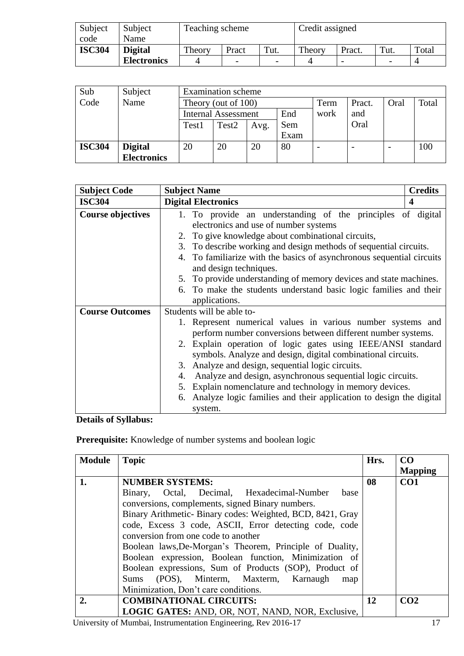| Subject       | Subject            | Teaching scheme |                          |                          | Credit assigned |                          |      |       |
|---------------|--------------------|-----------------|--------------------------|--------------------------|-----------------|--------------------------|------|-------|
| code          | Name               |                 |                          |                          |                 |                          |      |       |
| <b>ISC304</b> | <b>Digital</b>     | Theory          | Pract                    | Tut.                     | Theory          | Pract.                   | Tut. | Total |
|               | <b>Electronics</b> |                 | $\overline{\phantom{a}}$ | $\overline{\phantom{0}}$ |                 | $\overline{\phantom{0}}$ |      |       |

| Sub           | Subject            | <b>Examination</b> scheme |                            |      |      |      |        |      |       |
|---------------|--------------------|---------------------------|----------------------------|------|------|------|--------|------|-------|
| Code          | Name               | Theory (out of 100)       |                            |      |      | Term | Pract. | Oral | Total |
|               |                    |                           | <b>Internal Assessment</b> |      | End  | work | and    |      |       |
|               |                    | Test1                     | Test <sub>2</sub>          | Avg. | Sem  |      | Oral   |      |       |
|               |                    |                           |                            |      | Exam |      |        |      |       |
| <b>ISC304</b> | <b>Digital</b>     | 20                        | 20                         | 20   | 80   |      |        |      | 100   |
|               | <b>Electronics</b> |                           |                            |      |      |      |        |      |       |

| <b>Subject Code</b>      | <b>Subject Name</b><br><b>Credits</b>                                 |
|--------------------------|-----------------------------------------------------------------------|
| <b>ISC304</b>            | <b>Digital Electronics</b><br>$\boldsymbol{4}$                        |
| <b>Course objectives</b> | 1. To provide an understanding of the principles of digital           |
|                          | electronics and use of number systems                                 |
|                          | 2. To give knowledge about combinational circuits,                    |
|                          | 3. To describe working and design methods of sequential circuits.     |
|                          | 4. To familiarize with the basics of asynchronous sequential circuits |
|                          | and design techniques.                                                |
|                          | 5. To provide understanding of memory devices and state machines.     |
|                          | 6. To make the students understand basic logic families and their     |
|                          | applications.                                                         |
| <b>Course Outcomes</b>   | Students will be able to-                                             |
|                          | 1. Represent numerical values in various number systems and           |
|                          | perform number conversions between different number systems.          |
|                          | 2. Explain operation of logic gates using IEEE/ANSI standard          |
|                          | symbols. Analyze and design, digital combinational circuits.          |
|                          | 3. Analyze and design, sequential logic circuits.                     |
|                          | Analyze and design, asynchronous sequential logic circuits.<br>4.     |
|                          | 5. Explain nomenclature and technology in memory devices.             |
|                          | 6. Analyze logic families and their application to design the digital |
|                          | system.                                                               |

**Details of Syllabus:**

**Prerequisite:** Knowledge of number systems and boolean logic

| <b>Module</b> | <b>Topic</b>                                              | Hrs. | CO              |
|---------------|-----------------------------------------------------------|------|-----------------|
|               |                                                           |      | <b>Mapping</b>  |
| 1.            | <b>NUMBER SYSTEMS:</b>                                    | 08   | CO <sub>1</sub> |
|               | Binary, Octal, Decimal, Hexadecimal-Number<br>base        |      |                 |
|               | conversions, complements, signed Binary numbers.          |      |                 |
|               | Binary Arithmetic-Binary codes: Weighted, BCD, 8421, Gray |      |                 |
|               | code, Excess 3 code, ASCII, Error detecting code, code    |      |                 |
|               | conversion from one code to another                       |      |                 |
|               | Boolean laws, De-Morgan's Theorem, Principle of Duality,  |      |                 |
|               | Boolean expression, Boolean function, Minimization of     |      |                 |
|               | Boolean expressions, Sum of Products (SOP), Product of    |      |                 |
|               | Sums (POS), Minterm, Maxterm, Karnaugh<br>map             |      |                 |
|               | Minimization, Don't care conditions.                      |      |                 |
| 2.            | <b>COMBINATIONAL CIRCUITS:</b>                            | 12   | CO <sub>2</sub> |
|               | LOGIC GATES: AND, OR, NOT, NAND, NOR, Exclusive,          |      |                 |

University of Mumbai, Instrumentation Engineering, Rev 2016-17 17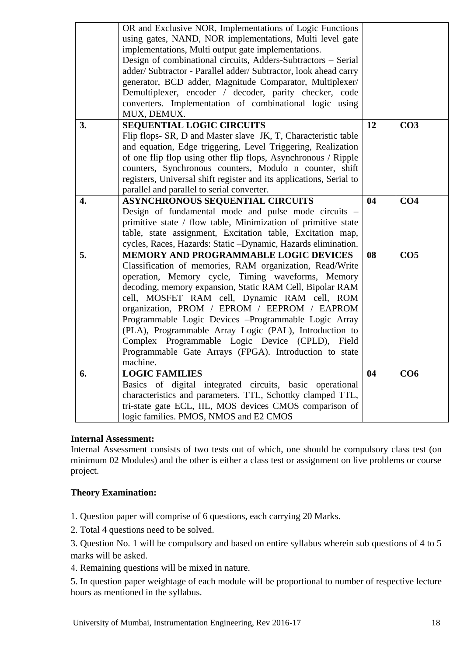|                  | OR and Exclusive NOR, Implementations of Logic Functions<br>using gates, NAND, NOR implementations, Multi level gate<br>implementations, Multi output gate implementations.<br>Design of combinational circuits, Adders-Subtractors - Serial<br>adder/ Subtractor - Parallel adder/ Subtractor, look ahead carry<br>generator, BCD adder, Magnitude Comparator, Multiplexer/<br>Demultiplexer, encoder / decoder, parity checker, code<br>converters. Implementation of combinational logic using<br>MUX, DEMUX.                                              |    |                 |
|------------------|---------------------------------------------------------------------------------------------------------------------------------------------------------------------------------------------------------------------------------------------------------------------------------------------------------------------------------------------------------------------------------------------------------------------------------------------------------------------------------------------------------------------------------------------------------------|----|-----------------|
| 3.               | SEQUENTIAL LOGIC CIRCUITS<br>Flip flops- SR, D and Master slave JK, T, Characteristic table<br>and equation, Edge triggering, Level Triggering, Realization<br>of one flip flop using other flip flops, Asynchronous / Ripple<br>counters, Synchronous counters, Modulo n counter, shift<br>registers, Universal shift register and its applications, Serial to<br>parallel and parallel to serial converter.                                                                                                                                                 | 12 | CO <sub>3</sub> |
| $\overline{4}$ . | <b>ASYNCHRONOUS SEQUENTIAL CIRCUITS</b><br>Design of fundamental mode and pulse mode circuits -<br>primitive state / flow table, Minimization of primitive state<br>table, state assignment, Excitation table, Excitation map,<br>cycles, Races, Hazards: Static -Dynamic, Hazards elimination.                                                                                                                                                                                                                                                               | 04 | CO <sub>4</sub> |
| 5.               | MEMORY AND PROGRAMMABLE LOGIC DEVICES<br>Classification of memories, RAM organization, Read/Write<br>operation, Memory cycle, Timing waveforms, Memory<br>decoding, memory expansion, Static RAM Cell, Bipolar RAM<br>cell, MOSFET RAM cell, Dynamic RAM cell, ROM<br>organization, PROM / EPROM / EEPROM / EAPROM<br>Programmable Logic Devices -Programmable Logic Array<br>(PLA), Programmable Array Logic (PAL), Introduction to<br>Complex Programmable Logic Device (CPLD), Field<br>Programmable Gate Arrays (FPGA). Introduction to state<br>machine. | 08 | CO <sub>5</sub> |
| 6.               | <b>LOGIC FAMILIES</b><br>Basics of digital integrated circuits, basic operational<br>characteristics and parameters. TTL, Schottky clamped TTL,<br>tri-state gate ECL, IIL, MOS devices CMOS comparison of<br>logic families. PMOS, NMOS and E2 CMOS                                                                                                                                                                                                                                                                                                          | 04 | CO6             |

## **Internal Assessment:**

Internal Assessment consists of two tests out of which, one should be compulsory class test (on minimum 02 Modules) and the other is either a class test or assignment on live problems or course project.

## **Theory Examination:**

1. Question paper will comprise of 6 questions, each carrying 20 Marks.

2. Total 4 questions need to be solved.

3. Question No. 1 will be compulsory and based on entire syllabus wherein sub questions of 4 to 5 marks will be asked.

4. Remaining questions will be mixed in nature.

5. In question paper weightage of each module will be proportional to number of respective lecture hours as mentioned in the syllabus.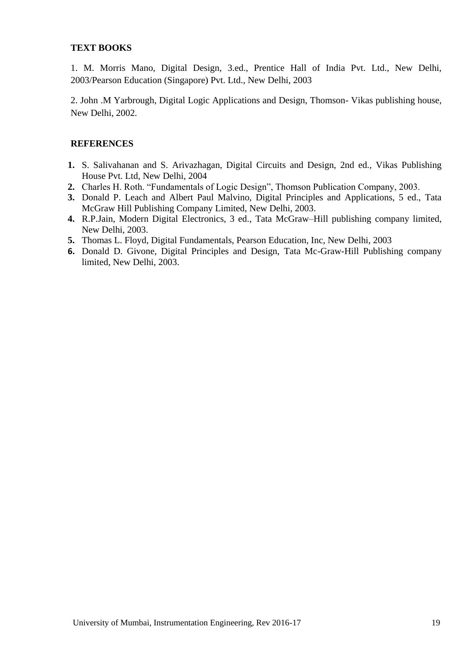## **TEXT BOOKS**

1. M. Morris Mano, Digital Design, 3.ed., Prentice Hall of India Pvt. Ltd., New Delhi, 2003/Pearson Education (Singapore) Pvt. Ltd., New Delhi, 2003

2. John .M Yarbrough, Digital Logic Applications and Design, Thomson- Vikas publishing house, New Delhi, 2002.

## **REFERENCES**

- **1.** S. Salivahanan and S. Arivazhagan, Digital Circuits and Design, 2nd ed., Vikas Publishing House Pvt. Ltd, New Delhi, 2004
- **2.** Charles H. Roth. "Fundamentals of Logic Design", Thomson Publication Company, 2003.
- **3.** Donald P. Leach and Albert Paul Malvino, Digital Principles and Applications, 5 ed., Tata McGraw Hill Publishing Company Limited, New Delhi, 2003.
- **4.** R.P.Jain, Modern Digital Electronics, 3 ed., Tata McGraw–Hill publishing company limited, New Delhi, 2003.
- **5.** Thomas L. Floyd, Digital Fundamentals, Pearson Education, Inc, New Delhi, 2003
- **6.** Donald D. Givone, Digital Principles and Design, Tata Mc-Graw-Hill Publishing company limited, New Delhi, 2003.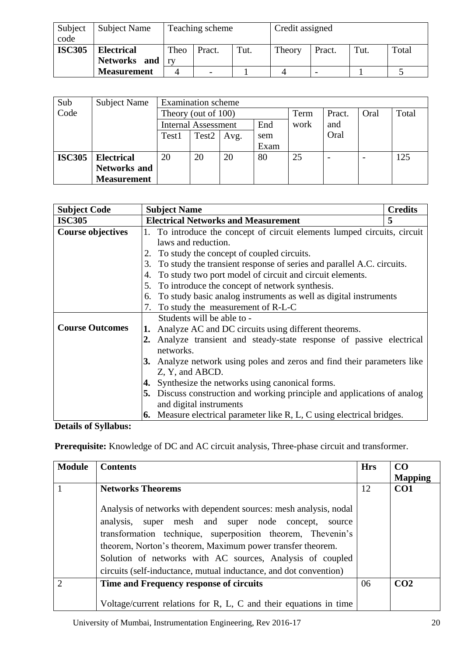| Subject<br>code | <b>Subject Name</b>               | Teaching scheme |                          | Credit assigned |        |                          |      |       |
|-----------------|-----------------------------------|-----------------|--------------------------|-----------------|--------|--------------------------|------|-------|
| <b>ISC305</b>   | <b>Electrical</b><br>Networks and | Theo            | Pract.                   | Tut.            | Theory | Pract.                   | Tut. | Total |
|                 | <b>Measurement</b>                |                 | $\overline{\phantom{0}}$ |                 |        | $\overline{\phantom{0}}$ |      |       |

| Sub           | <b>Subject Name</b> | <b>Examination</b> scheme  |                   |      |      |      |        |      |       |
|---------------|---------------------|----------------------------|-------------------|------|------|------|--------|------|-------|
| Code          |                     | Theory (out of 100)        |                   |      |      | Term | Pract. | Oral | Total |
|               |                     | <b>Internal Assessment</b> |                   |      | End  | work | and    |      |       |
|               |                     | Test1                      | Test <sub>2</sub> | Avg. | sem  |      | Oral   |      |       |
|               |                     |                            |                   |      | Exam |      |        |      |       |
| <b>ISC305</b> | <b>Electrical</b>   | 20                         | 20                | 20   | 80   | 25   |        |      | 125   |
|               | <b>Networks and</b> |                            |                   |      |      |      |        |      |       |
|               | <b>Measurement</b>  |                            |                   |      |      |      |        |      |       |

| <b>Subject Code</b>      | <b>Subject Name</b>                                                         | <b>Credits</b> |
|--------------------------|-----------------------------------------------------------------------------|----------------|
| <b>ISC305</b>            | <b>Electrical Networks and Measurement</b>                                  | 5              |
| <b>Course objectives</b> | 1. To introduce the concept of circuit elements lumped circuits, circuit    |                |
|                          | laws and reduction.                                                         |                |
|                          | To study the concept of coupled circuits.                                   |                |
|                          | To study the transient response of series and parallel A.C. circuits.<br>3. |                |
|                          | To study two port model of circuit and circuit elements.<br>4.              |                |
|                          | To introduce the concept of network synthesis.<br>5.                        |                |
|                          | To study basic analog instruments as well as digital instruments<br>6.      |                |
|                          | 7. To study the measurement of R-L-C                                        |                |
|                          | Students will be able to -                                                  |                |
| <b>Course Outcomes</b>   | Analyze AC and DC circuits using different theorems.<br>1.                  |                |
|                          | Analyze transient and steady-state response of passive electrical<br>2.     |                |
|                          | networks.                                                                   |                |
|                          | 3. Analyze network using poles and zeros and find their parameters like     |                |
|                          | Z, Y, and ABCD.                                                             |                |
|                          | Synthesize the networks using canonical forms.<br>4.                        |                |
|                          | 5. Discuss construction and working principle and applications of analog    |                |
|                          | and digital instruments                                                     |                |
|                          | Measure electrical parameter like R, L, C using electrical bridges.<br>6.   |                |

**Details of Syllabus:**

**Prerequisite:** Knowledge of DC and AC circuit analysis, Three-phase circuit and transformer.

| <b>Module</b>               | <b>Contents</b>                                                                                                                                                                                                                                                                                                                                                                         | <b>Hrs</b> | CO              |
|-----------------------------|-----------------------------------------------------------------------------------------------------------------------------------------------------------------------------------------------------------------------------------------------------------------------------------------------------------------------------------------------------------------------------------------|------------|-----------------|
|                             |                                                                                                                                                                                                                                                                                                                                                                                         |            | <b>Mapping</b>  |
|                             | <b>Networks Theorems</b>                                                                                                                                                                                                                                                                                                                                                                | 12         | CO <sub>1</sub> |
|                             | Analysis of networks with dependent sources: mesh analysis, nodal<br>analysis, super mesh and super node concept, source<br>transformation technique, superposition theorem, Thevenin's<br>theorem, Norton's theorem, Maximum power transfer theorem.<br>Solution of networks with AC sources, Analysis of coupled<br>circuits (self-inductance, mutual inductance, and dot convention) |            |                 |
| $\mathcal{D}_{\mathcal{L}}$ | Time and Frequency response of circuits                                                                                                                                                                                                                                                                                                                                                 | 06         | CO <sub>2</sub> |
|                             | Voltage/current relations for $R$ , $L$ , $C$ and their equations in time                                                                                                                                                                                                                                                                                                               |            |                 |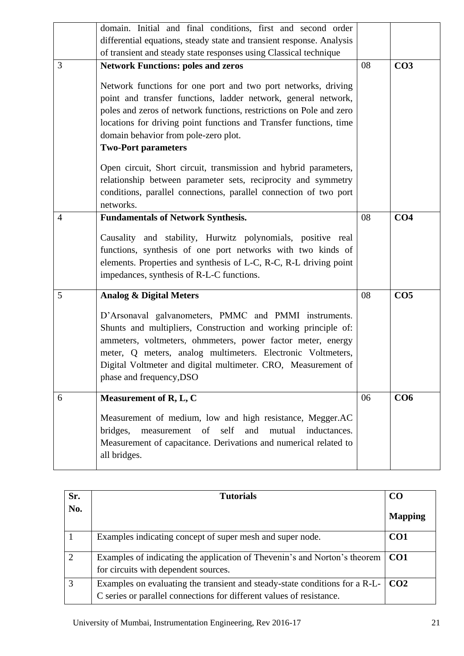|                | domain. Initial and final conditions, first and second order<br>differential equations, steady state and transient response. Analysis<br>of transient and steady state responses using Classical technique                                                                                                                                                                                                                                                                                                                           |    |                 |
|----------------|--------------------------------------------------------------------------------------------------------------------------------------------------------------------------------------------------------------------------------------------------------------------------------------------------------------------------------------------------------------------------------------------------------------------------------------------------------------------------------------------------------------------------------------|----|-----------------|
| 3              | <b>Network Functions: poles and zeros</b><br>Network functions for one port and two port networks, driving<br>point and transfer functions, ladder network, general network,<br>poles and zeros of network functions, restrictions on Pole and zero<br>locations for driving point functions and Transfer functions, time<br>domain behavior from pole-zero plot.<br><b>Two-Port parameters</b><br>Open circuit, Short circuit, transmission and hybrid parameters,<br>relationship between parameter sets, reciprocity and symmetry | 08 | CO <sub>3</sub> |
|                | conditions, parallel connections, parallel connection of two port<br>networks.                                                                                                                                                                                                                                                                                                                                                                                                                                                       |    |                 |
| $\overline{4}$ | <b>Fundamentals of Network Synthesis.</b><br>Causality and stability, Hurwitz polynomials, positive real<br>functions, synthesis of one port networks with two kinds of<br>elements. Properties and synthesis of L-C, R-C, R-L driving point<br>impedances, synthesis of R-L-C functions.                                                                                                                                                                                                                                            | 08 | CO <sub>4</sub> |
| 5              | <b>Analog &amp; Digital Meters</b><br>D'Arsonaval galvanometers, PMMC and PMMI instruments.<br>Shunts and multipliers, Construction and working principle of:<br>ammeters, voltmeters, ohmmeters, power factor meter, energy<br>meter, Q meters, analog multimeters. Electronic Voltmeters,<br>Digital Voltmeter and digital multimeter. CRO, Measurement of<br>phase and frequency, DSO                                                                                                                                             | 08 | CO <sub>5</sub> |
| 6              | Measurement of R, L, C<br>Measurement of medium, low and high resistance, Megger.AC<br>measurement of self<br>bridges,<br>and<br>mutual<br>inductances.<br>Measurement of capacitance. Derivations and numerical related to<br>all bridges.                                                                                                                                                                                                                                                                                          | 06 | CO6             |

| Sr.           | <b>Tutorials</b>                                                                                                                                                | C <sub>O</sub>  |
|---------------|-----------------------------------------------------------------------------------------------------------------------------------------------------------------|-----------------|
| No.           |                                                                                                                                                                 | <b>Mapping</b>  |
|               | Examples indicating concept of super mesh and super node.                                                                                                       | CO <sub>1</sub> |
| $\mathcal{D}$ | Examples of indicating the application of Thevenin's and Norton's theorem<br>for circuits with dependent sources.                                               | CO1             |
| 3             | Examples on evaluating the transient and steady-state conditions for a R-L- $\vert$ CO2<br>C series or parallel connections for different values of resistance. |                 |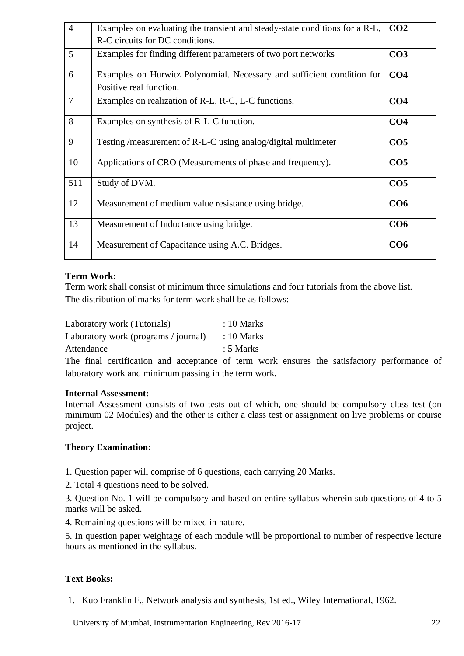| $\overline{4}$ | Examples on evaluating the transient and steady-state conditions for a R-L, | CO <sub>2</sub> |
|----------------|-----------------------------------------------------------------------------|-----------------|
|                | R-C circuits for DC conditions.                                             |                 |
| 5              | Examples for finding different parameters of two port networks              | CO <sub>3</sub> |
| 6              | Examples on Hurwitz Polynomial. Necessary and sufficient condition for      | CO <sub>4</sub> |
|                | Positive real function.                                                     |                 |
| $\overline{7}$ | Examples on realization of R-L, R-C, L-C functions.                         | CO <sub>4</sub> |
| 8              | Examples on synthesis of R-L-C function.                                    | CO <sub>4</sub> |
| 9              | Testing/measurement of R-L-C using analog/digital multimeter                | CO <sub>5</sub> |
| 10             | Applications of CRO (Measurements of phase and frequency).                  | CO <sub>5</sub> |
| 511            | Study of DVM.                                                               | CO <sub>5</sub> |
| 12             | Measurement of medium value resistance using bridge.                        | CO <sub>6</sub> |
| 13             | Measurement of Inductance using bridge.                                     | CO <sub>6</sub> |
| 14             | Measurement of Capacitance using A.C. Bridges.                              | CO6             |

## **Term Work:**

Term work shall consist of minimum three simulations and four tutorials from the above list. The distribution of marks for term work shall be as follows:

| Laboratory work (Tutorials)          | $: 10$ Marks |
|--------------------------------------|--------------|
| Laboratory work (programs / journal) | $: 10$ Marks |
| Attendance                           | $: 5$ Marks  |
|                                      |              |

The final certification and acceptance of term work ensures the satisfactory performance of laboratory work and minimum passing in the term work.

## **Internal Assessment:**

Internal Assessment consists of two tests out of which, one should be compulsory class test (on minimum 02 Modules) and the other is either a class test or assignment on live problems or course project.

## **Theory Examination:**

1. Question paper will comprise of 6 questions, each carrying 20 Marks.

2. Total 4 questions need to be solved.

3. Question No. 1 will be compulsory and based on entire syllabus wherein sub questions of 4 to 5 marks will be asked.

4. Remaining questions will be mixed in nature.

5. In question paper weightage of each module will be proportional to number of respective lecture hours as mentioned in the syllabus.

## **Text Books:**

1. Kuo Franklin F., Network analysis and synthesis, 1st ed., Wiley International, 1962.

University of Mumbai, Instrumentation Engineering, Rev 2016-17 22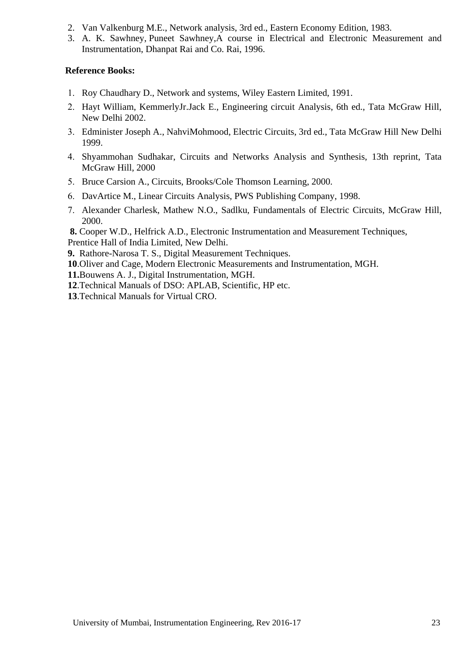- 2. Van Valkenburg M.E., Network analysis, 3rd ed., Eastern Economy Edition, 1983.
- 3. A. [K. Sawhney,](https://www.google.co.in/search?tbo=p&tbm=bks&q=inauthor:) [Puneet Sawhney,](https://www.google.co.in/search?tbo=p&tbm=bks&q=inauthor:)A course in Electrical and Electronic Measurement and Instrumentation, Dhanpat Rai and Co. Rai, 1996.

## **Reference Books:**

- Roy Chaudhary D., Network and systems, Wiley Eastern Limited, 1991.
- Hayt William, KemmerlyJr.Jack E., Engineering circuit Analysis, 6th ed., Tata McGraw Hill, New Delhi 2002.
- Edminister Joseph A., NahviMohmood, Electric Circuits, 3rd ed., Tata McGraw Hill New Delhi 1999.
- Shyammohan Sudhakar, Circuits and Networks Analysis and Synthesis, 13th reprint, Tata McGraw Hill, 2000
- 5. Bruce Carsion A., Circuits, Brooks/Cole Thomson Learning, 2000.
- DavArtice M., Linear Circuits Analysis, PWS Publishing Company, 1998.
- Alexander Charlesk, Mathew N.O., Sadlku, Fundamentals of Electric Circuits, McGraw Hill, 2000.

**8.** Cooper W.D., Helfrick A.D., Electronic Instrumentation and Measurement Techniques, Prentice Hall of India Limited, New Delhi.

- **9.** Rathore-Narosa T. S., Digital Measurement Techniques.
- **10**.Oliver and Cage, Modern Electronic Measurements and Instrumentation, MGH.

**11.**Bouwens A. J., Digital Instrumentation, MGH.

**12**.Technical Manuals of DSO: APLAB, Scientific, HP etc.

**13**.Technical Manuals for Virtual CRO.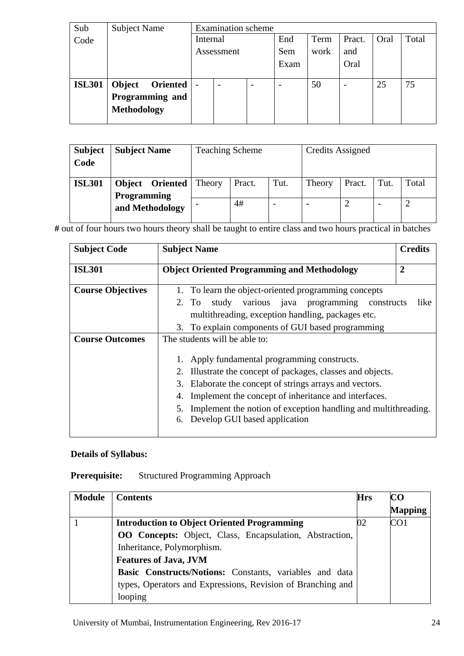| Sub           | <b>Subject Name</b>       |                          | <b>Examination</b> scheme |     |      |      |        |      |       |
|---------------|---------------------------|--------------------------|---------------------------|-----|------|------|--------|------|-------|
| Code          |                           | Internal                 |                           |     | End  | Term | Pract. | Oral | Total |
|               |                           | Assessment               |                           | Sem | work | and  |        |      |       |
|               |                           |                          |                           |     | Exam |      | Oral   |      |       |
|               |                           |                          |                           |     |      |      |        |      |       |
| <b>ISL301</b> | Object<br><b>Oriented</b> | $\overline{\phantom{a}}$ | $\overline{\phantom{a}}$  |     |      | 50   |        | 25   | 75    |
|               | Programming and           |                          |                           |     |      |      |        |      |       |
|               | <b>Methodology</b>        |                          |                           |     |      |      |        |      |       |
|               |                           |                          |                           |     |      |      |        |      |       |

| <b>Subject</b><br>Code | <b>Subject Name</b>             | <b>Teaching Scheme</b> |        |      | <b>Credits Assigned</b> |        |      |       |
|------------------------|---------------------------------|------------------------|--------|------|-------------------------|--------|------|-------|
| <b>ISL301</b>          | <b>Object Oriented</b>   Theory |                        | Pract. | Tut. | Theory                  | Pract. | Tut. | Total |
|                        | <b>Programming</b>              |                        |        |      |                         |        |      |       |
|                        | and Methodology                 |                        | 4#     |      |                         |        |      |       |

**#** out of four hours two hours theory shall be taught to entire class and two hours practical in batches

| <b>Subject Code</b>      | <b>Subject Name</b>                                                                                                                                                | <b>Credits</b> |
|--------------------------|--------------------------------------------------------------------------------------------------------------------------------------------------------------------|----------------|
| <b>ISL301</b>            | <b>Object Oriented Programming and Methodology</b>                                                                                                                 | $\overline{2}$ |
| <b>Course Objectives</b> | 1. To learn the object-oriented programming concepts<br>study various java programming<br>2. To<br>constructs<br>multithreading, exception handling, packages etc. | like           |
|                          | 3. To explain components of GUI based programming                                                                                                                  |                |
| <b>Course Outcomes</b>   | The students will be able to:                                                                                                                                      |                |
|                          | Apply fundamental programming constructs.                                                                                                                          |                |
|                          | Illustrate the concept of packages, classes and objects.                                                                                                           |                |
|                          | 3.<br>Elaborate the concept of strings arrays and vectors.                                                                                                         |                |
|                          | Implement the concept of inheritance and interfaces.<br>4.                                                                                                         |                |
|                          | Implement the notion of exception handling and multithreading.<br>5.                                                                                               |                |
|                          | Develop GUI based application<br>6.                                                                                                                                |                |

## **Details of Syllabus:**

**Prerequisite:** Structured Programming Approach

| <b>Module</b> | <b>Contents</b>                                                | <b>Hrs</b> | CO              |
|---------------|----------------------------------------------------------------|------------|-----------------|
|               |                                                                |            | <b>Mapping</b>  |
|               | <b>Introduction to Object Oriented Programming</b>             | 02         | CO <sub>1</sub> |
|               | <b>OO</b> Concepts: Object, Class, Encapsulation, Abstraction, |            |                 |
|               | Inheritance, Polymorphism.                                     |            |                 |
|               | <b>Features of Java, JVM</b>                                   |            |                 |
|               | Basic Constructs/Notions: Constants, variables and data        |            |                 |
|               | types, Operators and Expressions, Revision of Branching and    |            |                 |
|               | looping                                                        |            |                 |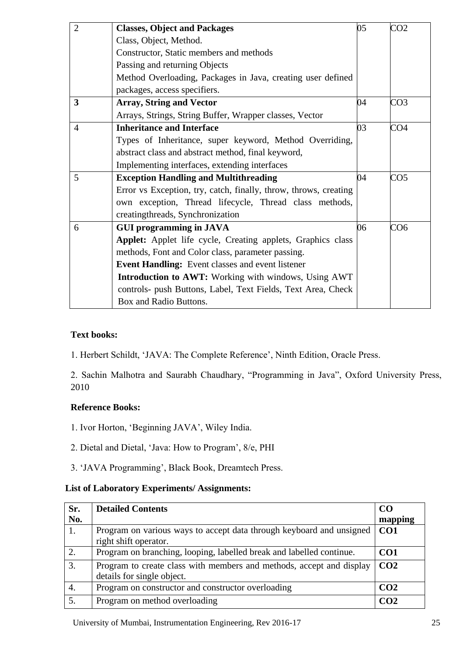| $\overline{2}$ | <b>Classes, Object and Packages</b>                              | 05 | CO <sub>2</sub> |
|----------------|------------------------------------------------------------------|----|-----------------|
|                | Class, Object, Method.                                           |    |                 |
|                | Constructor, Static members and methods                          |    |                 |
|                | Passing and returning Objects                                    |    |                 |
|                | Method Overloading, Packages in Java, creating user defined      |    |                 |
|                | packages, access specifiers.                                     |    |                 |
| 3              | <b>Array, String and Vector</b>                                  | 04 | CO <sub>3</sub> |
|                | Arrays, Strings, String Buffer, Wrapper classes, Vector          |    |                 |
| $\overline{4}$ | <b>Inheritance and Interface</b>                                 | 03 | CO <sub>4</sub> |
|                | Types of Inheritance, super keyword, Method Overriding,          |    |                 |
|                | abstract class and abstract method, final keyword,               |    |                 |
|                | Implementing interfaces, extending interfaces                    |    |                 |
| 5              | <b>Exception Handling and Multithreading</b>                     | 04 | CO <sub>5</sub> |
|                | Error vs Exception, try, catch, finally, throw, throws, creating |    |                 |
|                | own exception, Thread lifecycle, Thread class methods,           |    |                 |
|                | creatingthreads, Synchronization                                 |    |                 |
| 6              | <b>GUI programming in JAVA</b>                                   | 06 | CO6             |
|                | Applet: Applet life cycle, Creating applets, Graphics class      |    |                 |
|                | methods, Font and Color class, parameter passing.                |    |                 |
|                | Event Handling: Event classes and event listener                 |    |                 |
|                | <b>Introduction to AWT:</b> Working with windows, Using AWT      |    |                 |
|                | controls- push Buttons, Label, Text Fields, Text Area, Check     |    |                 |
|                | Box and Radio Buttons.                                           |    |                 |

## **Text books:**

1. Herbert Schildt, ‗JAVA: The Complete Reference', Ninth Edition, Oracle Press.

2. Sachin Malhotra and Saurabh Chaudhary, "Programming in Java", Oxford University Press, 2010

## **Reference Books:**

- 1. Ivor Horton, 'Beginning JAVA', Wiley India.
- 2. Dietal and Dietal, ‗Java: How to Program', 8/e, PHI
- 3. ‗JAVA Programming', Black Book, Dreamtech Press.

## **List of Laboratory Experiments/ Assignments:**

| Sr. | <b>Detailed Contents</b>                                                                           | CO <sub>0</sub> |
|-----|----------------------------------------------------------------------------------------------------|-----------------|
| No. |                                                                                                    | mapping         |
| 1.  | Program on various ways to accept data through keyboard and unsigned<br>right shift operator.      | CO1             |
| 2.  | Program on branching, looping, labelled break and labelled continue.                               | CO <sub>1</sub> |
| 3.  | Program to create class with members and methods, accept and display<br>details for single object. | CO <sub>2</sub> |
| 4.  | Program on constructor and constructor overloading                                                 | CO <sub>2</sub> |
| 5.  | Program on method overloading                                                                      | CO <sub>2</sub> |

University of Mumbai, Instrumentation Engineering, Rev 2016-17 25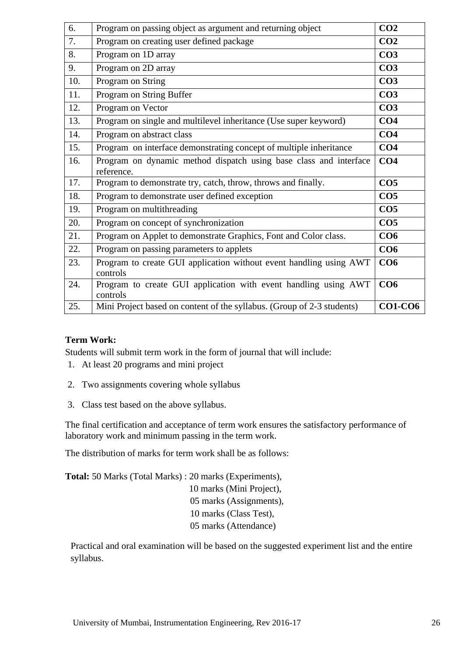| 6.  | Program on passing object as argument and returning object                      | CO <sub>2</sub> |
|-----|---------------------------------------------------------------------------------|-----------------|
| 7.  | Program on creating user defined package                                        | CO <sub>2</sub> |
| 8.  | Program on 1D array                                                             | CO <sub>3</sub> |
| 9.  | Program on 2D array                                                             | CO <sub>3</sub> |
| 10. | Program on String                                                               | CO <sub>3</sub> |
| 11. | Program on String Buffer                                                        | CO <sub>3</sub> |
| 12. | Program on Vector                                                               | CO <sub>3</sub> |
| 13. | Program on single and multilevel inheritance (Use super keyword)                | CO <sub>4</sub> |
| 14. | Program on abstract class                                                       | CO <sub>4</sub> |
| 15. | Program on interface demonstrating concept of multiple inheritance              | CO <sub>4</sub> |
| 16. | Program on dynamic method dispatch using base class and interface<br>reference. | CO <sub>4</sub> |
| 17. | Program to demonstrate try, catch, throw, throws and finally.                   | CO <sub>5</sub> |
| 18. | Program to demonstrate user defined exception                                   | CO <sub>5</sub> |
| 19. | Program on multithreading                                                       | CO <sub>5</sub> |
| 20. | Program on concept of synchronization                                           | CO <sub>5</sub> |
| 21. | Program on Applet to demonstrate Graphics, Font and Color class.                | CO6             |
| 22. | Program on passing parameters to applets                                        | CO6             |
| 23. | Program to create GUI application without event handling using AWT<br>controls  | CO6             |
| 24. | Program to create GUI application with event handling using AWT<br>controls     | CO6             |
| 25. | Mini Project based on content of the syllabus. (Group of 2-3 students)          | <b>CO1-CO6</b>  |

## **Term Work:**

Students will submit term work in the form of journal that will include:

- 1. At least 20 programs and mini project
- 2. Two assignments covering whole syllabus
- 3. Class test based on the above syllabus.

The final certification and acceptance of term work ensures the satisfactory performance of laboratory work and minimum passing in the term work.

The distribution of marks for term work shall be as follows:

**Total:** 50 Marks (Total Marks) : 20 marks (Experiments), 10 marks (Mini Project), 05 marks (Assignments), 10 marks (Class Test), 05 marks (Attendance)

Practical and oral examination will be based on the suggested experiment list and the entire syllabus.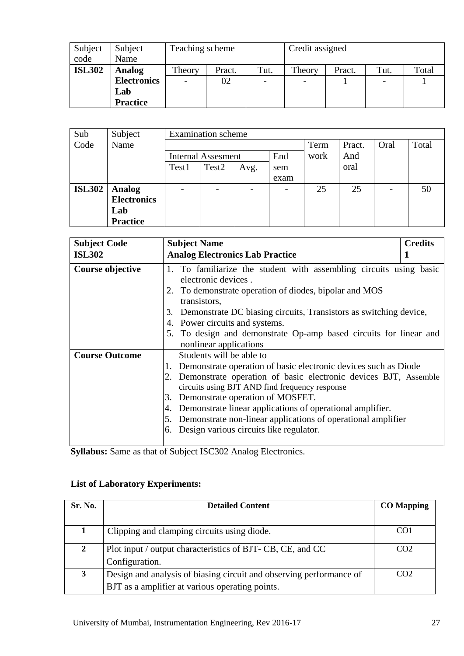| Subject       | Subject            | Teaching scheme |        |                          | Credit assigned |                          |      |       |
|---------------|--------------------|-----------------|--------|--------------------------|-----------------|--------------------------|------|-------|
| code          | Name               |                 |        |                          |                 |                          |      |       |
| <b>ISL302</b> | <b>Analog</b>      | Theory          | Pract. | Tut.                     | Theory          | Pract.                   | Tut. | Total |
|               | <b>Electronics</b> | 02              |        | $\overline{\phantom{a}}$ |                 | $\overline{\phantom{a}}$ |      |       |
|               | Lab                |                 |        |                          |                 |                          |      |       |
|               | <b>Practice</b>    |                 |        |                          |                 |                          |      |       |

| Sub           | Subject            | <b>Examination</b> scheme |                           |      |      |      |        |      |       |
|---------------|--------------------|---------------------------|---------------------------|------|------|------|--------|------|-------|
| Code          | Name               |                           |                           |      |      | Term | Pract. | Oral | Total |
|               |                    |                           | <b>Internal Assesment</b> |      | End  | work | And    |      |       |
|               |                    | Test1                     | Test <sub>2</sub>         | Avg. | sem  |      | oral   |      |       |
|               |                    |                           |                           |      | exam |      |        |      |       |
| <b>ISL302</b> | <b>Analog</b>      |                           |                           |      |      | 25   | 25     |      | 50    |
|               | <b>Electronics</b> |                           |                           |      |      |      |        |      |       |
|               | Lab                |                           |                           |      |      |      |        |      |       |
|               | <b>Practice</b>    |                           |                           |      |      |      |        |      |       |

| <b>Subject Code</b>   | <b>Subject Name</b>                                                                                                                                                                                                                                                                                                                                                                                                                               | <b>Credits</b> |
|-----------------------|---------------------------------------------------------------------------------------------------------------------------------------------------------------------------------------------------------------------------------------------------------------------------------------------------------------------------------------------------------------------------------------------------------------------------------------------------|----------------|
| <b>ISL302</b>         | <b>Analog Electronics Lab Practice</b>                                                                                                                                                                                                                                                                                                                                                                                                            |                |
| Course objective      | 1. To familiarize the student with assembling circuits using basic<br>electronic devices.<br>2. To demonstrate operation of diodes, bipolar and MOS<br>transistors,<br>Demonstrate DC biasing circuits, Transistors as switching device,<br>3.<br>Power circuits and systems.<br>4.<br>5. To design and demonstrate Op-amp based circuits for linear and<br>nonlinear applications                                                                |                |
| <b>Course Outcome</b> | Students will be able to<br>Demonstrate operation of basic electronic devices such as Diode<br>2. Demonstrate operation of basic electronic devices BJT, Assemble<br>circuits using BJT AND find frequency response<br>Demonstrate operation of MOSFET.<br>3.<br>Demonstrate linear applications of operational amplifier.<br>4.<br>5. Demonstrate non-linear applications of operational amplifier<br>6. Design various circuits like regulator. |                |

**Syllabus:** Same as that of Subject ISC302 Analog Electronics.

## **List of Laboratory Experiments:**

| Sr. No.      | <b>Detailed Content</b>                                             | <b>CO</b> Mapping |
|--------------|---------------------------------------------------------------------|-------------------|
|              |                                                                     |                   |
|              | Clipping and clamping circuits using diode.                         | CO <sub>1</sub>   |
| $\mathbf{2}$ | Plot input / output characteristics of BJT- CB, CE, and CC          | CO <sub>2</sub>   |
|              | Configuration.                                                      |                   |
| 3            | Design and analysis of biasing circuit and observing performance of | CO <sub>2</sub>   |
|              | BJT as a amplifier at various operating points.                     |                   |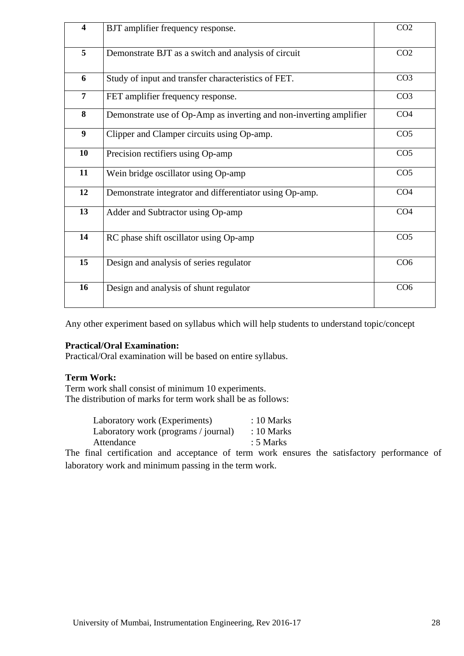| $\overline{\mathbf{4}}$ | BJT amplifier frequency response.                                  | CO <sub>2</sub> |
|-------------------------|--------------------------------------------------------------------|-----------------|
| $\overline{5}$          | Demonstrate BJT as a switch and analysis of circuit                | CO <sub>2</sub> |
| 6                       | Study of input and transfer characteristics of FET.                | CO <sub>3</sub> |
| $\overline{7}$          | FET amplifier frequency response.                                  | CO <sub>3</sub> |
| 8                       | Demonstrate use of Op-Amp as inverting and non-inverting amplifier | CO <sub>4</sub> |
| 9                       | Clipper and Clamper circuits using Op-amp.                         | CO <sub>5</sub> |
| 10                      | Precision rectifiers using Op-amp                                  | CO <sub>5</sub> |
| 11                      | Wein bridge oscillator using Op-amp                                | CO <sub>5</sub> |
| 12                      | Demonstrate integrator and differentiator using Op-amp.            | CO <sub>4</sub> |
| 13                      | Adder and Subtractor using Op-amp                                  | CO <sub>4</sub> |
| 14                      | RC phase shift oscillator using Op-amp                             | CO <sub>5</sub> |
| 15                      | Design and analysis of series regulator                            | CO <sub>6</sub> |
| 16                      | Design and analysis of shunt regulator                             | CO <sub>6</sub> |

Any other experiment based on syllabus which will help students to understand topic/concept

#### **Practical/Oral Examination:**

Practical/Oral examination will be based on entire syllabus.

#### **Term Work:**

Term work shall consist of minimum 10 experiments. The distribution of marks for term work shall be as follows:

| Laboratory work (Experiments)        | $: 10$ Marks |
|--------------------------------------|--------------|
| Laboratory work (programs / journal) | $: 10$ Marks |
| Attendance                           | : 5 Marks    |

The final certification and acceptance of term work ensures the satisfactory performance of laboratory work and minimum passing in the term work.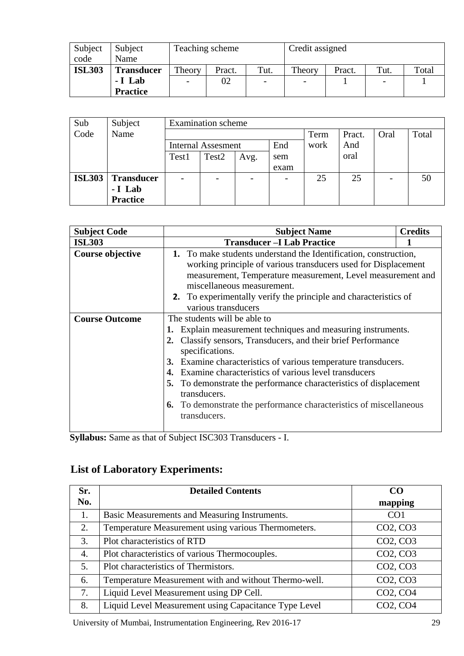| Subject       | Subject           | Teaching scheme   |        |                          | Credit assigned          |        |                          |       |
|---------------|-------------------|-------------------|--------|--------------------------|--------------------------|--------|--------------------------|-------|
| code          | Name              |                   |        |                          |                          |        |                          |       |
| <b>ISL303</b> | <b>Transducer</b> | Theory            | Pract. | Tut.                     | Theory                   | Pract. | Tut.                     | Total |
|               | - I Lab           | $\qquad \qquad -$ | 02     | $\overline{\phantom{a}}$ | $\overline{\phantom{a}}$ |        | $\overline{\phantom{a}}$ |       |
|               | <b>Practice</b>   |                   |        |                          |                          |        |                          |       |

| Sub           | Subject           | <b>Examination</b> scheme |                           |      |      |      |        |      |       |
|---------------|-------------------|---------------------------|---------------------------|------|------|------|--------|------|-------|
| Code          | Name              |                           |                           |      |      |      | Pract. | Oral | Total |
|               |                   |                           | <b>Internal Assesment</b> |      | End  | work | And    |      |       |
|               |                   | Test1                     | Test <sub>2</sub>         | Avg. | sem  |      | oral   |      |       |
|               |                   |                           |                           |      | exam |      |        |      |       |
| <b>ISL303</b> | <b>Transducer</b> | $\overline{\phantom{a}}$  | $\overline{\phantom{0}}$  |      |      | 25   | 25     |      | 50    |
|               | - I Lab           |                           |                           |      |      |      |        |      |       |
|               | <b>Practice</b>   |                           |                           |      |      |      |        |      |       |

| <b>Subject Code</b>     | <b>Subject Name</b>                                                         | <b>Credits</b> |  |  |  |  |
|-------------------------|-----------------------------------------------------------------------------|----------------|--|--|--|--|
| <b>ISL303</b>           | <b>Transducer –I Lab Practice</b>                                           |                |  |  |  |  |
| <b>Course objective</b> | 1. To make students understand the Identification, construction,            |                |  |  |  |  |
|                         | working principle of various transducers used for Displacement              |                |  |  |  |  |
|                         | measurement, Temperature measurement, Level measurement and                 |                |  |  |  |  |
|                         | miscellaneous measurement.                                                  |                |  |  |  |  |
|                         | <b>2.</b> To experimentally verify the principle and characteristics of     |                |  |  |  |  |
|                         | various transducers                                                         |                |  |  |  |  |
| <b>Course Outcome</b>   | The students will be able to                                                |                |  |  |  |  |
|                         | Explain measurement techniques and measuring instruments.                   |                |  |  |  |  |
|                         | Classify sensors, Transducers, and their brief Performance<br>$2_{\bullet}$ |                |  |  |  |  |
|                         | specifications.                                                             |                |  |  |  |  |
|                         | Examine characteristics of various temperature transducers.<br>3.           |                |  |  |  |  |
|                         | Examine characteristics of various level transducers<br>4.                  |                |  |  |  |  |
|                         | To demonstrate the performance characteristics of displacement<br>5.        |                |  |  |  |  |
|                         | transducers.                                                                |                |  |  |  |  |
|                         | <b>6.</b> To demonstrate the performance characteristics of miscellaneous   |                |  |  |  |  |
|                         | transducers.                                                                |                |  |  |  |  |
|                         |                                                                             |                |  |  |  |  |

**Syllabus:** Same as that of Subject ISC303 Transducers - I.

# **List of Laboratory Experiments:**

| Sr. | <b>Detailed Contents</b>                              | CO <sub>0</sub>                   |
|-----|-------------------------------------------------------|-----------------------------------|
| No. |                                                       | mapping                           |
| 1.  | Basic Measurements and Measuring Instruments.         | CO <sub>1</sub>                   |
| 2.  | Temperature Measurement using various Thermometers.   | CO <sub>2</sub> , CO <sub>3</sub> |
| 3.  | Plot characteristics of RTD                           | CO <sub>2</sub> , CO <sub>3</sub> |
| 4.  | Plot characteristics of various Thermocouples.        | CO <sub>2</sub> , CO <sub>3</sub> |
| 5.  | Plot characteristics of Thermistors.                  | CO <sub>2</sub> , CO <sub>3</sub> |
| 6.  | Temperature Measurement with and without Thermo-well. | CO <sub>2</sub> , CO <sub>3</sub> |
| 7.  | Liquid Level Measurement using DP Cell.               | CO <sub>2</sub> , CO <sub>4</sub> |
| 8.  | Liquid Level Measurement using Capacitance Type Level | CO <sub>2</sub> , CO <sub>4</sub> |

University of Mumbai, Instrumentation Engineering, Rev 2016-17 29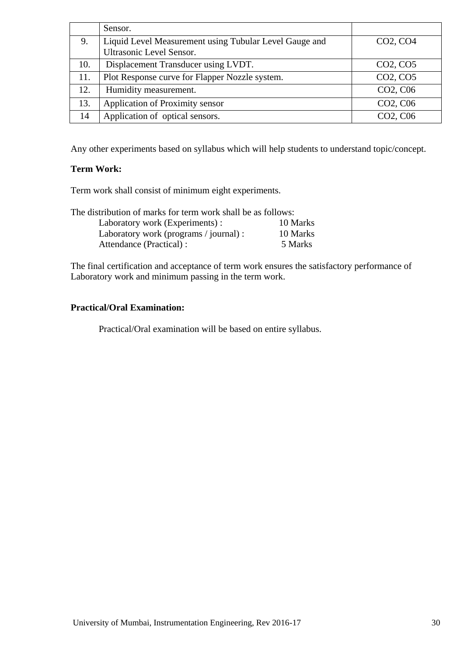|     | Sensor.                                                |                                               |
|-----|--------------------------------------------------------|-----------------------------------------------|
| 9.  | Liquid Level Measurement using Tubular Level Gauge and | CO <sub>2</sub> , C <sub>O</sub> <sub>4</sub> |
|     | <b>Ultrasonic Level Sensor.</b>                        |                                               |
| 10. | Displacement Transducer using LVDT.                    | CO <sub>2</sub> , C <sub>O</sub> <sub>5</sub> |
| 11. | Plot Response curve for Flapper Nozzle system.         | CO <sub>2</sub> , C <sub>O</sub> <sub>5</sub> |
| 12. | Humidity measurement.                                  | CO <sub>2</sub> , C <sub>06</sub>             |
| 13. | Application of Proximity sensor                        | CO <sub>2</sub> , C <sub>06</sub>             |
| 14  | Application of optical sensors.                        | CO <sub>2</sub> , C <sub>06</sub>             |

Any other experiments based on syllabus which will help students to understand topic/concept.

## **Term Work:**

Term work shall consist of minimum eight experiments.

The distribution of marks for term work shall be as follows:

| Laboratory work (Experiments) :        | 10 Marks |
|----------------------------------------|----------|
| Laboratory work (programs / journal) : | 10 Marks |
| Attendance (Practical) :               | 5 Marks  |

The final certification and acceptance of term work ensures the satisfactory performance of Laboratory work and minimum passing in the term work.

## **Practical/Oral Examination:**

Practical/Oral examination will be based on entire syllabus.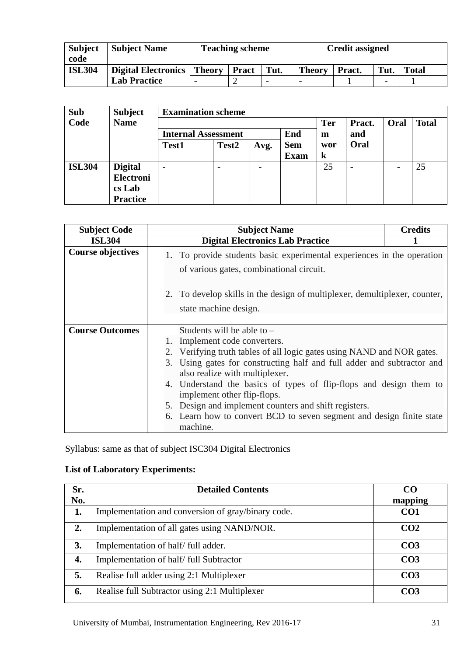| <b>Subject</b><br>code | <b>Subject Name</b> | <b>Teaching scheme</b> |              |                          | <b>Credit assigned</b> |        |      |              |
|------------------------|---------------------|------------------------|--------------|--------------------------|------------------------|--------|------|--------------|
| <b>ISL304</b>          | Digital Electronics | <b>Theory</b>          | <b>Pract</b> | Tut.                     | <b>Theory</b>          | Pract. | Tut. | <b>Total</b> |
|                        | <b>Lab Practice</b> | -                      |              | $\overline{\phantom{0}}$ |                        |        |      |              |

| Sub           | <b>Subject</b>   | <b>Examination scheme</b>         |                          |      |             |            |        |      |              |
|---------------|------------------|-----------------------------------|--------------------------|------|-------------|------------|--------|------|--------------|
| Code          | <b>Name</b>      |                                   |                          |      |             | <b>Ter</b> | Pract. | Oral | <b>Total</b> |
|               |                  | End<br><b>Internal Assessment</b> |                          |      |             | m          | and    |      |              |
|               |                  | <b>Test1</b>                      | Test <sub>2</sub>        | Avg. | <b>Sem</b>  | wor        | Oral   |      |              |
|               |                  |                                   |                          |      | <b>Exam</b> | $\bf k$    |        |      |              |
| <b>ISL304</b> | <b>Digital</b>   | $\overline{\phantom{0}}$          | $\overline{\phantom{0}}$ | -    |             | 25         |        |      | 25           |
|               | <b>Electroni</b> |                                   |                          |      |             |            |        |      |              |
|               | cs Lab           |                                   |                          |      |             |            |        |      |              |
|               | <b>Practice</b>  |                                   |                          |      |             |            |        |      |              |

| <b>Subject Code</b>      | <b>Subject Name</b>                                                                                                | <b>Credits</b> |
|--------------------------|--------------------------------------------------------------------------------------------------------------------|----------------|
| <b>ISL304</b>            | <b>Digital Electronics Lab Practice</b>                                                                            |                |
| <b>Course objectives</b> | 1. To provide students basic experimental experiences in the operation<br>of various gates, combinational circuit. |                |
|                          | 2. To develop skills in the design of multiplexer, demultiplexer, counter,<br>state machine design.                |                |
| <b>Course Outcomes</b>   | Students will be able to $-$                                                                                       |                |
|                          | 1. Implement code converters.                                                                                      |                |
|                          | 2. Verifying truth tables of all logic gates using NAND and NOR gates.                                             |                |
|                          | 3. Using gates for constructing half and full adder and subtractor and<br>also realize with multiplexer.           |                |
|                          | 4. Understand the basics of types of flip-flops and design them to<br>implement other flip-flops.                  |                |
|                          | 5. Design and implement counters and shift registers.                                                              |                |
|                          | 6. Learn how to convert BCD to seven segment and design finite state<br>machine.                                   |                |

Syllabus: same as that of subject ISC304 Digital Electronics

## **List of Laboratory Experiments:**

| Sr.              | <b>Detailed Contents</b>                           | CΩ              |
|------------------|----------------------------------------------------|-----------------|
| No.              |                                                    | mapping         |
| 1.               | Implementation and conversion of gray/binary code. | CO <sub>1</sub> |
| $\overline{2}$ . | Implementation of all gates using NAND/NOR.        | CO <sub>2</sub> |
| 3.               | Implementation of half/full adder.                 | CO <sub>3</sub> |
| 4.               | Implementation of half/full Subtractor             | CO <sub>3</sub> |
| 5.               | Realise full adder using 2:1 Multiplexer           | CO <sub>3</sub> |
| 6.               | Realise full Subtractor using 2:1 Multiplexer      | CO3             |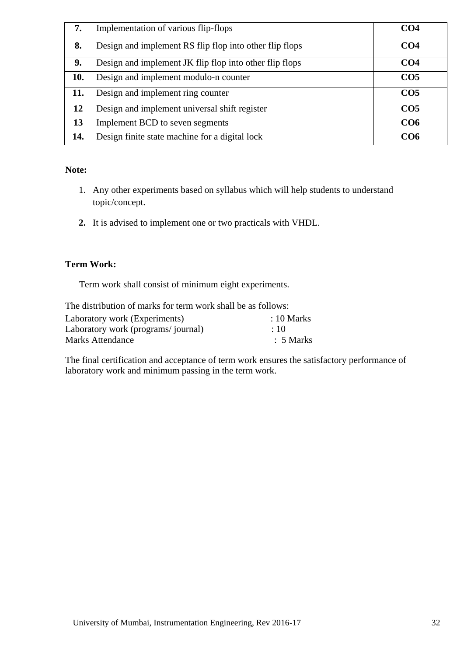| 7.  | Implementation of various flip-flops                    | CO <sub>4</sub> |
|-----|---------------------------------------------------------|-----------------|
| 8.  | Design and implement RS flip flop into other flip flops | CO <sub>4</sub> |
| 9.  | Design and implement JK flip flop into other flip flops | CO <sub>4</sub> |
| 10. | Design and implement modulo-n counter                   | CO <sub>5</sub> |
| 11. | Design and implement ring counter                       | CO <sub>5</sub> |
| 12  | Design and implement universal shift register           | CO <sub>5</sub> |
| 13  | Implement BCD to seven segments                         | CO6             |
| 14. | Design finite state machine for a digital lock          | CO6             |

## **Note:**

- 1. Any other experiments based on syllabus which will help students to understand topic/concept.
- **2.** It is advised to implement one or two practicals with VHDL.

## **Term Work:**

Term work shall consist of minimum eight experiments.

| The distribution of marks for term work shall be as follows: |                       |  |  |  |  |  |  |
|--------------------------------------------------------------|-----------------------|--|--|--|--|--|--|
| Laboratory work (Experiments)                                | $\therefore$ 10 Marks |  |  |  |  |  |  |
| Laboratory work (programs/journal)                           | $\cdot$ 10            |  |  |  |  |  |  |
| Marks Attendance                                             | $\therefore$ 5 Marks  |  |  |  |  |  |  |

The final certification and acceptance of term work ensures the satisfactory performance of laboratory work and minimum passing in the term work.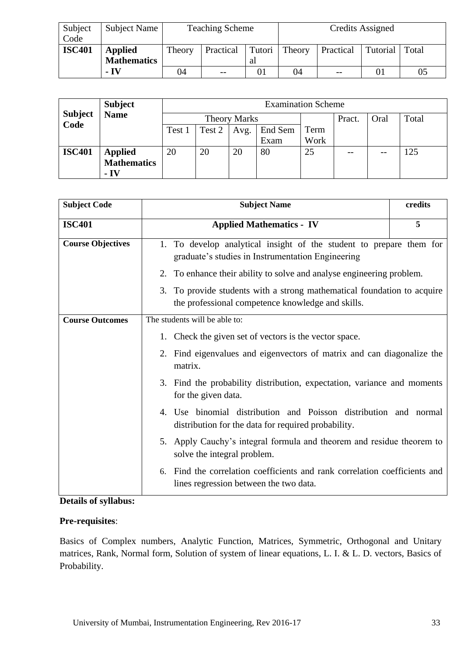| Subject<br>Code | Subject Name                         |                           | <b>Teaching Scheme</b> |    | Credits Assigned |       |    |    |
|-----------------|--------------------------------------|---------------------------|------------------------|----|------------------|-------|----|----|
| <b>ISC401</b>   | <b>Applied</b><br><b>Mathematics</b> | Theory<br>Practical<br>al |                        |    | Tutori Theory    | Total |    |    |
|                 | - IV                                 | 04                        | $- -$                  | 01 | 04               | $- -$ | 01 | 05 |

|                        | <b>Subject</b>           |        |                     |      | <b>Examination Scheme</b> |      |        |       |       |
|------------------------|--------------------------|--------|---------------------|------|---------------------------|------|--------|-------|-------|
| <b>Subject</b><br>Code | <b>Name</b>              |        | <b>Theory Marks</b> |      |                           |      | Pract. | Oral  | Total |
|                        |                          | Test 1 | Test 2              | Avg. | End Sem                   | Term |        |       |       |
|                        |                          |        |                     |      | Exam                      | Work |        |       |       |
| <b>ISC401</b>          | <b>Applied</b>           | 20     | 20                  | 20   | 80                        | 25   |        | $- -$ | 125   |
|                        | <b>Mathematics</b>       |        |                     |      |                           |      |        |       |       |
|                        | $\overline{\mathbf{IV}}$ |        |                     |      |                           |      |        |       |       |

| <b>Subject Code</b>      | <b>Subject Name</b>                                                                                                          | credits |
|--------------------------|------------------------------------------------------------------------------------------------------------------------------|---------|
| <b>ISC401</b>            | <b>Applied Mathematics - IV</b>                                                                                              | 5       |
| <b>Course Objectives</b> | 1. To develop analytical insight of the student to prepare them for<br>graduate's studies in Instrumentation Engineering     |         |
|                          | To enhance their ability to solve and analyse engineering problem.<br>2.                                                     |         |
|                          | 3. To provide students with a strong mathematical foundation to acquire<br>the professional competence knowledge and skills. |         |
| <b>Course Outcomes</b>   | The students will be able to:                                                                                                |         |
|                          | 1. Check the given set of vectors is the vector space.                                                                       |         |
|                          | 2. Find eigenvalues and eigenvectors of matrix and can diagonalize the<br>matrix.                                            |         |
|                          | Find the probability distribution, expectation, variance and moments<br>3.<br>for the given data.                            |         |
|                          | 4. Use binomial distribution and Poisson distribution and normal<br>distribution for the data for required probability.      |         |
|                          | Apply Cauchy's integral formula and theorem and residue theorem to<br>5.<br>solve the integral problem.                      |         |
|                          | Find the correlation coefficients and rank correlation coefficients and<br>6.<br>lines regression between the two data.      |         |

## **Details of syllabus:**

## **Pre-requisites**:

Basics of Complex numbers, Analytic Function, Matrices, Symmetric, Orthogonal and Unitary matrices, Rank, Normal form, Solution of system of linear equations, L. I. & L. D. vectors, Basics of Probability.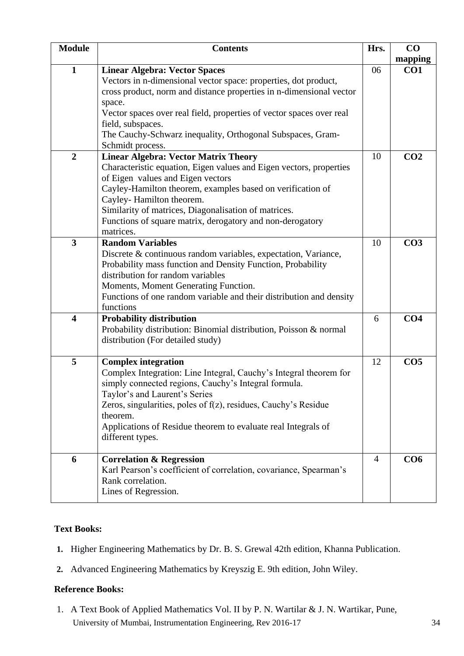| <b>Module</b>           | <b>Contents</b>                                                                                                                                                                                                                                                                                                                                                                     | Hrs.           | CO              |
|-------------------------|-------------------------------------------------------------------------------------------------------------------------------------------------------------------------------------------------------------------------------------------------------------------------------------------------------------------------------------------------------------------------------------|----------------|-----------------|
|                         |                                                                                                                                                                                                                                                                                                                                                                                     |                | mapping         |
| $\mathbf{1}$            | <b>Linear Algebra: Vector Spaces</b><br>Vectors in n-dimensional vector space: properties, dot product,<br>cross product, norm and distance properties in n-dimensional vector<br>space.                                                                                                                                                                                            | 06             | CO <sub>1</sub> |
|                         | Vector spaces over real field, properties of vector spaces over real<br>field, subspaces.<br>The Cauchy-Schwarz inequality, Orthogonal Subspaces, Gram-<br>Schmidt process.                                                                                                                                                                                                         |                |                 |
| $\overline{2}$          | <b>Linear Algebra: Vector Matrix Theory</b><br>Characteristic equation, Eigen values and Eigen vectors, properties<br>of Eigen values and Eigen vectors<br>Cayley-Hamilton theorem, examples based on verification of<br>Cayley-Hamilton theorem.<br>Similarity of matrices, Diagonalisation of matrices.<br>Functions of square matrix, derogatory and non-derogatory<br>matrices. | 10             | CO <sub>2</sub> |
| 3                       | <b>Random Variables</b><br>Discrete & continuous random variables, expectation, Variance,<br>Probability mass function and Density Function, Probability<br>distribution for random variables<br>Moments, Moment Generating Function.<br>Functions of one random variable and their distribution and density<br>functions                                                           | 10             | CO <sub>3</sub> |
| $\overline{\mathbf{4}}$ | <b>Probability distribution</b><br>Probability distribution: Binomial distribution, Poisson & normal<br>distribution (For detailed study)                                                                                                                                                                                                                                           | 6              | CO <sub>4</sub> |
| 5                       | <b>Complex integration</b><br>Complex Integration: Line Integral, Cauchy's Integral theorem for<br>simply connected regions, Cauchy's Integral formula.<br>Taylor's and Laurent's Series<br>Zeros, singularities, poles of f(z), residues, Cauchy's Residue<br>theorem.<br>Applications of Residue theorem to evaluate real Integrals of<br>different types.                        | 12             | CO <sub>5</sub> |
| 6                       | <b>Correlation &amp; Regression</b><br>Karl Pearson's coefficient of correlation, covariance, Spearman's<br>Rank correlation.<br>Lines of Regression.                                                                                                                                                                                                                               | $\overline{4}$ | CO6             |

## **Text Books:**

- **1.** Higher Engineering Mathematics by Dr. B. S. Grewal 42th edition, Khanna Publication.
- **2.** Advanced Engineering Mathematics by Kreyszig E. 9th edition, John Wiley.

## **Reference Books:**

University of Mumbai, Instrumentation Engineering, Rev 2016-17 34 1. A Text Book of Applied Mathematics Vol. II by P. N. Wartilar & J. N. Wartikar, Pune,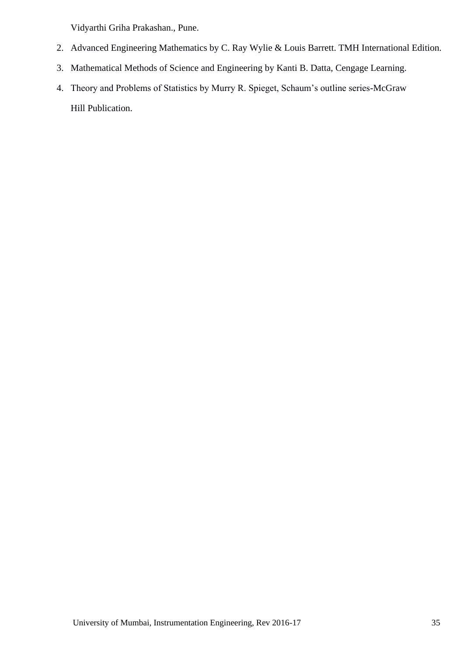Vidyarthi Griha Prakashan., Pune.

- 2. Advanced Engineering Mathematics by C. Ray Wylie & Louis Barrett. TMH International Edition.
- 3. Mathematical Methods of Science and Engineering by Kanti B. Datta, Cengage Learning.
- 4. Theory and Problems of Statistics by Murry R. Spieget, Schaum's outline series-McGraw Hill Publication.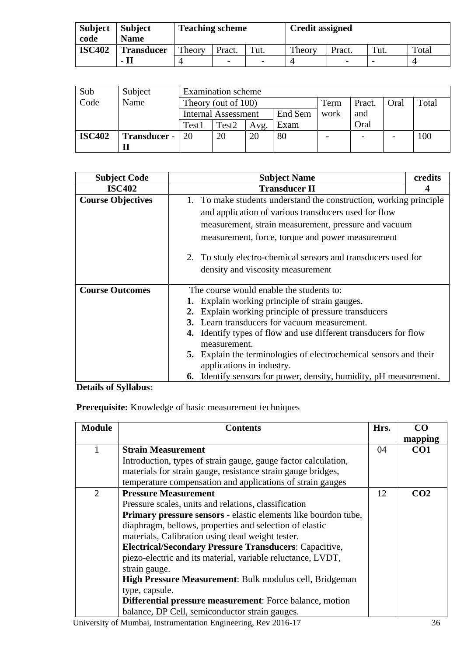| <b>Subject</b> | <b>Subject</b>    | <b>Teaching scheme</b> |                          |                          | <b>Credit assigned</b> |        |      |       |
|----------------|-------------------|------------------------|--------------------------|--------------------------|------------------------|--------|------|-------|
| code           | <b>Name</b>       |                        |                          |                          |                        |        |      |       |
| <b>ISC402</b>  | <b>Transducer</b> | Theory                 | Pract.                   | Tut.                     | Theory                 | Pract. | Tut. | Total |
|                | - Il              |                        | $\overline{\phantom{a}}$ | $\overline{\phantom{0}}$ |                        |        |      |       |

| Sub           | Subject      |                                       | <b>Examination</b> scheme |      |      |                          |        |      |       |
|---------------|--------------|---------------------------------------|---------------------------|------|------|--------------------------|--------|------|-------|
| Code          | Name         | Theory (out of 100)                   |                           |      |      | Term                     | Pract. | Oral | Total |
|               |              | End Sem<br><b>Internal Assessment</b> |                           |      | work | and                      |        |      |       |
|               |              | Test1                                 | Test <sub>2</sub>         | Avg. | Exam |                          | Oral   |      |       |
| <b>ISC402</b> | Transducer - | 20                                    | 20                        | 20   | 80   | $\overline{\phantom{0}}$ |        |      | 100   |
|               |              |                                       |                           |      |      |                          |        |      |       |

| <b>Subject Code</b>      | <b>Subject Name</b>                                                                            | credits |  |  |  |  |  |  |  |  |
|--------------------------|------------------------------------------------------------------------------------------------|---------|--|--|--|--|--|--|--|--|
| <b>ISC402</b>            | <b>Transducer II</b>                                                                           |         |  |  |  |  |  |  |  |  |
| <b>Course Objectives</b> | 1. To make students understand the construction, working principle                             |         |  |  |  |  |  |  |  |  |
|                          | and application of various transducers used for flow                                           |         |  |  |  |  |  |  |  |  |
|                          | measurement, strain measurement, pressure and vacuum                                           |         |  |  |  |  |  |  |  |  |
|                          | measurement, force, torque and power measurement                                               |         |  |  |  |  |  |  |  |  |
|                          | 2. To study electro-chemical sensors and transducers used for                                  |         |  |  |  |  |  |  |  |  |
|                          | density and viscosity measurement                                                              |         |  |  |  |  |  |  |  |  |
| <b>Course Outcomes</b>   | The course would enable the students to:                                                       |         |  |  |  |  |  |  |  |  |
|                          | <b>1.</b> Explain working principle of strain gauges.                                          |         |  |  |  |  |  |  |  |  |
|                          | 2. Explain working principle of pressure transducers                                           |         |  |  |  |  |  |  |  |  |
|                          | 3. Learn transducers for vacuum measurement.                                                   |         |  |  |  |  |  |  |  |  |
|                          | <b>4.</b> Identify types of flow and use different transducers for flow<br>measurement.        |         |  |  |  |  |  |  |  |  |
|                          | 5. Explain the terminologies of electrochemical sensors and their<br>applications in industry. |         |  |  |  |  |  |  |  |  |
|                          | 6. Identify sensors for power, density, humidity, pH measurement.                              |         |  |  |  |  |  |  |  |  |

## **Details of Syllabus:**

**Prerequisite:** Knowledge of basic measurement techniques

| <b>Module</b>  | <b>Contents</b>                                                | Hrs. | CO              |
|----------------|----------------------------------------------------------------|------|-----------------|
|                |                                                                |      | mapping         |
|                | <b>Strain Measurement</b>                                      | 04   | CO <sub>1</sub> |
|                | Introduction, types of strain gauge, gauge factor calculation, |      |                 |
|                | materials for strain gauge, resistance strain gauge bridges,   |      |                 |
|                | temperature compensation and applications of strain gauges     |      |                 |
| $\overline{2}$ | <b>Pressure Measurement</b>                                    | 12   | CO <sub>2</sub> |
|                | Pressure scales, units and relations, classification           |      |                 |
|                | Primary pressure sensors - elastic elements like bourdon tube, |      |                 |
|                | diaphragm, bellows, properties and selection of elastic        |      |                 |
|                | materials, Calibration using dead weight tester.               |      |                 |
|                | <b>Electrical/Secondary Pressure Transducers: Capacitive,</b>  |      |                 |
|                | piezo-electric and its material, variable reluctance, LVDT,    |      |                 |
|                | strain gauge.                                                  |      |                 |
|                | High Pressure Measurement: Bulk modulus cell, Bridgeman        |      |                 |
|                | type, capsule.                                                 |      |                 |
|                | Differential pressure measurement: Force balance, motion       |      |                 |
|                | balance, DP Cell, semiconductor strain gauges.                 |      |                 |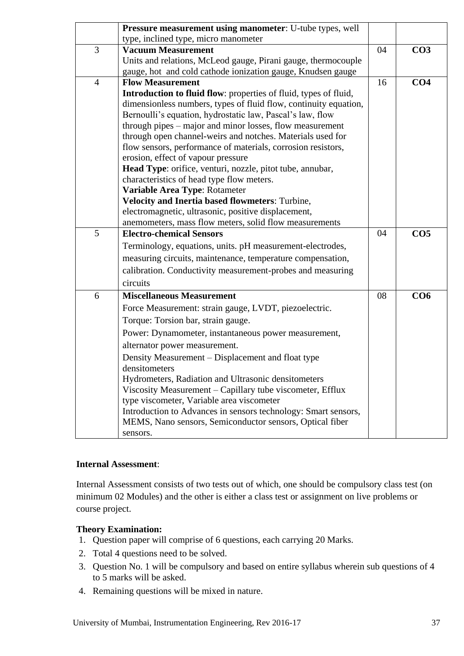|                | Pressure measurement using manometer: U-tube types, well                                        |    |                 |
|----------------|-------------------------------------------------------------------------------------------------|----|-----------------|
|                | type, inclined type, micro manometer                                                            |    |                 |
| 3              | <b>Vacuum Measurement</b>                                                                       | 04 | CO <sub>3</sub> |
|                | Units and relations, McLeod gauge, Pirani gauge, thermocouple                                   |    |                 |
|                | gauge, hot and cold cathode ionization gauge, Knudsen gauge                                     |    |                 |
| $\overline{4}$ | <b>Flow Measurement</b>                                                                         | 16 | CO <sub>4</sub> |
|                | Introduction to fluid flow: properties of fluid, types of fluid,                                |    |                 |
|                | dimensionless numbers, types of fluid flow, continuity equation,                                |    |                 |
|                | Bernoulli's equation, hydrostatic law, Pascal's law, flow                                       |    |                 |
|                | through pipes – major and minor losses, flow measurement                                        |    |                 |
|                | through open channel-weirs and notches. Materials used for                                      |    |                 |
|                | flow sensors, performance of materials, corrosion resistors,                                    |    |                 |
|                | erosion, effect of vapour pressure<br>Head Type: orifice, venturi, nozzle, pitot tube, annubar, |    |                 |
|                | characteristics of head type flow meters.                                                       |    |                 |
|                | Variable Area Type: Rotameter                                                                   |    |                 |
|                | Velocity and Inertia based flowmeters: Turbine,                                                 |    |                 |
|                | electromagnetic, ultrasonic, positive displacement,                                             |    |                 |
|                | anemometers, mass flow meters, solid flow measurements                                          |    |                 |
| 5              | <b>Electro-chemical Sensors</b>                                                                 | 04 | CO <sub>5</sub> |
|                | Terminology, equations, units. pH measurement-electrodes,                                       |    |                 |
|                | measuring circuits, maintenance, temperature compensation,                                      |    |                 |
|                | calibration. Conductivity measurement-probes and measuring                                      |    |                 |
|                | circuits                                                                                        |    |                 |
| 6              | <b>Miscellaneous Measurement</b>                                                                | 08 | CO6             |
|                | Force Measurement: strain gauge, LVDT, piezoelectric.                                           |    |                 |
|                | Torque: Torsion bar, strain gauge.                                                              |    |                 |
|                | Power: Dynamometer, instantaneous power measurement,                                            |    |                 |
|                | alternator power measurement.                                                                   |    |                 |
|                | Density Measurement - Displacement and float type                                               |    |                 |
|                | densitometers                                                                                   |    |                 |
|                | Hydrometers, Radiation and Ultrasonic densitometers                                             |    |                 |
|                | Viscosity Measurement – Capillary tube viscometer, Efflux                                       |    |                 |
|                | type viscometer, Variable area viscometer                                                       |    |                 |
|                | Introduction to Advances in sensors technology: Smart sensors,                                  |    |                 |
|                | MEMS, Nano sensors, Semiconductor sensors, Optical fiber                                        |    |                 |
|                | sensors.                                                                                        |    |                 |

## **Internal Assessment**:

Internal Assessment consists of two tests out of which, one should be compulsory class test (on minimum 02 Modules) and the other is either a class test or assignment on live problems or course project.

#### **Theory Examination:**

- 1. Question paper will comprise of 6 questions, each carrying 20 Marks.
- 2. Total 4 questions need to be solved.
- 3. Question No. 1 will be compulsory and based on entire syllabus wherein sub questions of 4 to 5 marks will be asked.
- 4. Remaining questions will be mixed in nature.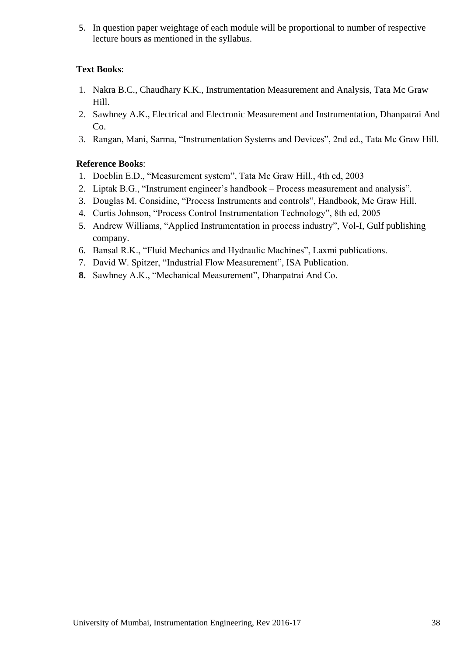5. In question paper weightage of each module will be proportional to number of respective lecture hours as mentioned in the syllabus.

## **Text Books**:

- 1. Nakra B.C., Chaudhary K.K., Instrumentation Measurement and Analysis, Tata Mc Graw Hill.
- 2. Sawhney A.K., Electrical and Electronic Measurement and Instrumentation, Dhanpatrai And  $Co.$
- 3. Rangan, Mani, Sarma, "Instrumentation Systems and Devices", 2nd ed., Tata Mc Graw Hill.

## **Reference Books**:

- 1. Doeblin E.D., "Measurement system", Tata Mc Graw Hill., 4th ed, 2003
- 2. Liptak B.G., "Instrument engineer's handbook Process measurement and analysis".
- 3. Douglas M. Considine, "Process Instruments and controls", Handbook, Mc Graw Hill.
- 4. Curtis Johnson, "Process Control Instrumentation Technology", 8th ed, 2005
- 5. Andrew Williams, "Applied Instrumentation in process industry", Vol-I, Gulf publishing company.
- 6. Bansal R.K., "Fluid Mechanics and Hydraulic Machines", Laxmi publications.
- 7. David W. Spitzer, "Industrial Flow Measurement", ISA Publication.
- **8.** Sawhney A.K., "Mechanical Measurement", Dhanpatrai And Co.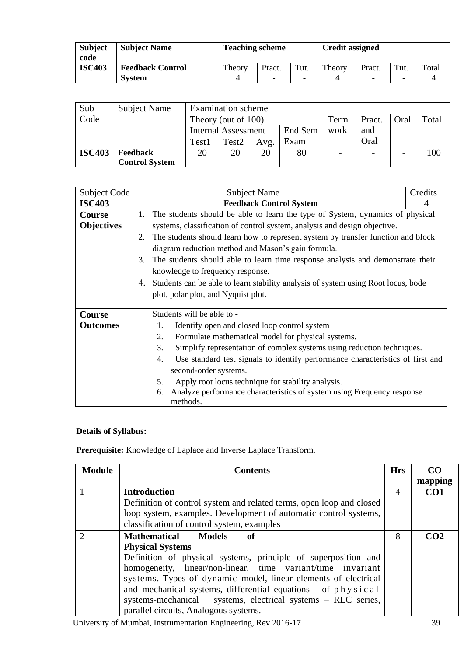| <b>Subject</b><br>code | <b>Subject Name</b>     | <b>Teaching scheme</b> |                          |                          | <b>Credit assigned</b> |        |      |       |
|------------------------|-------------------------|------------------------|--------------------------|--------------------------|------------------------|--------|------|-------|
| <b>ISC403</b>          | <b>Feedback Control</b> | Theory                 | Pract.                   | Tut.                     | Theory                 | Pract. | Tut. | Total |
|                        | <b>System</b>           | 4                      | $\overline{\phantom{a}}$ | $\overline{\phantom{0}}$ |                        | ۳      | ۰    |       |

| Sub           | <b>Subject Name</b>   |                | <b>Examination</b> scheme             |  |    |      |                          |                          |       |
|---------------|-----------------------|----------------|---------------------------------------|--|----|------|--------------------------|--------------------------|-------|
| Code          |                       |                | Theory (out of 100)                   |  |    | Term | Pract.                   | Oral                     | Total |
|               |                       |                | End Sem<br><b>Internal Assessment</b> |  |    |      | and                      |                          |       |
|               |                       | Test1          | Exam<br>Test <sub>2</sub><br>Avg.     |  |    |      | Oral                     |                          |       |
| <b>ISC403</b> | Feedback              | 20<br>20<br>20 |                                       |  | 80 |      | $\overline{\phantom{0}}$ | $\overline{\phantom{a}}$ | 100   |
|               | <b>Control System</b> |                |                                       |  |    |      |                          |                          |       |

| Subject Code      | <b>Subject Name</b>                                                                     | Credits |  |  |  |  |  |
|-------------------|-----------------------------------------------------------------------------------------|---------|--|--|--|--|--|
| <b>ISC403</b>     | <b>Feedback Control System</b>                                                          | 4       |  |  |  |  |  |
| <b>Course</b>     | The students should be able to learn the type of System, dynamics of physical<br>1.     |         |  |  |  |  |  |
| <b>Objectives</b> | systems, classification of control system, analysis and design objective.               |         |  |  |  |  |  |
|                   | The students should learn how to represent system by transfer function and block<br>2.  |         |  |  |  |  |  |
|                   | diagram reduction method and Mason's gain formula.                                      |         |  |  |  |  |  |
|                   | The students should able to learn time response analysis and demonstrate their<br>3.    |         |  |  |  |  |  |
|                   | knowledge to frequency response.                                                        |         |  |  |  |  |  |
|                   | Students can be able to learn stability analysis of system using Root locus, bode<br>4. |         |  |  |  |  |  |
|                   | plot, polar plot, and Nyquist plot.                                                     |         |  |  |  |  |  |
|                   |                                                                                         |         |  |  |  |  |  |
| <b>Course</b>     | Students will be able to -                                                              |         |  |  |  |  |  |
| <b>Outcomes</b>   | Identify open and closed loop control system<br>1.                                      |         |  |  |  |  |  |
|                   | 2.<br>Formulate mathematical model for physical systems.                                |         |  |  |  |  |  |
|                   | 3.<br>Simplify representation of complex systems using reduction techniques.            |         |  |  |  |  |  |
|                   | Use standard test signals to identify performance characteristics of first and<br>4.    |         |  |  |  |  |  |
|                   | second-order systems.                                                                   |         |  |  |  |  |  |
|                   | Apply root locus technique for stability analysis.<br>5.                                |         |  |  |  |  |  |
|                   | Analyze performance characteristics of system using Frequency response<br>6.            |         |  |  |  |  |  |
|                   | methods.                                                                                |         |  |  |  |  |  |

## **Details of Syllabus:**

**Prerequisite:** Knowledge of Laplace and Inverse Laplace Transform.

| <b>Module</b> | <b>Contents</b>                                                      | <b>Hrs</b> | CO <sub>0</sub> |
|---------------|----------------------------------------------------------------------|------------|-----------------|
|               |                                                                      |            | mapping         |
|               | <b>Introduction</b>                                                  | 4          | CO <sub>1</sub> |
|               | Definition of control system and related terms, open loop and closed |            |                 |
|               | loop system, examples. Development of automatic control systems,     |            |                 |
|               | classification of control system, examples                           |            |                 |
|               | <b>Mathematical</b><br><b>Models</b><br>of                           | 8          | CO <sub>2</sub> |
|               | <b>Physical Systems</b>                                              |            |                 |
|               | Definition of physical systems, principle of superposition and       |            |                 |
|               | homogeneity, linear/non-linear, time variant/time invariant          |            |                 |
|               | systems. Types of dynamic model, linear elements of electrical       |            |                 |
|               | and mechanical systems, differential equations of physical           |            |                 |
|               | systems-mechanical systems, electrical systems - RLC series,         |            |                 |
|               | parallel circuits, Analogous systems.                                |            |                 |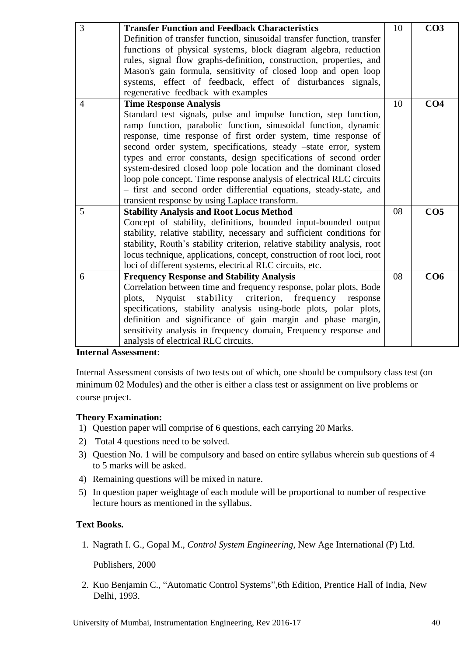| 3              | <b>Transfer Function and Feedback Characteristics</b>                     | 10 | CO <sub>3</sub> |
|----------------|---------------------------------------------------------------------------|----|-----------------|
|                | Definition of transfer function, sinusoidal transfer function, transfer   |    |                 |
|                | functions of physical systems, block diagram algebra, reduction           |    |                 |
|                | rules, signal flow graphs-definition, construction, properties, and       |    |                 |
|                | Mason's gain formula, sensitivity of closed loop and open loop            |    |                 |
|                | systems, effect of feedback, effect of disturbances signals,              |    |                 |
|                | regenerative feedback with examples                                       |    |                 |
| $\overline{4}$ | <b>Time Response Analysis</b>                                             | 10 | CO <sub>4</sub> |
|                | Standard test signals, pulse and impulse function, step function,         |    |                 |
|                | ramp function, parabolic function, sinusoidal function, dynamic           |    |                 |
|                | response, time response of first order system, time response of           |    |                 |
|                | second order system, specifications, steady -state error, system          |    |                 |
|                | types and error constants, design specifications of second order          |    |                 |
|                | system-desired closed loop pole location and the dominant closed          |    |                 |
|                | loop pole concept. Time response analysis of electrical RLC circuits      |    |                 |
|                | - first and second order differential equations, steady-state, and        |    |                 |
|                | transient response by using Laplace transform.                            |    |                 |
| 5              | <b>Stability Analysis and Root Locus Method</b>                           | 08 | CO <sub>5</sub> |
|                | Concept of stability, definitions, bounded input-bounded output           |    |                 |
|                | stability, relative stability, necessary and sufficient conditions for    |    |                 |
|                | stability, Routh's stability criterion, relative stability analysis, root |    |                 |
|                | locus technique, applications, concept, construction of root loci, root   |    |                 |
|                | loci of different systems, electrical RLC circuits, etc.                  |    |                 |
| 6              | <b>Frequency Response and Stability Analysis</b>                          | 08 | CO6             |
|                | Correlation between time and frequency response, polar plots, Bode        |    |                 |
|                | stability criterion, frequency<br>plots,<br>Nyquist<br>response           |    |                 |
|                | specifications, stability analysis using-bode plots, polar plots,         |    |                 |
|                | definition and significance of gain margin and phase margin,              |    |                 |
|                | sensitivity analysis in frequency domain, Frequency response and          |    |                 |
|                | analysis of electrical RLC circuits.                                      |    |                 |

#### **Internal Assessment**:

Internal Assessment consists of two tests out of which, one should be compulsory class test (on minimum 02 Modules) and the other is either a class test or assignment on live problems or course project.

## **Theory Examination:**

- 1) Question paper will comprise of 6 questions, each carrying 20 Marks.
- 2) Total 4 questions need to be solved.
- 3) Question No. 1 will be compulsory and based on entire syllabus wherein sub questions of 4 to 5 marks will be asked.
- 4) Remaining questions will be mixed in nature.
- 5) In question paper weightage of each module will be proportional to number of respective lecture hours as mentioned in the syllabus.

## **Text Books.**

1. Nagrath I. G., Gopal M., *Control System Engineering*, New Age International (P) Ltd.

Publishers, 2000

2. Kuo Benjamin C., "Automatic Control Systems",6th Edition, Prentice Hall of India, New Delhi, 1993.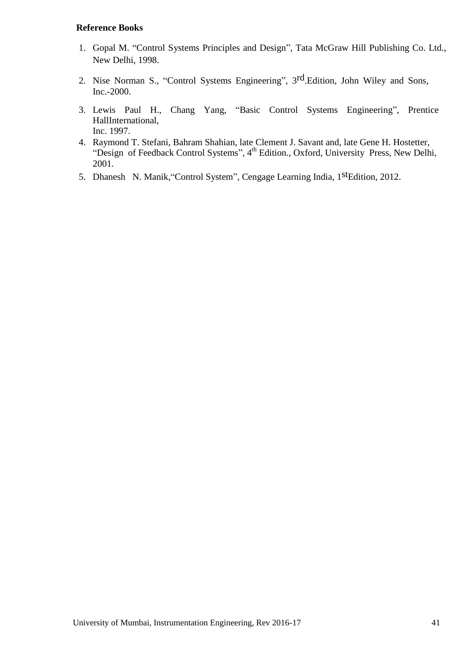#### **Reference Books**

- 1. Gopal M. "Control Systems Principles and Design", Tata McGraw Hill Publishing Co. Ltd., New Delhi, 1998.
- 2. Nise Norman S., "Control Systems Engineering", 3<sup>rd</sup>.Edition, John Wiley and Sons, Inc.-2000.
- 3. Lewis Paul H., Chang Yang, "Basic Control Systems Engineering", Prentice HallInternational, Inc. 1997.
- 4. Raymond T. Stefani, Bahram Shahian, late Clement J. Savant and, late Gene H. Hostetter, "Design of Feedback Control Systems", 4<sup>th</sup> Edition., Oxford, University Press, New Delhi, 2001.
- 5. Dhanesh N. Manik, "Control System", Cengage Learning India, 1<sup>st</sup>Edition, 2012.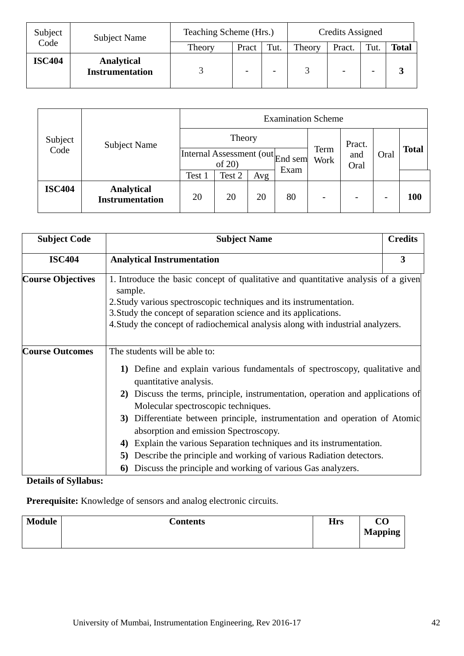| Subject<br>Subject Name |                                             | Teaching Scheme (Hrs.) | Credits Assigned |                          |        |                          |                          |              |
|-------------------------|---------------------------------------------|------------------------|------------------|--------------------------|--------|--------------------------|--------------------------|--------------|
| Code                    |                                             | Theory                 | Pract            | Tut.                     | Theory | Pract.                   | Tut.                     | <b>Total</b> |
| <b>ISC404</b>           | <b>Analytical</b><br><b>Instrumentation</b> |                        |                  | $\overline{\phantom{0}}$ |        | $\overline{\phantom{m}}$ | $\overline{\phantom{0}}$ | ◡            |

| Subject       | <b>Subject Name</b>                         | <b>Examination Scheme</b>            |        |     |         |                          |             |                          |              |
|---------------|---------------------------------------------|--------------------------------------|--------|-----|---------|--------------------------|-------------|--------------------------|--------------|
|               |                                             | Theory                               |        |     |         |                          | Pract.      |                          |              |
| Code          |                                             | Internal Assessment (out)<br>of $20$ |        |     | End sem | Term<br>Work             | and<br>Oral | Oral                     | <b>Total</b> |
|               |                                             | Test 1                               | Test 2 | Avg | Exam    |                          |             |                          |              |
| <b>ISC404</b> | <b>Analytical</b><br><b>Instrumentation</b> | 20                                   | 20     | 20  | 80      | $\overline{\phantom{0}}$ |             | $\overline{\phantom{0}}$ | 100          |

|                                                                                                                                          | 3<br>1. Introduce the basic concept of qualitative and quantitative analysis of a given                                                                                                                                                 |
|------------------------------------------------------------------------------------------------------------------------------------------|-----------------------------------------------------------------------------------------------------------------------------------------------------------------------------------------------------------------------------------------|
|                                                                                                                                          |                                                                                                                                                                                                                                         |
| 4. Study the concept of radiochemical analysis along with industrial analyzers.                                                          |                                                                                                                                                                                                                                         |
| Explain the various Separation techniques and its instrumentation.<br>Describe the principle and working of various Radiation detectors. | Define and explain various fundamentals of spectroscopy, qualitative and<br>2) Discuss the terms, principle, instrumentation, operation and applications of<br>Differentiate between principle, instrumentation and operation of Atomic |
|                                                                                                                                          |                                                                                                                                                                                                                                         |

**Details of Syllabus:**

**Prerequisite:** Knowledge of sensors and analog electronic circuits.

| <b>Module</b> | <b>Contents</b> | <b>Hrs</b> | $\overline{\text{CO}}$ |
|---------------|-----------------|------------|------------------------|
|               |                 |            | <b>Mapping</b>         |
|               |                 |            |                        |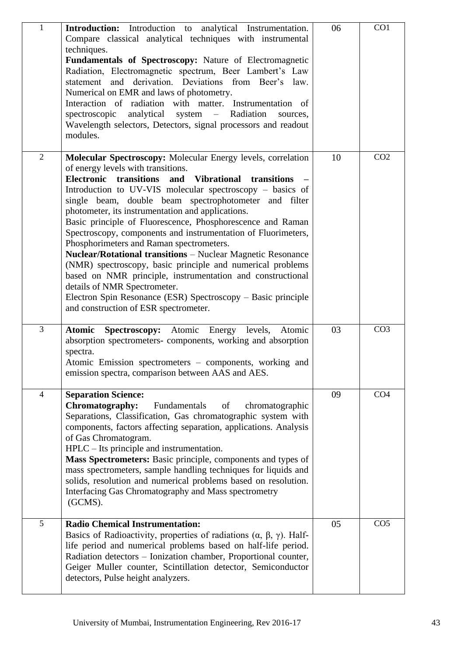| $\mathbf{1}$   | Introduction: Introduction to analytical Instrumentation.<br>Compare classical analytical techniques with instrumental<br>techniques.<br>Fundamentals of Spectroscopy: Nature of Electromagnetic<br>Radiation, Electromagnetic spectrum, Beer Lambert's Law<br>statement and derivation. Deviations from Beer's law.<br>Numerical on EMR and laws of photometry.<br>Interaction of radiation with matter. Instrumentation of<br>analytical<br>- Radiation<br>spectroscopic<br>system<br>sources,<br>Wavelength selectors, Detectors, signal processors and readout<br>modules.                                                                                                                                                                                                                                                                                                      | 06 | CO1             |
|----------------|-------------------------------------------------------------------------------------------------------------------------------------------------------------------------------------------------------------------------------------------------------------------------------------------------------------------------------------------------------------------------------------------------------------------------------------------------------------------------------------------------------------------------------------------------------------------------------------------------------------------------------------------------------------------------------------------------------------------------------------------------------------------------------------------------------------------------------------------------------------------------------------|----|-----------------|
| $\overline{2}$ | Molecular Spectroscopy: Molecular Energy levels, correlation<br>of energy levels with transitions.<br><b>Electronic</b><br>transitions<br><b>Vibrational</b><br>and<br>transitions<br>Introduction to UV-VIS molecular spectroscopy – basics of<br>single beam, double beam spectrophotometer and filter<br>photometer, its instrumentation and applications.<br>Basic principle of Fluorescence, Phosphorescence and Raman<br>Spectroscopy, components and instrumentation of Fluorimeters,<br>Phosphorimeters and Raman spectrometers.<br><b>Nuclear/Rotational transitions - Nuclear Magnetic Resonance</b><br>(NMR) spectroscopy, basic principle and numerical problems<br>based on NMR principle, instrumentation and constructional<br>details of NMR Spectrometer.<br>Electron Spin Resonance (ESR) Spectroscopy – Basic principle<br>and construction of ESR spectrometer. | 10 | CO <sub>2</sub> |
| 3              | <b>Atomic</b><br><b>Spectroscopy:</b> Atomic Energy<br>Atomic<br>levels,<br>absorption spectrometers- components, working and absorption<br>spectra.<br>Atomic Emission spectrometers - components, working and<br>emission spectra, comparison between AAS and AES.                                                                                                                                                                                                                                                                                                                                                                                                                                                                                                                                                                                                                | 03 | CO <sub>3</sub> |
| 4              | <b>Separation Science:</b><br>Chromatography:<br>Fundamentals<br>of<br>chromatographic<br>Separations, Classification, Gas chromatographic system with<br>components, factors affecting separation, applications. Analysis<br>of Gas Chromatogram.<br>$HPLC - Its principle$ and instrumentation.<br>Mass Spectrometers: Basic principle, components and types of<br>mass spectrometers, sample handling techniques for liquids and<br>solids, resolution and numerical problems based on resolution.<br>Interfacing Gas Chromatography and Mass spectrometry<br>(GCMS).                                                                                                                                                                                                                                                                                                            | 09 | CO <sub>4</sub> |
| 5              | <b>Radio Chemical Instrumentation:</b><br>Basics of Radioactivity, properties of radiations $(\alpha, \beta, \gamma)$ . Half-<br>life period and numerical problems based on half-life period.<br>Radiation detectors - Ionization chamber, Proportional counter,<br>Geiger Muller counter, Scintillation detector, Semiconductor<br>detectors, Pulse height analyzers.                                                                                                                                                                                                                                                                                                                                                                                                                                                                                                             | 05 | CO <sub>5</sub> |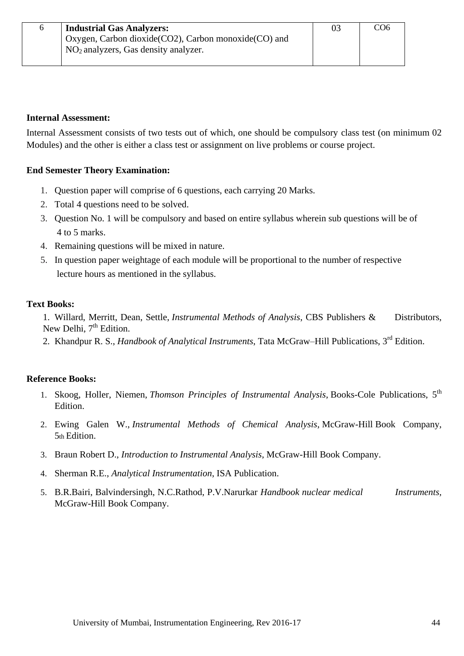## **Internal Assessment:**

Internal Assessment consists of two tests out of which, one should be compulsory class test (on minimum 02 Modules) and the other is either a class test or assignment on live problems or course project.

## **End Semester Theory Examination:**

- 1. Question paper will comprise of 6 questions, each carrying 20 Marks.
- 2. Total 4 questions need to be solved.
- 3. Question No. 1 will be compulsory and based on entire syllabus wherein sub questions will be of 4 to 5 marks.
- 4. Remaining questions will be mixed in nature.
- 5. In question paper weightage of each module will be proportional to the number of respective lecture hours as mentioned in the syllabus.

## **Text Books:**

1. Willard, Merritt, Dean, Settle, *Instrumental Methods of Analysis*, CBS Publishers & Distributors, New Delhi,  $7<sup>th</sup>$  Edition.

2. Khandpur R. S., *Handbook of Analytical Instruments*, Tata McGraw–Hill Publications, 3rd Edition.

## **Reference Books:**

- 1. Skoog, Holler, Niemen, *Thomson Principles of Instrumental Analysis*, Books-Cole Publications, 5th Edition.
- 2. Ewing Galen W., *Instrumental Methods of Chemical Analysis*, McGraw-Hill Book Company, 5th Edition.
- 3. Braun Robert D., *Introduction to Instrumental Analysis*, McGraw-Hill Book Company.
- 4. Sherman R.E., *Analytical Instrumentation*, ISA Publication.
- 5. B.R.Bairi, Balvindersingh, N.C.Rathod, P.V.Narurkar *Handbook nuclear medical Instruments,* McGraw-Hill Book Company.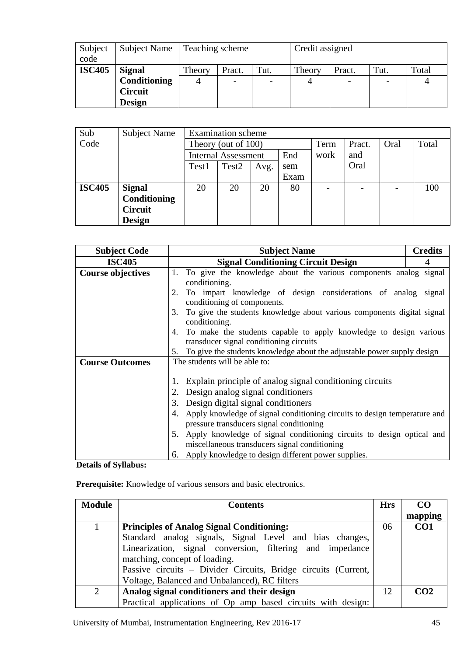| Subject<br>code | Subject Name                                                     | Teaching scheme |        |                                  | Credit assigned |        |      |       |
|-----------------|------------------------------------------------------------------|-----------------|--------|----------------------------------|-----------------|--------|------|-------|
| <b>ISC405</b>   | <b>Signal</b><br>Conditioning<br><b>Circuit</b><br><b>Design</b> | Theory<br>4     | Pract. | Tut.<br>$\overline{\phantom{0}}$ | Theory          | Pract. | Tut. | Total |

| Sub           | <b>Subject Name</b> |                            | <b>Examination</b> scheme |      |      |                          |        |      |       |
|---------------|---------------------|----------------------------|---------------------------|------|------|--------------------------|--------|------|-------|
| Code          |                     | Theory (out of 100)        |                           |      |      | Term                     | Pract. | Oral | Total |
|               |                     | <b>Internal Assessment</b> |                           |      | End  | work                     | and    |      |       |
|               |                     | Test1                      | Test <sub>2</sub>         | Avg. | sem  |                          | Oral   |      |       |
|               |                     |                            |                           |      | Exam |                          |        |      |       |
| <b>ISC405</b> | <b>Signal</b>       | 20                         | 20                        | 20   | 80   | $\overline{\phantom{0}}$ |        |      | 100   |
|               | Conditioning        |                            |                           |      |      |                          |        |      |       |
|               | <b>Circuit</b>      |                            |                           |      |      |                          |        |      |       |
|               | <b>Design</b>       |                            |                           |      |      |                          |        |      |       |

| <b>Subject Code</b>      | <b>Subject Name</b>                                                             | <b>Credits</b> |  |  |  |  |  |  |
|--------------------------|---------------------------------------------------------------------------------|----------------|--|--|--|--|--|--|
| <b>ISC405</b>            | <b>Signal Conditioning Circuit Design</b>                                       | 4              |  |  |  |  |  |  |
| <b>Course objectives</b> | 1. To give the knowledge about the various components analog signal             |                |  |  |  |  |  |  |
|                          | conditioning.                                                                   |                |  |  |  |  |  |  |
|                          | To impart knowledge of design considerations of analog signal<br>2.             |                |  |  |  |  |  |  |
|                          | conditioning of components.                                                     |                |  |  |  |  |  |  |
|                          | To give the students knowledge about various components digital signal<br>3.    |                |  |  |  |  |  |  |
|                          | conditioning.                                                                   |                |  |  |  |  |  |  |
|                          | To make the students capable to apply knowledge to design various<br>4.         |                |  |  |  |  |  |  |
|                          | transducer signal conditioning circuits                                         |                |  |  |  |  |  |  |
|                          | To give the students knowledge about the adjustable power supply design<br>5.   |                |  |  |  |  |  |  |
| <b>Course Outcomes</b>   | The students will be able to:                                                   |                |  |  |  |  |  |  |
|                          |                                                                                 |                |  |  |  |  |  |  |
|                          | Explain principle of analog signal conditioning circuits<br>1.                  |                |  |  |  |  |  |  |
|                          | Design analog signal conditioners<br>2.                                         |                |  |  |  |  |  |  |
|                          | Design digital signal conditioners<br>3.                                        |                |  |  |  |  |  |  |
|                          | Apply knowledge of signal conditioning circuits to design temperature and<br>4. |                |  |  |  |  |  |  |
|                          | pressure transducers signal conditioning                                        |                |  |  |  |  |  |  |
|                          | Apply knowledge of signal conditioning circuits to design optical and<br>5.     |                |  |  |  |  |  |  |
|                          | miscellaneous transducers signal conditioning                                   |                |  |  |  |  |  |  |
|                          | 6. Apply knowledge to design different power supplies.                          |                |  |  |  |  |  |  |

#### **Details of Syllabus:**

**Prerequisite:** Knowledge of various sensors and basic electronics.

| <b>Module</b>  | <b>Contents</b>                                                | <b>Hrs</b> | c <sub>0</sub>  |
|----------------|----------------------------------------------------------------|------------|-----------------|
|                |                                                                |            | mapping         |
|                | <b>Principles of Analog Signal Conditioning:</b>               | 06         | CO <sub>1</sub> |
|                | Standard analog signals, Signal Level and bias changes,        |            |                 |
|                | Linearization, signal conversion, filtering and impedance      |            |                 |
|                | matching, concept of loading.                                  |            |                 |
|                | Passive circuits - Divider Circuits, Bridge circuits (Current, |            |                 |
|                | Voltage, Balanced and Unbalanced), RC filters                  |            |                 |
| $\overline{2}$ | Analog signal conditioners and their design                    | 12         | CO <sub>2</sub> |
|                | Practical applications of Op amp based circuits with design:   |            |                 |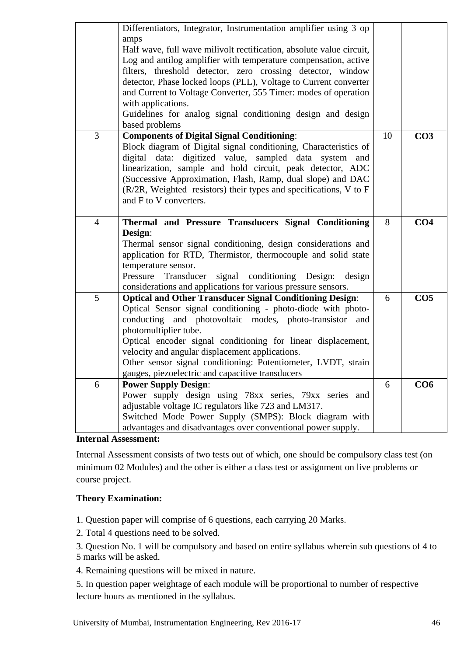|   | Differentiators, Integrator, Instrumentation amplifier using 3 op<br>amps<br>Half wave, full wave milivolt rectification, absolute value circuit,<br>Log and antilog amplifier with temperature compensation, active<br>filters, threshold detector, zero crossing detector, window<br>detector, Phase locked loops (PLL), Voltage to Current converter<br>and Current to Voltage Converter, 555 Timer: modes of operation<br>with applications.<br>Guidelines for analog signal conditioning design and design<br>based problems |    |                 |
|---|-----------------------------------------------------------------------------------------------------------------------------------------------------------------------------------------------------------------------------------------------------------------------------------------------------------------------------------------------------------------------------------------------------------------------------------------------------------------------------------------------------------------------------------|----|-----------------|
| 3 | <b>Components of Digital Signal Conditioning:</b><br>Block diagram of Digital signal conditioning, Characteristics of<br>digital data: digitized value, sampled data system<br>and<br>linearization, sample and hold circuit, peak detector, ADC<br>(Successive Approximation, Flash, Ramp, dual slope) and DAC<br>(R/2R, Weighted resistors) their types and specifications, V to F<br>and F to V converters.                                                                                                                    | 10 | CO <sub>3</sub> |
| 4 | Thermal and Pressure Transducers Signal Conditioning<br>Design:<br>Thermal sensor signal conditioning, design considerations and<br>application for RTD, Thermistor, thermocouple and solid state<br>temperature sensor.<br>Pressure<br>Transducer<br>signal conditioning Design:<br>design<br>considerations and applications for various pressure sensors.                                                                                                                                                                      | 8  | CO <sub>4</sub> |
| 5 | <b>Optical and Other Transducer Signal Conditioning Design:</b><br>Optical Sensor signal conditioning - photo-diode with photo-<br>conducting and photovoltaic modes, photo-transistor<br>and<br>photomultiplier tube.<br>Optical encoder signal conditioning for linear displacement,<br>velocity and angular displacement applications.<br>Other sensor signal conditioning: Potentiometer, LVDT, strain<br>gauges, piezoelectric and capacitive transducers                                                                    | 6  | CO <sub>5</sub> |
| 6 | <b>Power Supply Design:</b><br>Power supply design using 78xx series, 79xx series and<br>adjustable voltage IC regulators like 723 and LM317.<br>Switched Mode Power Supply (SMPS): Block diagram with<br>advantages and disadvantages over conventional power supply.                                                                                                                                                                                                                                                            | 6  | CO6             |

**Internal Assessment:** 

Internal Assessment consists of two tests out of which, one should be compulsory class test (on minimum 02 Modules) and the other is either a class test or assignment on live problems or course project.

## **Theory Examination:**

1. Question paper will comprise of 6 questions, each carrying 20 Marks.

2. Total 4 questions need to be solved.

- 3. Question No. 1 will be compulsory and based on entire syllabus wherein sub questions of 4 to
- 5 marks will be asked.
- 4. Remaining questions will be mixed in nature.

5. In question paper weightage of each module will be proportional to number of respective lecture hours as mentioned in the syllabus.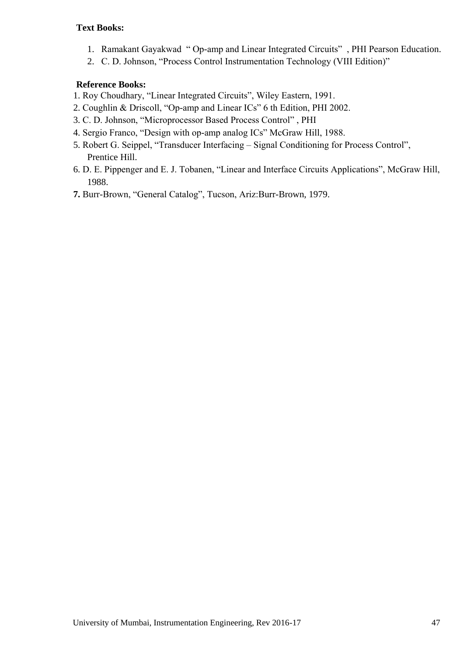## **Text Books:**

- 1. Ramakant Gayakwad "Op-amp and Linear Integrated Circuits", PHI Pearson Education.
- 2. C. D. Johnson, "Process Control Instrumentation Technology (VIII Edition)"

## **Reference Books:**

- 1. Roy Choudhary, "Linear Integrated Circuits", Wiley Eastern, 1991.
- 2. Coughlin & Driscoll, "Op-amp and Linear ICs" 6 th Edition, PHI 2002.
- 3. C. D. Johnson, "Microprocessor Based Process Control", PHI
- 4. Sergio Franco, "Design with op-amp analog ICs" McGraw Hill, 1988.
- 5. Robert G. Seippel, "Transducer Interfacing Signal Conditioning for Process Control", Prentice Hill.
- 6. D. E. Pippenger and E. J. Tobanen, "Linear and Interface Circuits Applications", McGraw Hill, 1988.
- 7. Burr-Brown, "General Catalog", Tucson, Ariz:Burr-Brown, 1979.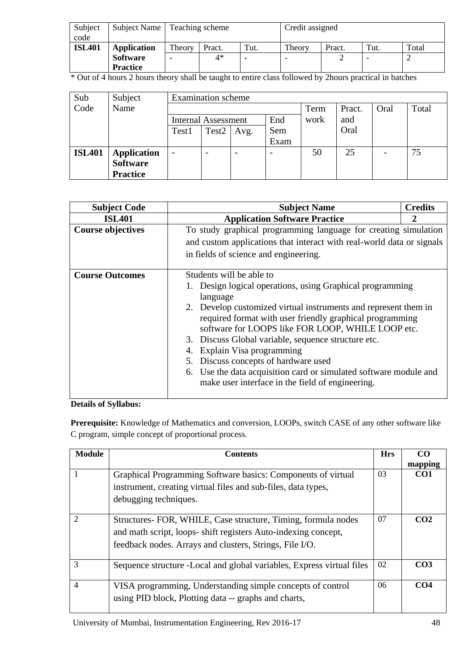| Subject       |                    | Subject Name   Teaching scheme |        |      | Credit assigned |        |      |       |
|---------------|--------------------|--------------------------------|--------|------|-----------------|--------|------|-------|
| code          |                    |                                |        |      |                 |        |      |       |
| <b>ISL401</b> | <b>Application</b> | Theory                         | Pract. | Tut. | Theory          | Pract. | Tut. | Total |
|               | <b>Software</b>    |                                | $4*$   |      |                 |        |      |       |
|               | <b>Practice</b>    |                                |        |      |                 |        |      |       |

\* Out of 4 hours 2 hours theory shall be taught to entire class followed by 2hours practical in batches

| Sub           | Subject            |                              | <b>Examination</b> scheme |      |      |      |        |                              |       |
|---------------|--------------------|------------------------------|---------------------------|------|------|------|--------|------------------------------|-------|
| Code          | Name               |                              |                           |      |      | Term | Pract. | Oral                         | Total |
|               |                    | <b>Internal Assessment</b>   |                           |      | End  | work | and    |                              |       |
|               |                    | Test1                        | Test <sub>2</sub>         | Avg. | Sem  |      | Oral   |                              |       |
|               |                    |                              |                           |      | Exam |      |        |                              |       |
| <b>ISL401</b> | <b>Application</b> | $\qquad \qquad \blacksquare$ |                           |      |      | 50   | 25     | $\qquad \qquad \blacksquare$ | 75    |
|               | <b>Software</b>    |                              |                           |      |      |      |        |                              |       |
|               | <b>Practice</b>    |                              |                           |      |      |      |        |                              |       |

| <b>Subject Code</b>      | <b>Subject Name</b>                                                                                                                                                                                                                                                                                                                                                                                                                                                                         | <b>Credits</b> |  |  |  |  |  |
|--------------------------|---------------------------------------------------------------------------------------------------------------------------------------------------------------------------------------------------------------------------------------------------------------------------------------------------------------------------------------------------------------------------------------------------------------------------------------------------------------------------------------------|----------------|--|--|--|--|--|
| <b>ISL401</b>            | <b>Application Software Practice</b>                                                                                                                                                                                                                                                                                                                                                                                                                                                        |                |  |  |  |  |  |
| <b>Course objectives</b> | To study graphical programming language for creating simulation                                                                                                                                                                                                                                                                                                                                                                                                                             |                |  |  |  |  |  |
|                          | and custom applications that interact with real-world data or signals                                                                                                                                                                                                                                                                                                                                                                                                                       |                |  |  |  |  |  |
|                          | in fields of science and engineering.                                                                                                                                                                                                                                                                                                                                                                                                                                                       |                |  |  |  |  |  |
| <b>Course Outcomes</b>   | Students will be able to<br>1. Design logical operations, using Graphical programming<br>language<br>2. Develop customized virtual instruments and represent them in<br>required format with user friendly graphical programming<br>software for LOOPS like FOR LOOP, WHILE LOOP etc.<br>3. Discuss Global variable, sequence structure etc.<br>Explain Visa programming<br>4.<br>5. Discuss concepts of hardware used<br>6. Use the data acquisition card or simulated software module and |                |  |  |  |  |  |
|                          | make user interface in the field of engineering.                                                                                                                                                                                                                                                                                                                                                                                                                                            |                |  |  |  |  |  |

## **Details of Syllabus:**

**Prerequisite:** Knowledge of Mathematics and conversion, LOOPs, switch CASE of any other software like C program, simple concept of proportional process.

| <b>Module</b>  | <b>Contents</b>                                                                                                                                                                            | <b>Hrs</b> | $\mathbf{C}\mathbf{O}$<br>mapping |
|----------------|--------------------------------------------------------------------------------------------------------------------------------------------------------------------------------------------|------------|-----------------------------------|
|                | Graphical Programming Software basics: Components of virtual<br>instrument, creating virtual files and sub-files, data types,<br>debugging techniques.                                     | 03         | CO <sub>1</sub>                   |
| $\mathcal{D}$  | Structures- FOR, WHILE, Case structure, Timing, formula nodes<br>and math script, loops- shift registers Auto-indexing concept,<br>feedback nodes. Arrays and clusters, Strings, File I/O. | 07         | CO <sub>2</sub>                   |
| $\mathcal{R}$  | Sequence structure -Local and global variables, Express virtual files                                                                                                                      | 02         | CO <sub>3</sub>                   |
| $\overline{4}$ | VISA programming, Understanding simple concepts of control<br>using PID block, Plotting data -- graphs and charts,                                                                         | 06         | CO <sub>4</sub>                   |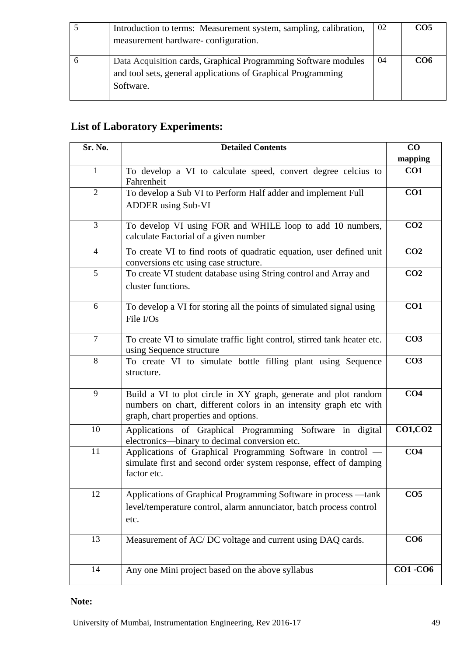| Introduction to terms: Measurement system, sampling, calibration,<br>measurement hardware-configuration.                                    | 02 | CO <sub>5</sub> |
|---------------------------------------------------------------------------------------------------------------------------------------------|----|-----------------|
| Data Acquisition cards, Graphical Programming Software modules<br>and tool sets, general applications of Graphical Programming<br>Software. | 04 | CO6             |

# **List of Laboratory Experiments:**

| Sr. No.        | <b>Detailed Contents</b>                                                                                                                                                     | CO              |
|----------------|------------------------------------------------------------------------------------------------------------------------------------------------------------------------------|-----------------|
|                |                                                                                                                                                                              | mapping         |
| $\mathbf{1}$   | To develop a VI to calculate speed, convert degree celcius to<br>Fahrenheit                                                                                                  | CO1             |
| $\overline{2}$ | To develop a Sub VI to Perform Half adder and implement Full                                                                                                                 | CO1             |
|                | <b>ADDER</b> using Sub-VI                                                                                                                                                    |                 |
| 3              | To develop VI using FOR and WHILE loop to add 10 numbers,<br>calculate Factorial of a given number                                                                           | CO <sub>2</sub> |
| $\overline{4}$ | To create VI to find roots of quadratic equation, user defined unit<br>conversions etc using case structure.                                                                 | CO <sub>2</sub> |
| 5              | To create VI student database using String control and Array and<br>cluster functions.                                                                                       | CO <sub>2</sub> |
| 6              | To develop a VI for storing all the points of simulated signal using<br>File I/Os                                                                                            | CO <sub>1</sub> |
| $\overline{7}$ | To create VI to simulate traffic light control, stirred tank heater etc.<br>using Sequence structure                                                                         | CO <sub>3</sub> |
| 8              | To create VI to simulate bottle filling plant using Sequence<br>structure.                                                                                                   | CO <sub>3</sub> |
| 9              | Build a VI to plot circle in XY graph, generate and plot random<br>numbers on chart, different colors in an intensity graph etc with<br>graph, chart properties and options. | CO <sub>4</sub> |
| 10             | Applications of Graphical Programming Software in digital<br>electronics—binary to decimal conversion etc.                                                                   | <b>CO1, CO2</b> |
| 11             | Applications of Graphical Programming Software in control -<br>simulate first and second order system response, effect of damping<br>factor etc.                             | CO <sub>4</sub> |
| 12             | Applications of Graphical Programming Software in process -tank<br>level/temperature control, alarm annunciator, batch process control<br>etc.                               | CO <sub>5</sub> |
| 13             | Measurement of AC/DC voltage and current using DAQ cards.                                                                                                                    | CO6             |
| 14             | Any one Mini project based on the above syllabus                                                                                                                             | <b>CO1-CO6</b>  |

## **Note:**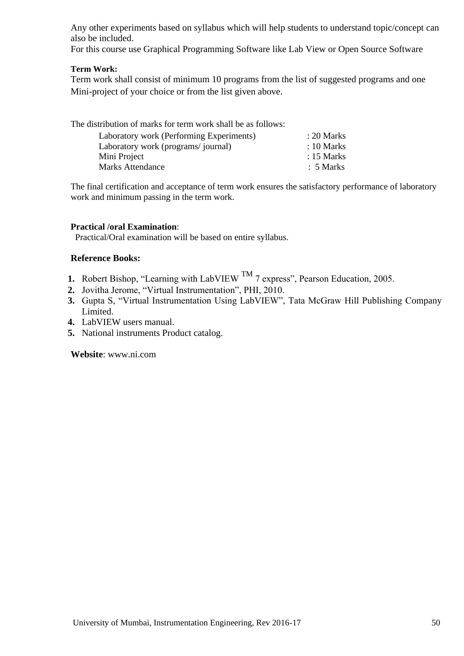Any other experiments based on syllabus which will help students to understand topic/concept can also be included.

For this course use Graphical Programming Software like Lab View or Open Source Software

#### **Term Work:**

Term work shall consist of minimum 10 programs from the list of suggested programs and one Mini-project of your choice or from the list given above.

| The distribution of marks for term work shall be as follows: |                      |
|--------------------------------------------------------------|----------------------|
| Laboratory work (Performing Experiments)                     | $: 20$ Marks         |
| Laboratory work (programs/journal)                           | $: 10$ Marks         |
| Mini Project                                                 | $: 15$ Marks         |
| <b>Marks Attendance</b>                                      | $\therefore$ 5 Marks |

The final certification and acceptance of term work ensures the satisfactory performance of laboratory work and minimum passing in the term work.

#### **Practical /oral Examination**:

Practical/Oral examination will be based on entire syllabus.

#### **Reference Books:**

- **1.** Robert Bishop, "Learning with LabVIEW <sup>TM</sup> 7 express", Pearson Education, 2005.
- 2. Jovitha Jerome, "Virtual Instrumentation", PHI, 2010.
- **3.** Gupta S, "Virtual Instrumentation Using LabVIEW", Tata McGraw Hill Publishing Company Limited.
- **4.** LabVIEW users manual.
- **5.** National instruments Product catalog.

**Website**: www.ni.com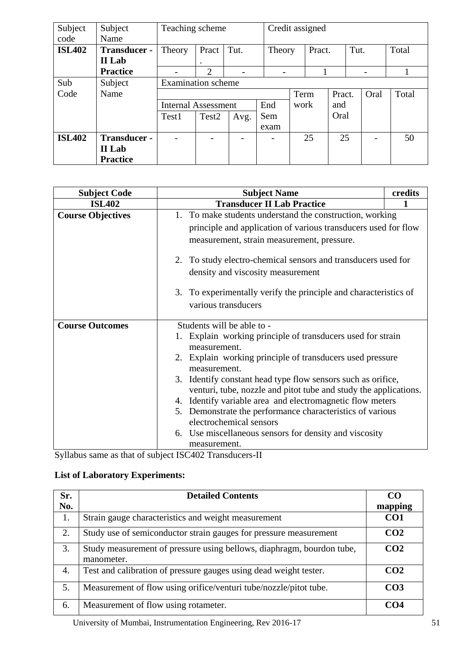| Subject       | Subject         | Teaching scheme            |                       |      |      | Credit assigned |        |        |      |      |       |
|---------------|-----------------|----------------------------|-----------------------|------|------|-----------------|--------|--------|------|------|-------|
| code          | Name            |                            |                       |      |      |                 |        |        |      |      |       |
| <b>ISL402</b> | Transducer -    | Theory                     | Pract                 | Tut. |      | Theory          | Pract. |        | Tut. |      | Total |
|               | II Lab          |                            | ٠                     |      |      |                 |        |        |      |      |       |
|               | <b>Practice</b> |                            | $\mathcal{D}_{\cdot}$ |      |      |                 |        |        |      | -    |       |
| Sub           | Subject         | <b>Examination</b> scheme  |                       |      |      |                 |        |        |      |      |       |
| Code          | Name            |                            |                       |      |      | Term            |        | Pract. |      | Oral | Total |
|               |                 | <b>Internal Assessment</b> |                       |      | End  |                 | work   | and    |      |      |       |
|               |                 | Test1                      | Test <sub>2</sub>     | Avg. | Sem  |                 |        | Oral   |      |      |       |
|               |                 |                            |                       |      | exam |                 |        |        |      |      |       |
| <b>ISL402</b> | Transducer -    |                            |                       |      |      |                 | 25     | 25     |      |      | 50    |
|               | II Lab          |                            |                       |      |      |                 |        |        |      |      |       |
|               | <b>Practice</b> |                            |                       |      |      |                 |        |        |      |      |       |

| <b>Subject Code</b>      | <b>Subject Name</b>                                                                                                                                                      | credits |  |  |  |  |
|--------------------------|--------------------------------------------------------------------------------------------------------------------------------------------------------------------------|---------|--|--|--|--|
| <b>ISL402</b>            | <b>Transducer II Lab Practice</b>                                                                                                                                        |         |  |  |  |  |
| <b>Course Objectives</b> | 1. To make students understand the construction, working<br>principle and application of various transducers used for flow<br>measurement, strain measurement, pressure. |         |  |  |  |  |
|                          | 2. To study electro-chemical sensors and transducers used for<br>density and viscosity measurement                                                                       |         |  |  |  |  |
|                          | 3. To experimentally verify the principle and characteristics of<br>various transducers                                                                                  |         |  |  |  |  |
| <b>Course Outcomes</b>   | Students will be able to -                                                                                                                                               |         |  |  |  |  |
|                          | Explain working principle of transducers used for strain<br>measurement.                                                                                                 |         |  |  |  |  |
|                          | 2. Explain working principle of transducers used pressure<br>measurement.                                                                                                |         |  |  |  |  |
|                          | 3. Identify constant head type flow sensors such as orifice,<br>venturi, tube, nozzle and pitot tube and study the applications.                                         |         |  |  |  |  |
|                          | 4. Identify variable area and electromagnetic flow meters                                                                                                                |         |  |  |  |  |
|                          | 5. Demonstrate the performance characteristics of various<br>electrochemical sensors                                                                                     |         |  |  |  |  |
|                          | 6. Use miscellaneous sensors for density and viscosity<br>measurement.                                                                                                   |         |  |  |  |  |

Syllabus same as that of subject ISC402 Transducers-II

## **List of Laboratory Experiments:**

| Sr.<br>No. | <b>Detailed Contents</b>                                                            | CO<br>mapping   |
|------------|-------------------------------------------------------------------------------------|-----------------|
| 1.         | Strain gauge characteristics and weight measurement                                 | CO <sub>1</sub> |
| 2.         | Study use of semiconductor strain gauges for pressure measurement                   | CO <sub>2</sub> |
| 3.         | Study measurement of pressure using bellows, diaphragm, bourdon tube,<br>manometer. | CO <sub>2</sub> |
| 4.         | Test and calibration of pressure gauges using dead weight tester.                   | CO <sub>2</sub> |
| 5.         | Measurement of flow using orifice/venturi tube/nozzle/pitot tube.                   | CO <sub>3</sub> |
| 6.         | Measurement of flow using rotameter.                                                | CO <sub>4</sub> |

University of Mumbai, Instrumentation Engineering, Rev 2016-17 51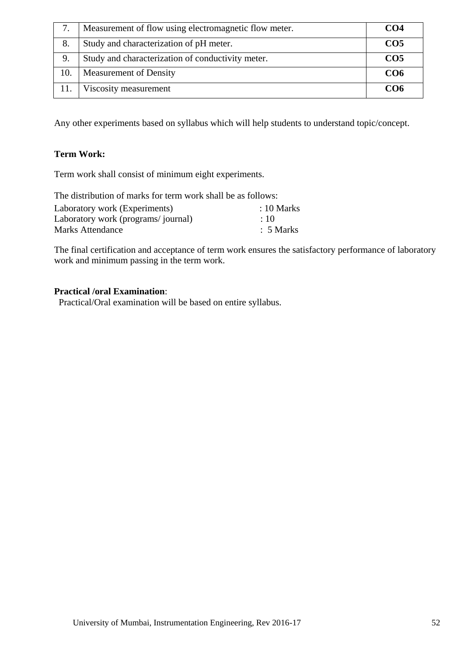|     | Measurement of flow using electromagnetic flow meter. | CO <sub>4</sub> |
|-----|-------------------------------------------------------|-----------------|
| 8.  | Study and characterization of pH meter.               | CO <sub>5</sub> |
| 9.  | Study and characterization of conductivity meter.     | CO <sub>5</sub> |
| 10. | Measurement of Density                                | CO <sub>6</sub> |
|     | Viscosity measurement                                 | CO6             |

Any other experiments based on syllabus which will help students to understand topic/concept.

## **Term Work:**

Term work shall consist of minimum eight experiments.

| The distribution of marks for term work shall be as follows: |                       |  |  |  |  |
|--------------------------------------------------------------|-----------------------|--|--|--|--|
| Laboratory work (Experiments)                                | $\therefore$ 10 Marks |  |  |  |  |
| Laboratory work (programs/journal)                           | $\div 10$             |  |  |  |  |
| <b>Marks Attendance</b>                                      | $\therefore$ 5 Marks  |  |  |  |  |

The final certification and acceptance of term work ensures the satisfactory performance of laboratory work and minimum passing in the term work.

#### **Practical /oral Examination**:

Practical/Oral examination will be based on entire syllabus.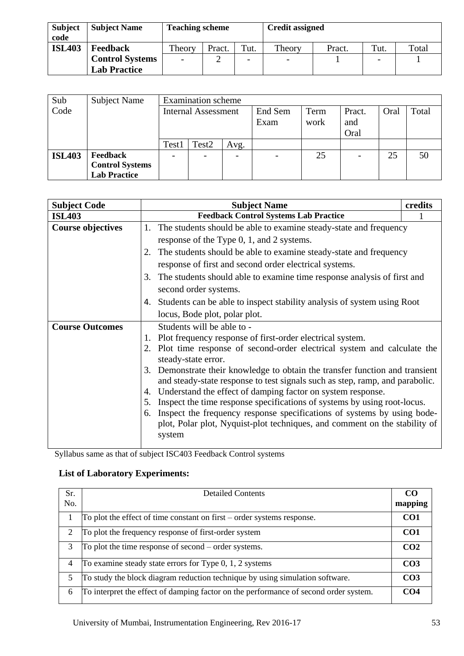| <b>Subject</b> | <b>Subject Name</b>    | <b>Teaching scheme</b> |        |      | <b>Credit assigned</b>   |        |         |       |  |  |
|----------------|------------------------|------------------------|--------|------|--------------------------|--------|---------|-------|--|--|
| code           |                        |                        |        |      |                          |        |         |       |  |  |
| <b>ISL403</b>  | <b>Feedback</b>        | Theory                 | Pract. | Tut. | Theory                   | Pract. | $T$ ut. | Total |  |  |
|                | <b>Control Systems</b> | $\overline{a}$         | ∸      |      | $\overline{\phantom{a}}$ |        |         |       |  |  |
|                | <b>Lab Practice</b>    |                        |        |      |                          |        |         |       |  |  |

| Sub           | Subject Name                                                     |                            | <b>Examination</b> scheme |                 |              |                       |      |       |    |
|---------------|------------------------------------------------------------------|----------------------------|---------------------------|-----------------|--------------|-----------------------|------|-------|----|
| Code          |                                                                  | <b>Internal Assessment</b> |                           | End Sem<br>Exam | Term<br>work | Pract.<br>and<br>Oral | Oral | Total |    |
|               |                                                                  | Test1                      | Test2                     | Avg.            |              |                       |      |       |    |
| <b>ISL403</b> | <b>Feedback</b><br><b>Control Systems</b><br><b>Lab Practice</b> |                            |                           |                 |              | 25                    |      | 25    | 50 |

| <b>Subject Code</b>      | <b>Subject Name</b>                                                                                                                                          | credits |  |  |  |  |  |
|--------------------------|--------------------------------------------------------------------------------------------------------------------------------------------------------------|---------|--|--|--|--|--|
| <b>ISL403</b>            | <b>Feedback Control Systems Lab Practice</b>                                                                                                                 |         |  |  |  |  |  |
| <b>Course objectives</b> | The students should be able to examine steady-state and frequency<br>1.                                                                                      |         |  |  |  |  |  |
|                          | response of the Type 0, 1, and 2 systems.                                                                                                                    |         |  |  |  |  |  |
|                          | The students should be able to examine steady-state and frequency                                                                                            |         |  |  |  |  |  |
|                          | response of first and second order electrical systems.                                                                                                       |         |  |  |  |  |  |
|                          | 3. The students should able to examine time response analysis of first and                                                                                   |         |  |  |  |  |  |
|                          | second order systems.                                                                                                                                        |         |  |  |  |  |  |
|                          | 4. Students can be able to inspect stability analysis of system using Root                                                                                   |         |  |  |  |  |  |
|                          | locus, Bode plot, polar plot.                                                                                                                                |         |  |  |  |  |  |
| <b>Course Outcomes</b>   | Students will be able to -                                                                                                                                   |         |  |  |  |  |  |
|                          | 1. Plot frequency response of first-order electrical system.                                                                                                 |         |  |  |  |  |  |
|                          | Plot time response of second-order electrical system and calculate the<br>steady-state error.                                                                |         |  |  |  |  |  |
|                          | 3. Demonstrate their knowledge to obtain the transfer function and transient<br>and steady-state response to test signals such as step, ramp, and parabolic. |         |  |  |  |  |  |
|                          | Understand the effect of damping factor on system response.<br>4.                                                                                            |         |  |  |  |  |  |
|                          | Inspect the time response specifications of systems by using root-locus.                                                                                     |         |  |  |  |  |  |
|                          | Inspect the frequency response specifications of systems by using bode-<br>6.                                                                                |         |  |  |  |  |  |
|                          | plot, Polar plot, Nyquist-plot techniques, and comment on the stability of                                                                                   |         |  |  |  |  |  |
|                          | system                                                                                                                                                       |         |  |  |  |  |  |

Syllabus same as that of subject ISC403 Feedback Control systems

## **List of Laboratory Experiments:**

| Sr.<br>No.     | <b>Detailed Contents</b>                                                             | CO.<br>mapping  |
|----------------|--------------------------------------------------------------------------------------|-----------------|
|                | To plot the effect of time constant on first $-$ order systems response.             | CO <sub>1</sub> |
| $\overline{2}$ | To plot the frequency response of first-order system                                 | CO <sub>1</sub> |
| 3              | To plot the time response of second – order systems.                                 | CO <sub>2</sub> |
| $\overline{4}$ | To examine steady state errors for Type $0, 1, 2$ systems                            | CO <sub>3</sub> |
| 5              | To study the block diagram reduction technique by using simulation software.         | CO <sub>3</sub> |
| 6              | To interpret the effect of damping factor on the performance of second order system. | CO <sub>4</sub> |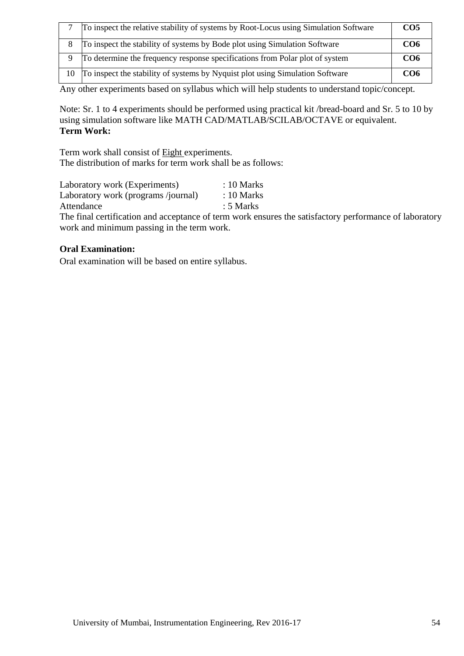|    | To inspect the relative stability of systems by Root-Locus using Simulation Software | CO <sub>5</sub> |
|----|--------------------------------------------------------------------------------------|-----------------|
|    | To inspect the stability of systems by Bode plot using Simulation Software           | CO <sub>6</sub> |
|    | To determine the frequency response specifications from Polar plot of system         | CO <sub>6</sub> |
| 10 | To inspect the stability of systems by Nyquist plot using Simulation Software        | CO <sub>6</sub> |

Any other experiments based on syllabus which will help students to understand topic/concept.

Note: Sr. 1 to 4 experiments should be performed using practical kit /bread-board and Sr. 5 to 10 by using simulation software like MATH CAD/MATLAB/SCILAB/OCTAVE or equivalent. **Term Work:**

Term work shall consist of Eight experiments. The distribution of marks for term work shall be as follows:

| Laboratory work (Experiments)                    | $: 10$ Marks |  |
|--------------------------------------------------|--------------|--|
| Laboratory work (programs /journal)              | $: 10$ Marks |  |
| Attendance                                       | $: 5$ Marks  |  |
| $\sim$ $\sim$ $\sim$ $\sim$ $\sim$ $\sim$ $\sim$ |              |  |

The final certification and acceptance of term work ensures the satisfactory performance of laboratory work and minimum passing in the term work.

#### **Oral Examination:**

Oral examination will be based on entire syllabus.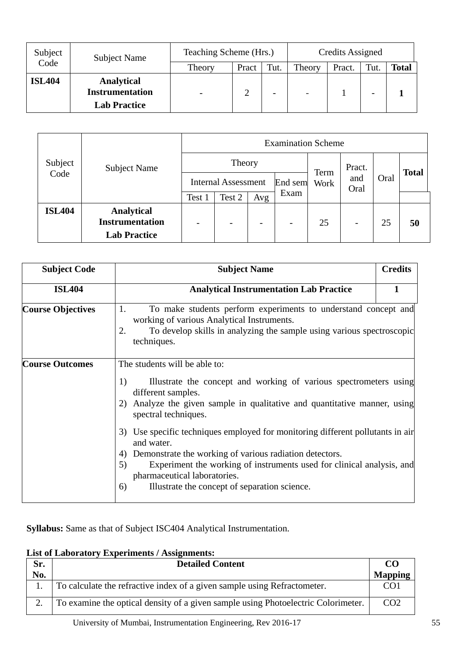| Subject<br><b>Subject Name</b> |                                                                    | Teaching Scheme (Hrs.)   | Credits Assigned |                          |                |        |      |              |
|--------------------------------|--------------------------------------------------------------------|--------------------------|------------------|--------------------------|----------------|--------|------|--------------|
| Code                           |                                                                    | Theory                   | Pract            | Tut.                     | Theory         | Pract. | Tut. | <b>Total</b> |
| <b>ISL404</b>                  | <b>Analytical</b><br><b>Instrumentation</b><br><b>Lab Practice</b> | $\overline{\phantom{a}}$ |                  | $\overline{\phantom{a}}$ | $\overline{a}$ |        |      |              |

|               |                                                                    | <b>Examination Scheme</b>  |                          |                          |                          |      |              |         |    |  |
|---------------|--------------------------------------------------------------------|----------------------------|--------------------------|--------------------------|--------------------------|------|--------------|---------|----|--|
| Subject       | <b>Subject Name</b>                                                |                            | Theory                   | Term<br>Work             | Pract.<br>and<br>Oral    | Oral | <b>Total</b> |         |    |  |
| Code          |                                                                    | <b>Internal Assessment</b> |                          |                          |                          |      |              | End sem |    |  |
|               |                                                                    | Test 1                     | Test 2                   | Avg                      | Exam                     |      |              |         |    |  |
| <b>ISL404</b> | <b>Analytical</b><br><b>Instrumentation</b><br><b>Lab Practice</b> |                            | $\overline{\phantom{0}}$ | $\overline{\phantom{0}}$ | $\overline{\phantom{a}}$ | 25   | -            | 25      | 50 |  |

| <b>Subject Code</b>      | <b>Subject Name</b>                                                                                                                                                                                                                                                                                                                                                                                                                                                                                                                                                              | <b>Credits</b> |
|--------------------------|----------------------------------------------------------------------------------------------------------------------------------------------------------------------------------------------------------------------------------------------------------------------------------------------------------------------------------------------------------------------------------------------------------------------------------------------------------------------------------------------------------------------------------------------------------------------------------|----------------|
| <b>ISL404</b>            | <b>Analytical Instrumentation Lab Practice</b>                                                                                                                                                                                                                                                                                                                                                                                                                                                                                                                                   | 1              |
| <b>Course Objectives</b> | 1.<br>To make students perform experiments to understand concept and<br>working of various Analytical Instruments.<br>To develop skills in analyzing the sample using various spectroscopic<br>2.<br>techniques.                                                                                                                                                                                                                                                                                                                                                                 |                |
| <b>Course Outcomes</b>   | The students will be able to:<br>Illustrate the concept and working of various spectrometers using<br>1)<br>different samples.<br>Analyze the given sample in qualitative and quantitative manner, using<br>2)<br>spectral techniques.<br>Use specific techniques employed for monitoring different pollutants in air<br>3)<br>and water.<br>Demonstrate the working of various radiation detectors.<br>4)<br>Experiment the working of instruments used for clinical analysis, and<br>5)<br>pharmaceutical laboratories.<br>Illustrate the concept of separation science.<br>6) |                |

**Syllabus:** Same as that of Subject ISC404 Analytical Instrumentation.

## **List of Laboratory Experiments / Assignments:**

| Sr. | <b>Detailed Content</b>                                                           | CO.             |
|-----|-----------------------------------------------------------------------------------|-----------------|
| No. |                                                                                   | <b>Mapping</b>  |
|     | To calculate the refractive index of a given sample using Refractometer.          | CO1             |
|     | To examine the optical density of a given sample using Photoelectric Colorimeter. | CO <sub>2</sub> |

University of Mumbai, Instrumentation Engineering, Rev 2016-17 55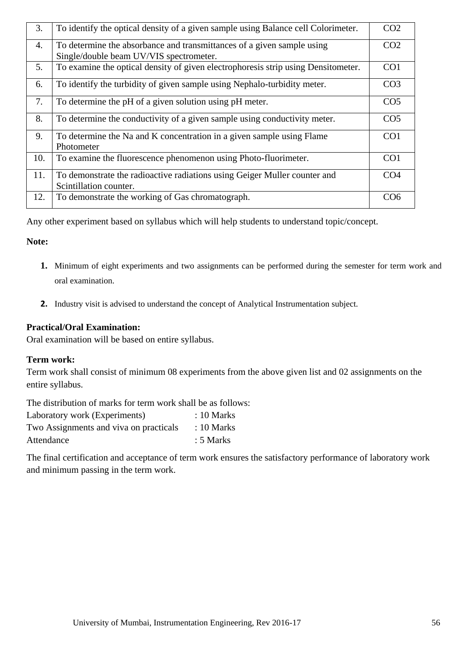| 3.  | To identify the optical density of a given sample using Balance cell Colorimeter.                                 | CO <sub>2</sub> |
|-----|-------------------------------------------------------------------------------------------------------------------|-----------------|
| 4.  | To determine the absorbance and transmittances of a given sample using<br>Single/double beam UV/VIS spectrometer. | CO <sub>2</sub> |
| 5.  | To examine the optical density of given electrophoresis strip using Densitometer.                                 | CO <sub>1</sub> |
| 6.  | To identify the turbidity of given sample using Nephalo-turbidity meter.                                          | CO <sub>3</sub> |
| 7.  | To determine the pH of a given solution using pH meter.                                                           | CO <sub>5</sub> |
| 8.  | To determine the conductivity of a given sample using conductivity meter.                                         | CO <sub>5</sub> |
| 9.  | To determine the Na and K concentration in a given sample using Flame<br>Photometer                               | CO <sub>1</sub> |
| 10. | To examine the fluorescence phenomenon using Photo-fluorimeter.                                                   | CO <sub>1</sub> |
| 11. | To demonstrate the radioactive radiations using Geiger Muller counter and<br>Scintillation counter.               | CO <sub>4</sub> |
| 12. | To demonstrate the working of Gas chromatograph.                                                                  | CO <sub>6</sub> |

Any other experiment based on syllabus which will help students to understand topic/concept.

## **Note:**

- **1.** Minimum of eight experiments and two assignments can be performed during the semester for term work and oral examination.
- **2.** Industry visit is advised to understand the concept of Analytical Instrumentation subject.

## **Practical/Oral Examination:**

Oral examination will be based on entire syllabus.

#### **Term work:**

Term work shall consist of minimum 08 experiments from the above given list and 02 assignments on the entire syllabus.

The distribution of marks for term work shall be as follows:

| Laboratory work (Experiments)          | $: 10$ Marks |
|----------------------------------------|--------------|
| Two Assignments and viva on practicals | $: 10$ Marks |
| Attendance                             | $: 5$ Marks  |

The final certification and acceptance of term work ensures the satisfactory performance of laboratory work and minimum passing in the term work.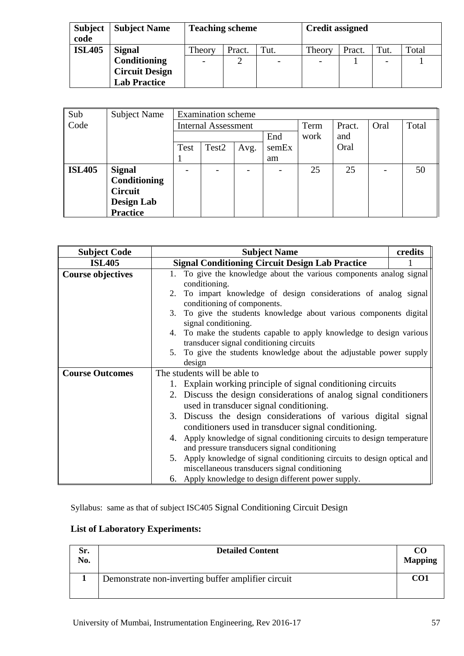| <b>Subject</b><br>code | <b>Subject Name</b>   | <b>Teaching scheme</b> |        |      | <b>Credit assigned</b>   |        |      |       |
|------------------------|-----------------------|------------------------|--------|------|--------------------------|--------|------|-------|
| <b>ISL405</b>          | <b>Signal</b>         | Theory                 | Pract. | Tut. | Theory                   | Pract. | Tut. | Total |
|                        | Conditioning          |                        |        |      | $\overline{\phantom{a}}$ |        |      |       |
|                        | <b>Circuit Design</b> |                        |        |      |                          |        |      |       |
|                        | <b>Lab Practice</b>   |                        |        |      |                          |        |      |       |

| Sub           | <b>Subject Name</b> |      | <b>Examination</b> scheme  |      |       |      |        |      |       |  |
|---------------|---------------------|------|----------------------------|------|-------|------|--------|------|-------|--|
| Code          |                     |      | <b>Internal Assessment</b> |      |       | Term | Pract. | Oral | Total |  |
|               |                     |      |                            |      | End   | work | and    |      |       |  |
|               |                     | Test | Test <sub>2</sub>          | Avg. | semEx |      | Oral   |      |       |  |
|               |                     |      |                            |      | am    |      |        |      |       |  |
| <b>ISL405</b> | <b>Signal</b>       |      |                            |      |       | 25   | 25     |      | 50    |  |
|               | Conditioning        |      |                            |      |       |      |        |      |       |  |
|               | <b>Circuit</b>      |      |                            |      |       |      |        |      |       |  |
|               | <b>Design Lab</b>   |      |                            |      |       |      |        |      |       |  |
|               | <b>Practice</b>     |      |                            |      |       |      |        |      |       |  |

| <b>Subject Code</b>      | <b>Subject Name</b>                                                                                                       | credits |
|--------------------------|---------------------------------------------------------------------------------------------------------------------------|---------|
| <b>ISL405</b>            | <b>Signal Conditioning Circuit Design Lab Practice</b>                                                                    |         |
| <b>Course objectives</b> | 1. To give the knowledge about the various components analog signal                                                       |         |
|                          | conditioning.                                                                                                             |         |
|                          | 2. To impart knowledge of design considerations of analog signal<br>conditioning of components.                           |         |
|                          | 3. To give the students knowledge about various components digital<br>signal conditioning.                                |         |
|                          | 4. To make the students capable to apply knowledge to design various<br>transducer signal conditioning circuits           |         |
|                          | 5. To give the students knowledge about the adjustable power supply                                                       |         |
|                          | design                                                                                                                    |         |
| <b>Course Outcomes</b>   | The students will be able to                                                                                              |         |
|                          | 1. Explain working principle of signal conditioning circuits                                                              |         |
|                          | 2. Discuss the design considerations of analog signal conditioners                                                        |         |
|                          | used in transducer signal conditioning.                                                                                   |         |
|                          | 3. Discuss the design considerations of various digital signal                                                            |         |
|                          | conditioners used in transducer signal conditioning.                                                                      |         |
|                          | 4. Apply knowledge of signal conditioning circuits to design temperature                                                  |         |
|                          | and pressure transducers signal conditioning                                                                              |         |
|                          | 5. Apply knowledge of signal conditioning circuits to design optical and<br>miscellaneous transducers signal conditioning |         |
|                          | 6. Apply knowledge to design different power supply.                                                                      |         |

Syllabus:same as that of subject ISC405 Signal Conditioning Circuit Design

## **List of Laboratory Experiments:**

| Sr.<br>No. | <b>Detailed Content</b>                            | CO.<br><b>Mapping</b> |
|------------|----------------------------------------------------|-----------------------|
|            | Demonstrate non-inverting buffer amplifier circuit | CO1                   |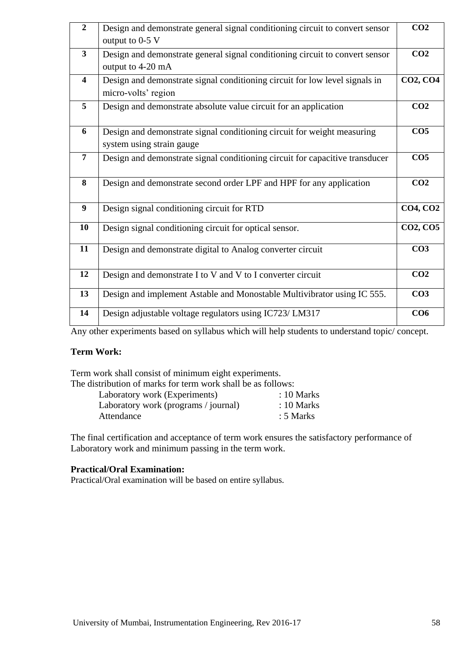| $\overline{2}$          | Design and demonstrate general signal conditioning circuit to convert sensor | CO <sub>2</sub> |
|-------------------------|------------------------------------------------------------------------------|-----------------|
|                         | output to 0-5 V                                                              |                 |
| $\overline{\mathbf{3}}$ | Design and demonstrate general signal conditioning circuit to convert sensor | CO <sub>2</sub> |
|                         | output to 4-20 mA                                                            |                 |
| $\overline{\mathbf{4}}$ | Design and demonstrate signal conditioning circuit for low level signals in  | <b>CO2, CO4</b> |
|                         | micro-volts' region                                                          |                 |
| 5                       | Design and demonstrate absolute value circuit for an application             | CO <sub>2</sub> |
|                         |                                                                              |                 |
| 6                       | Design and demonstrate signal conditioning circuit for weight measuring      | CO <sub>5</sub> |
|                         | system using strain gauge                                                    |                 |
| $\overline{7}$          | Design and demonstrate signal conditioning circuit for capacitive transducer | CO <sub>5</sub> |
|                         |                                                                              |                 |
| 8                       | Design and demonstrate second order LPF and HPF for any application          | CO <sub>2</sub> |
|                         |                                                                              |                 |
| 9                       | Design signal conditioning circuit for RTD                                   | <b>CO4, CO2</b> |
| 10                      | Design signal conditioning circuit for optical sensor.                       | <b>CO2, CO5</b> |
|                         |                                                                              |                 |
| 11                      | Design and demonstrate digital to Analog converter circuit                   | CO <sub>3</sub> |
|                         |                                                                              |                 |
| 12                      | Design and demonstrate I to V and V to I converter circuit                   | CO <sub>2</sub> |
| 13                      | Design and implement Astable and Monostable Multivibrator using IC 555.      | CO <sub>3</sub> |
|                         |                                                                              |                 |
| 14                      | Design adjustable voltage regulators using IC723/LM317                       | CO6             |
|                         |                                                                              |                 |

Any other experiments based on syllabus which will help students to understand topic/ concept.

#### **Term Work:**

Term work shall consist of minimum eight experiments. The distribution of marks for term work shall be as follows:

| hsuibuubii ol marks for ichiif work shah bc as follows. |              |
|---------------------------------------------------------|--------------|
| Laboratory work (Experiments)                           | $: 10$ Marks |
| Laboratory work (programs / journal)                    | $: 10$ Marks |

|            | $\mu$ $\mu$ $\sigma$ $\mu$ $\sigma$ $\mu$ $\sigma$ $\mu$ $\mu$ $\sigma$ $\mu$ $\mu$ $\sigma$ $\mu$ $\mu$ | 101111    |
|------------|----------------------------------------------------------------------------------------------------------|-----------|
| Attendance |                                                                                                          | : 5 Marks |

The final certification and acceptance of term work ensures the satisfactory performance of Laboratory work and minimum passing in the term work.

### **Practical/Oral Examination:**

Practical/Oral examination will be based on entire syllabus.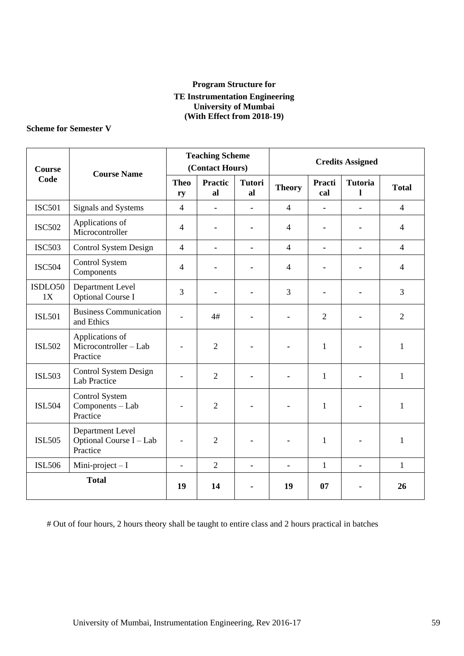#### **Program Structure for TE Instrumentation Engineering University of Mumbai (With Effect from 2018-19)**

#### **Scheme for Semester V**

| <b>Course</b> | <b>Course Name</b>                                      |                   | <b>Teaching Scheme</b><br>(Contact Hours) |                     |                |                | <b>Credits Assigned</b> |                |  |
|---------------|---------------------------------------------------------|-------------------|-------------------------------------------|---------------------|----------------|----------------|-------------------------|----------------|--|
| Code          |                                                         | <b>Theo</b><br>ry | <b>Practic</b><br>al                      | <b>Tutori</b><br>al | <b>Theory</b>  | Practi<br>cal  | <b>Tutoria</b><br>1     | <b>Total</b>   |  |
| <b>ISC501</b> | Signals and Systems                                     | $\overline{4}$    | L.                                        |                     | $\overline{4}$ |                |                         | $\overline{4}$ |  |
| <b>ISC502</b> | Applications of<br>Microcontroller                      | $\overline{4}$    |                                           |                     | $\overline{4}$ |                |                         | $\overline{4}$ |  |
| <b>ISC503</b> | <b>Control System Design</b>                            | $\overline{4}$    | $\blacksquare$                            |                     | $\overline{4}$ | $\blacksquare$ | $\blacksquare$          | $\overline{4}$ |  |
| <b>ISC504</b> | Control System<br>Components                            | 4                 |                                           |                     | $\overline{4}$ |                |                         | $\overline{4}$ |  |
| ISDLO50<br>1X | Department Level<br><b>Optional Course I</b>            | 3                 |                                           |                     | 3              |                |                         | 3              |  |
| <b>ISL501</b> | <b>Business Communication</b><br>and Ethics             | $\overline{a}$    | 4#                                        |                     |                | 2              |                         | $\overline{2}$ |  |
| <b>ISL502</b> | Applications of<br>Microcontroller - Lab<br>Practice    |                   | $\overline{2}$                            |                     |                | 1              |                         | $\mathbf{1}$   |  |
| <b>ISL503</b> | <b>Control System Design</b><br><b>Lab Practice</b>     |                   | $\overline{2}$                            |                     |                | 1              | ۰                       | 1              |  |
| <b>ISL504</b> | Control System<br>Components - Lab<br>Practice          |                   | $\overline{2}$                            |                     |                | $\mathbf{1}$   |                         | $\mathbf{1}$   |  |
| <b>ISL505</b> | Department Level<br>Optional Course I - Lab<br>Practice |                   | $\overline{2}$                            |                     |                | 1              |                         | $\mathbf{1}$   |  |
| <b>ISL506</b> | Mini-project $-I$                                       | $\overline{a}$    | $\overline{2}$                            | $\blacksquare$      | $\blacksquare$ | $\mathbf{1}$   | $\blacksquare$          | $\mathbf{1}$   |  |
| <b>Total</b>  |                                                         | 19                | 14                                        |                     | 19             | 07             |                         | 26             |  |

# Out of four hours, 2 hours theory shall be taught to entire class and 2 hours practical in batches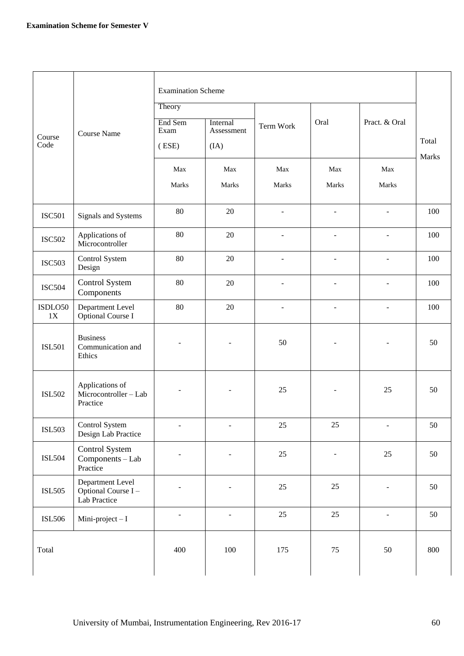|                |                                                         | <b>Examination Scheme</b> |                          |                          |                          |                          |                       |  |
|----------------|---------------------------------------------------------|---------------------------|--------------------------|--------------------------|--------------------------|--------------------------|-----------------------|--|
|                |                                                         | Theory                    |                          |                          |                          |                          |                       |  |
|                | <b>Course Name</b>                                      | End Sem<br>Exam           | Internal<br>Assessment   | Term Work                | Oral                     | Pract. & Oral            |                       |  |
| Course<br>Code |                                                         | $($ ESE $)$               | (IA)                     |                          |                          |                          | Total<br><b>Marks</b> |  |
|                |                                                         | Max                       | Max                      | Max                      | Max                      | Max                      |                       |  |
|                |                                                         | Marks                     | Marks                    | Marks                    | Marks                    | Marks                    |                       |  |
| <b>ISC501</b>  | Signals and Systems                                     | 80                        | 20                       | $\overline{\phantom{a}}$ | $\overline{\phantom{a}}$ | $\overline{\phantom{a}}$ | 100                   |  |
| <b>ISC502</b>  | Applications of<br>Microcontroller                      | 80                        | 20                       | ٠                        | $\overline{a}$           | ÷.                       | 100                   |  |
| <b>ISC503</b>  | Control System<br>Design                                | 80                        | 20                       | $\overline{a}$           |                          | $\overline{\phantom{a}}$ | 100                   |  |
| <b>ISC504</b>  | Control System<br>Components                            | 80                        | 20                       |                          |                          |                          | 100                   |  |
| ISDLO50<br>1X  | Department Level<br><b>Optional Course I</b>            | 80                        | 20                       | $\overline{\phantom{a}}$ |                          | $\overline{\phantom{a}}$ | 100                   |  |
| <b>ISL501</b>  | <b>Business</b><br>Communication and<br>Ethics          |                           |                          | 50                       | $\blacksquare$           |                          | 50                    |  |
| <b>ISL502</b>  | Applications of<br>Microcontroller - Lab<br>Practice    |                           |                          | 25                       |                          | 25                       | 50                    |  |
| <b>ISL503</b>  | Control System<br>Design Lab Practice                   | $\blacksquare$            | $\overline{\phantom{a}}$ | 25                       | $25\,$                   | $\blacksquare$           | 50                    |  |
| <b>ISL504</b>  | Control System<br>Components - Lab<br>Practice          | $\overline{\phantom{a}}$  | $\blacksquare$           | 25                       | $\overline{\phantom{a}}$ | 25                       | 50                    |  |
| <b>ISL505</b>  | Department Level<br>Optional Course I -<br>Lab Practice |                           | ÷,                       | 25                       | 25                       | ÷,                       | 50                    |  |
| <b>ISL506</b>  | Mini-project $-I$                                       | $\overline{\phantom{a}}$  | $\overline{\phantom{a}}$ | 25                       | 25                       | $\blacksquare$           | 50                    |  |
| Total          |                                                         | 400                       | 100                      | 175                      | 75                       | 50                       | 800                   |  |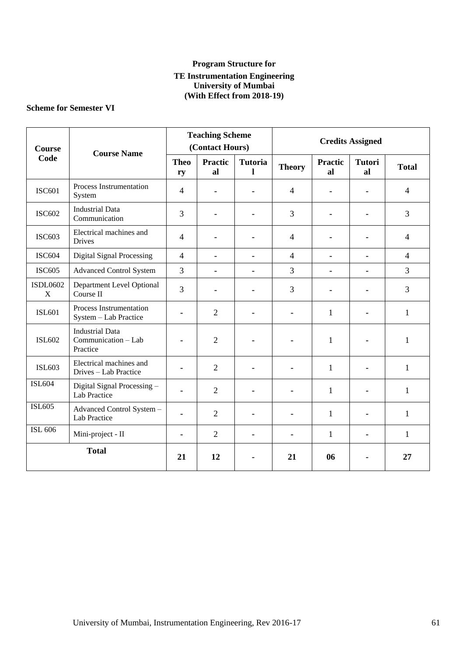#### **Program Structure for TE Instrumentation Engineering University of Mumbai (With Effect from 2018-19)**

## **Scheme for Semester VI**

| <b>Course</b><br><b>Course Name</b> |                                                           | <b>Teaching Scheme</b><br>(Contact Hours) |                      |                     | <b>Credits Assigned</b> |                      |                     |                |
|-------------------------------------|-----------------------------------------------------------|-------------------------------------------|----------------------|---------------------|-------------------------|----------------------|---------------------|----------------|
| Code                                |                                                           | <b>Theo</b><br>ry                         | <b>Practic</b><br>al | <b>Tutoria</b><br>1 | <b>Theory</b>           | <b>Practic</b><br>al | <b>Tutori</b><br>al | <b>Total</b>   |
| <b>ISC601</b>                       | Process Instrumentation<br>System                         | $\overline{4}$                            |                      |                     | $\overline{4}$          |                      |                     | $\overline{4}$ |
| <b>ISC602</b>                       | <b>Industrial Data</b><br>Communication                   | 3                                         |                      |                     | 3                       |                      |                     | 3              |
| <b>ISC603</b>                       | Electrical machines and<br>Drives                         | $\overline{4}$                            |                      |                     | $\overline{4}$          |                      |                     | $\overline{4}$ |
| <b>ISC604</b>                       | <b>Digital Signal Processing</b>                          | $\overline{4}$                            |                      |                     | $\overline{4}$          | ۰                    |                     | $\overline{4}$ |
| <b>ISC605</b>                       | <b>Advanced Control System</b>                            | 3                                         | ۰                    |                     | 3                       | $\blacksquare$       |                     | 3              |
| <b>ISDL0602</b><br>X                | Department Level Optional<br>Course II                    | $\overline{3}$                            |                      |                     | 3                       |                      |                     | 3              |
| <b>ISL601</b>                       | Process Instrumentation<br>System - Lab Practice          |                                           | $\overline{2}$       |                     |                         | $\mathbf{1}$         |                     | $\mathbf{1}$   |
| <b>ISL602</b>                       | <b>Industrial Data</b><br>Communication - Lab<br>Practice |                                           | $\overline{2}$       |                     |                         | 1                    |                     | 1              |
| <b>ISL603</b>                       | Electrical machines and<br>Drives - Lab Practice          |                                           | $\overline{2}$       |                     |                         | $\mathbf{1}$         |                     | $\mathbf{1}$   |
| <b>ISL604</b>                       | Digital Signal Processing -<br>Lab Practice               |                                           | $\overline{2}$       |                     |                         | 1                    |                     | 1              |
| <b>ISL605</b>                       | Advanced Control System -<br>Lab Practice                 |                                           | $\overline{2}$       |                     |                         | 1                    |                     | $\mathbf{1}$   |
| <b>ISL 606</b>                      | Mini-project - II                                         |                                           | $\overline{2}$       |                     |                         | 1                    |                     | 1              |
| <b>Total</b>                        |                                                           | 21                                        | 12                   |                     | 21                      | 06                   |                     | 27             |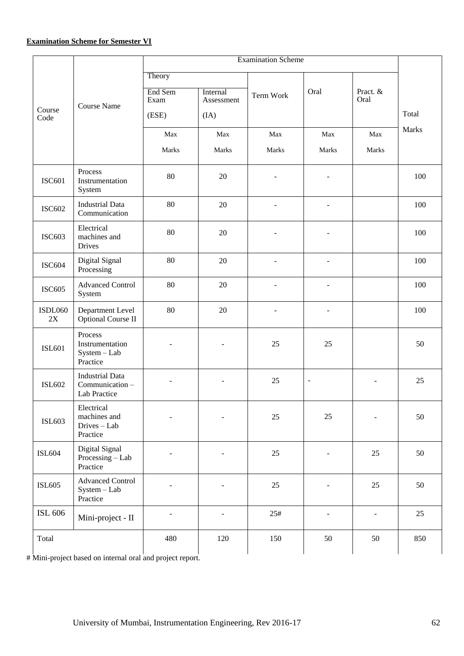|                      |                                                          | Theory                   |                          |                          |                          |                  |       |  |
|----------------------|----------------------------------------------------------|--------------------------|--------------------------|--------------------------|--------------------------|------------------|-------|--|
|                      | Course Name                                              | End Sem<br>Exam          | Internal<br>Assessment   | Term Work                | Oral                     | Pract. &<br>Oral |       |  |
| Course<br>Code       |                                                          | (ESE)                    | (IA)                     |                          |                          |                  | Total |  |
|                      |                                                          | Max                      | Max                      | Max                      | Max                      | Max              | Marks |  |
|                      |                                                          | Marks                    | Marks                    | Marks                    | Marks                    | Marks            |       |  |
| <b>ISC601</b>        | Process<br>Instrumentation<br>System                     | 80                       | 20                       |                          | $\overline{a}$           |                  | 100   |  |
| <b>ISC602</b>        | <b>Industrial Data</b><br>Communication                  | 80                       | 20                       | $\overline{\phantom{a}}$ | $\overline{a}$           |                  | 100   |  |
| <b>ISC603</b>        | Electrical<br>machines and<br>Drives                     | 80                       | 20                       |                          |                          |                  | 100   |  |
| <b>ISC604</b>        | Digital Signal<br>Processing                             | 80                       | 20                       | $\overline{a}$           | $\overline{a}$           |                  | 100   |  |
| <b>ISC605</b>        | <b>Advanced Control</b><br>System                        | 80                       | 20                       |                          |                          |                  | 100   |  |
| <b>ISDL060</b><br>2X | Department Level<br>Optional Course II                   | 80                       | 20                       | $\overline{\phantom{a}}$ | $\overline{\phantom{0}}$ |                  | 100   |  |
| <b>ISL601</b>        | Process<br>Instrumentation<br>System - Lab<br>Practice   |                          | $\qquad \qquad -$        | 25                       | 25                       |                  | 50    |  |
| <b>ISL602</b>        | <b>Industrial Data</b><br>Communication-<br>Lab Practice |                          | $\overline{\phantom{a}}$ | 25                       | $\overline{\phantom{a}}$ |                  | 25    |  |
| <b>ISL603</b>        | Electrical<br>machines and<br>Drives - Lab<br>Practice   |                          | $\overline{\phantom{a}}$ | 25                       | 25                       |                  | 50    |  |
| <b>ISL604</b>        | Digital Signal<br>Processing - Lab<br>Practice           |                          | $\overline{\phantom{a}}$ | 25                       | $\overline{\phantom{a}}$ | 25               | 50    |  |
| <b>ISL605</b>        | <b>Advanced Control</b><br>System - Lab<br>Practice      | $\overline{a}$           | ÷,                       | 25                       | $\overline{\phantom{a}}$ | 25               | 50    |  |
| ISL 606              | Mini-project - II                                        | $\overline{\phantom{a}}$ | $\frac{1}{2}$            | 25#                      | $\overline{\phantom{a}}$ | $\blacksquare$   | 25    |  |
| Total                |                                                          | 480                      | 120                      | 150                      | 50                       | 50               | 850   |  |

# Mini-project based on internal oral and project report.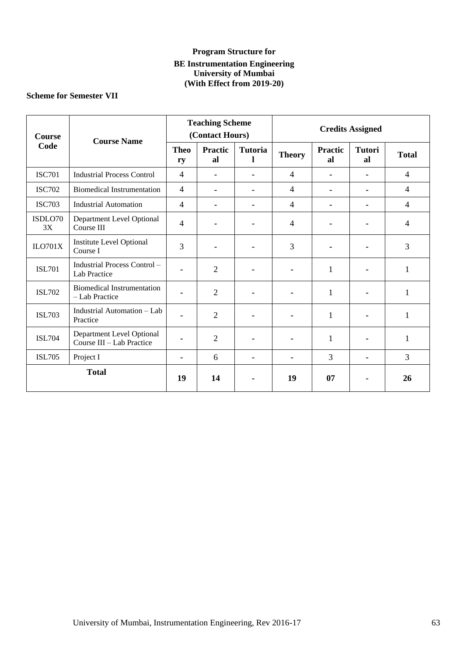## **Program Structure for BE Instrumentation Engineering University of Mumbai (With Effect from 2019-20)**

## **Scheme for Semester VII**

| <b>Course</b> | <b>Course Name</b>                                     | <b>Teaching Scheme</b><br>(Contact Hours) |                      |                     | <b>Credits Assigned</b> |                      |                     |                |
|---------------|--------------------------------------------------------|-------------------------------------------|----------------------|---------------------|-------------------------|----------------------|---------------------|----------------|
| Code          |                                                        | <b>Theo</b><br>ry                         | <b>Practic</b><br>al | <b>Tutoria</b><br>1 | <b>Theory</b>           | <b>Practic</b><br>al | <b>Tutori</b><br>al | <b>Total</b>   |
| <b>ISC701</b> | <b>Industrial Process Control</b>                      | $\overline{4}$                            |                      |                     | 4                       | ۰                    |                     | 4              |
| <b>ISC702</b> | <b>Biomedical Instrumentation</b>                      | $\overline{4}$                            |                      |                     | 4                       | Ξ.                   |                     | 4              |
| <b>ISC703</b> | <b>Industrial Automation</b>                           | $\overline{4}$                            |                      | ۰                   | 4                       | ۰                    |                     | 4              |
| ISDLO70<br>3X | Department Level Optional<br>Course III                | $\overline{4}$                            |                      |                     | 4                       |                      |                     | $\overline{4}$ |
| ILO701X       | <b>Institute Level Optional</b><br>Course I            | 3                                         |                      |                     | 3                       |                      |                     | 3              |
| <b>ISL701</b> | Industrial Process Control -<br>Lab Practice           |                                           | $\overline{2}$       |                     | $\blacksquare$          | $\mathbf{1}$         |                     | 1              |
| <b>ISL702</b> | <b>Biomedical Instrumentation</b><br>- Lab Practice    |                                           | 2                    |                     |                         | 1                    |                     | 1              |
| <b>ISL703</b> | Industrial Automation - Lab<br>Practice                |                                           | $\overline{2}$       |                     |                         | 1                    |                     | 1              |
| <b>ISL704</b> | Department Level Optional<br>Course III - Lab Practice |                                           | $\overline{2}$       |                     |                         | 1                    |                     | 1              |
| <b>ISL705</b> | Project I                                              |                                           | 6                    |                     |                         | 3                    |                     | $\overline{3}$ |
| <b>Total</b>  |                                                        | 19                                        | 14                   |                     | 19                      | 07                   |                     | 26             |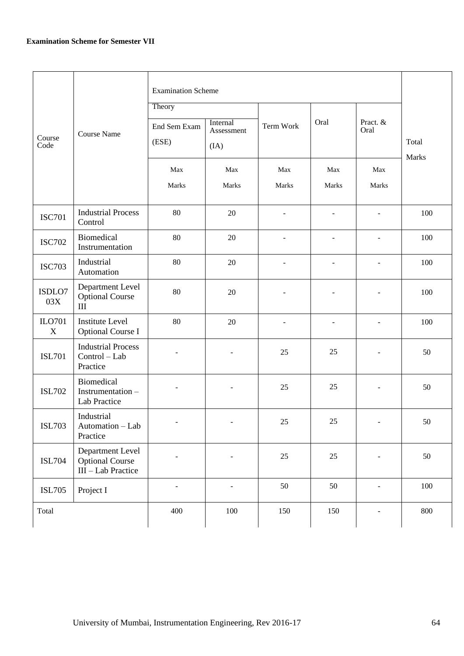|                       |                                                                  | <b>Examination Scheme</b><br>Theory |                                |                          |                          |                  |                       |
|-----------------------|------------------------------------------------------------------|-------------------------------------|--------------------------------|--------------------------|--------------------------|------------------|-----------------------|
| Course<br>Code        | <b>Course Name</b>                                               | End Sem Exam<br>(ESE)               | Internal<br>Assessment<br>(IA) | <b>Term Work</b>         | Oral                     | Pract. &<br>Oral | Total<br><b>Marks</b> |
|                       |                                                                  | Max<br>Marks                        | Max<br>Marks                   | Max<br>Marks             | Max<br>Marks             | Max<br>Marks     |                       |
| <b>ISC701</b>         | <b>Industrial Process</b><br>Control                             | 80                                  | 20                             | $\overline{\phantom{a}}$ |                          |                  | 100                   |
| <b>ISC702</b>         | Biomedical<br>Instrumentation                                    | 80                                  | $20\,$                         |                          |                          |                  | 100                   |
| <b>ISC703</b>         | Industrial<br>Automation                                         | 80                                  | 20                             | $\sim$                   | ٠                        |                  | 100                   |
| ISDLO7<br>03X         | Department Level<br><b>Optional Course</b><br>$\rm III$          | 80                                  | 20                             | $\overline{\phantom{a}}$ | $\overline{\phantom{a}}$ |                  | 100                   |
| ILO701<br>$\mathbf X$ | <b>Institute Level</b><br><b>Optional Course I</b>               | 80                                  | 20                             | $\overline{\phantom{0}}$ | $\overline{\phantom{a}}$ |                  | 100                   |
| <b>ISL701</b>         | <b>Industrial Process</b><br>Control - Lab<br>Practice           |                                     | $\overline{a}$                 | 25                       | 25                       |                  | 50                    |
| <b>ISL702</b>         | Biomedical<br>Instrumentation -<br>Lab Practice                  |                                     |                                | 25                       | 25                       |                  | 50                    |
| <b>ISL703</b>         | Industrial<br>Automation - Lab<br>Practice                       | $\overline{\phantom{a}}$            | ۰                              | $25\,$                   | $25\,$                   | $\blacksquare$   | $50\,$                |
| <b>ISL704</b>         | Department Level<br><b>Optional Course</b><br>III - Lab Practice |                                     |                                | $25\,$                   | $25\,$                   |                  | 50                    |
| <b>ISL705</b>         | Project I                                                        |                                     | $\overline{a}$                 | 50                       | 50                       |                  | 100                   |
| Total                 |                                                                  | 400                                 | $100\,$                        | 150                      | 150                      |                  | 800                   |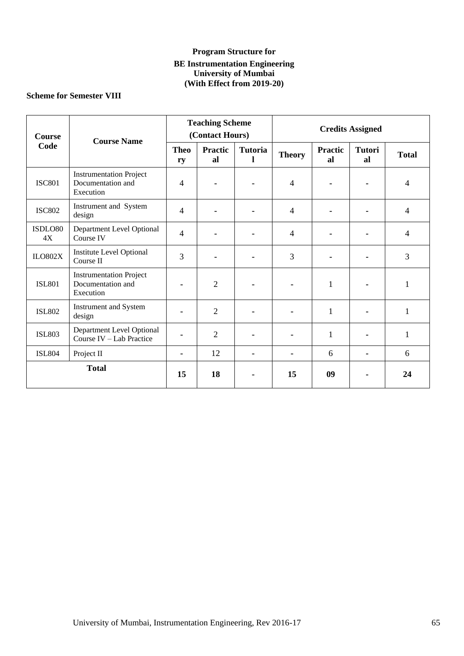## **Program Structure for BE Instrumentation Engineering University of Mumbai (With Effect from 2019-20)**

## **Scheme for Semester VIII**

| <b>Course</b>               | <b>Course Name</b>                                               | <b>Teaching Scheme</b><br>(Contact Hours) |                      |                     | <b>Credits Assigned</b> |                      |                     |                |
|-----------------------------|------------------------------------------------------------------|-------------------------------------------|----------------------|---------------------|-------------------------|----------------------|---------------------|----------------|
| Code                        |                                                                  | <b>Theo</b><br>ry                         | <b>Practic</b><br>al | <b>Tutoria</b><br>1 | <b>Theory</b>           | <b>Practic</b><br>al | <b>Tutori</b><br>al | <b>Total</b>   |
| <b>ISC801</b>               | <b>Instrumentation Project</b><br>Documentation and<br>Execution | $\overline{4}$                            |                      |                     | $\overline{4}$          |                      |                     | 4              |
| <b>ISC802</b>               | Instrument and System<br>design                                  | $\overline{4}$                            |                      |                     | $\overline{4}$          |                      |                     | $\overline{4}$ |
| ISDLO80<br>4X               | Department Level Optional<br>Course IV                           | $\overline{4}$                            |                      |                     | $\overline{4}$          |                      |                     | $\overline{4}$ |
| <b>ILO802X</b>              | <b>Institute Level Optional</b><br>Course II                     | 3                                         |                      |                     | 3                       |                      |                     | 3              |
| <b>ISL801</b>               | <b>Instrumentation Project</b><br>Documentation and<br>Execution |                                           | $\overline{2}$       |                     |                         | $\mathbf{1}$         |                     | 1              |
| <b>ISL802</b>               | Instrument and System<br>design                                  |                                           | $\overline{2}$       |                     |                         | $\mathbf{1}$         |                     | $\mathbf{1}$   |
| <b>ISL803</b>               | Department Level Optional<br>Course IV - Lab Practice            |                                           | $\overline{2}$       |                     |                         | $\mathbf{1}$         |                     | $\mathbf{1}$   |
| <b>ISL804</b><br>Project II |                                                                  |                                           | 12                   |                     |                         | 6                    |                     | 6              |
| <b>Total</b>                |                                                                  | 15                                        | 18                   |                     | 15                      | 09                   |                     | 24             |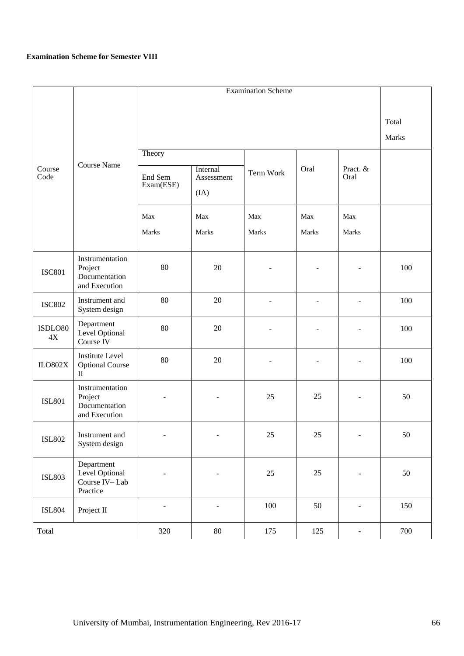#### **Examination Scheme for Semester VIII**

|                            |                                                                  |                          | Total                    |                |                          |                          |     |
|----------------------------|------------------------------------------------------------------|--------------------------|--------------------------|----------------|--------------------------|--------------------------|-----|
|                            |                                                                  |                          | <b>Marks</b>             |                |                          |                          |     |
|                            |                                                                  | Theory                   |                          |                |                          |                          |     |
| Course<br>Code             | Course Name                                                      | End Sem<br>Exam(ESE)     | Internal<br>Assessment   | Term Work      | Oral                     | Pract. &<br>Oral         |     |
|                            |                                                                  |                          | (IA)                     |                |                          |                          |     |
|                            |                                                                  | Max                      | Max                      | Max            | Max                      | Max                      |     |
|                            |                                                                  | Marks                    | Marks                    | Marks          | Marks                    | Marks                    |     |
| <b>ISC801</b>              | Instrumentation<br>Project<br>Documentation<br>and Execution     | 80                       | 20                       |                | $\overline{\phantom{a}}$ |                          | 100 |
| <b>ISC802</b>              | Instrument and<br>System design                                  | 80                       | 20                       | $\overline{a}$ | $\overline{\phantom{a}}$ | $\overline{\phantom{0}}$ | 100 |
| ISDLO80<br>4X              | Department<br>Level Optional<br>Course IV                        | 80                       | 20                       |                | $\overline{\phantom{0}}$ |                          | 100 |
| $_{\text{ILO}802\text{X}}$ | <b>Institute Level</b><br><b>Optional Course</b><br>$\mathbf{I}$ | 80                       | 20                       | $\overline{a}$ | $\overline{\phantom{a}}$ | $\overline{\phantom{0}}$ | 100 |
| <b>ISL801</b>              | Instrumentation<br>Project<br>Documentation<br>and Execution     | $\sim$                   | $\overline{\phantom{a}}$ | 25             | 25                       | ۳                        | 50  |
| <b>ISL802</b>              | Instrument and<br>System design                                  | $\blacksquare$           | $\blacksquare$           | 25             | 25                       | $\blacksquare$           | 50  |
| <b>ISL803</b>              | Department<br>Level Optional<br>Course IV-Lab<br>Practice        | $\overline{\phantom{a}}$ | $\overline{\phantom{a}}$ | $25\,$         | 25                       | $\overline{\phantom{a}}$ | 50  |
| <b>ISL804</b>              | Project II                                                       | ÷,                       | $\blacksquare$           | $100\,$        | $50\,$                   | $\overline{\phantom{a}}$ | 150 |
| Total                      |                                                                  | 320                      | $80\,$                   | 175            | 125                      | $\overline{\phantom{a}}$ | 700 |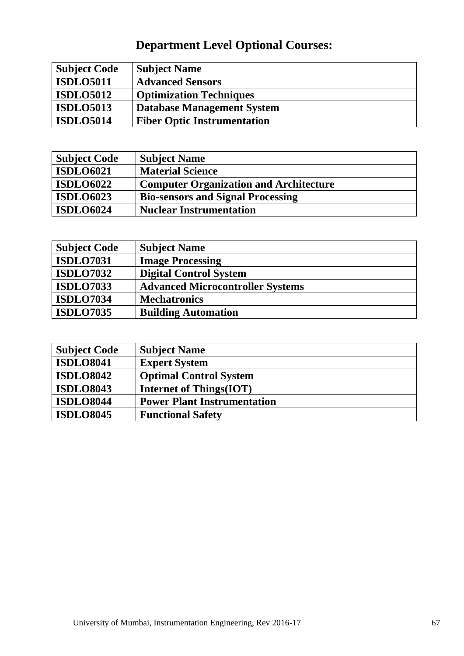# **Department Level Optional Courses:**

| <b>Subject Code</b> | <b>Subject Name</b>                |
|---------------------|------------------------------------|
| <b>ISDLO5011</b>    | <b>Advanced Sensors</b>            |
| <b>ISDLO5012</b>    | <b>Optimization Techniques</b>     |
| <b>ISDLO5013</b>    | <b>Database Management System</b>  |
| <b>ISDLO5014</b>    | <b>Fiber Optic Instrumentation</b> |

| <b>Subject Code</b> | <b>Subject Name</b>                           |
|---------------------|-----------------------------------------------|
| <b>ISDLO6021</b>    | <b>Material Science</b>                       |
| <b>ISDLO6022</b>    | <b>Computer Organization and Architecture</b> |
| <b>ISDLO6023</b>    | <b>Bio-sensors and Signal Processing</b>      |
| <b>ISDLO6024</b>    | <b>Nuclear Instrumentation</b>                |

| <b>Subject Code</b> | <b>Subject Name</b>                     |
|---------------------|-----------------------------------------|
| <b>ISDLO7031</b>    | <b>Image Processing</b>                 |
| <b>ISDLO7032</b>    | <b>Digital Control System</b>           |
| <b>ISDLO7033</b>    | <b>Advanced Microcontroller Systems</b> |
| <b>ISDLO7034</b>    | <b>Mechatronics</b>                     |
| <b>ISDLO7035</b>    | <b>Building Automation</b>              |

| <b>Subject Code</b> | <b>Subject Name</b>                |
|---------------------|------------------------------------|
| <b>ISDLO8041</b>    | <b>Expert System</b>               |
| <b>ISDLO8042</b>    | <b>Optimal Control System</b>      |
| <b>ISDLO8043</b>    | <b>Internet of Things(IOT)</b>     |
| <b>ISDLO8044</b>    | <b>Power Plant Instrumentation</b> |
| <b>ISDLO8045</b>    | <b>Functional Safety</b>           |